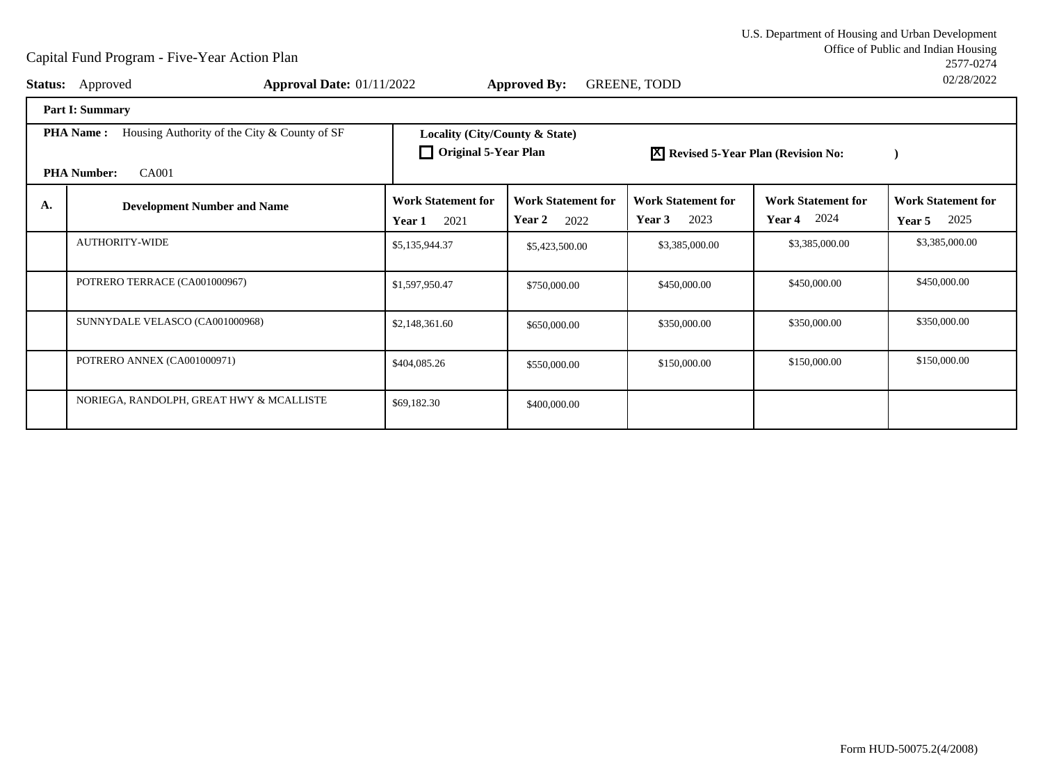Office of Public and Indian Housing<br>2577-0274 U.S. Department of Housing and Urban Development2577-027402/28/2022

|                                                                                                 | <b>Status:</b> Approved<br><b>Approval Date: 01/11/2022</b> |                                                               | <b>Approved By:</b>                                | <b>GREENE, TODD</b>                         |                                                 | UZ/Z0/ZUZZ                                  |
|-------------------------------------------------------------------------------------------------|-------------------------------------------------------------|---------------------------------------------------------------|----------------------------------------------------|---------------------------------------------|-------------------------------------------------|---------------------------------------------|
|                                                                                                 | <b>Part I: Summary</b>                                      |                                                               |                                                    |                                             |                                                 |                                             |
| <b>PHA Name:</b><br>Housing Authority of the City & County of SF<br>CA001<br><b>PHA Number:</b> |                                                             | Locality (City/County & State)<br>$\Box$ Original 5-Year Plan |                                                    |                                             | <b>X</b> Revised 5-Year Plan (Revision No:      |                                             |
| A.                                                                                              | <b>Development Number and Name</b>                          | <b>Work Statement for</b><br>2021<br>Year 1                   | <b>Work Statement for</b><br><b>Year 2</b><br>2022 | <b>Work Statement for</b><br>2023<br>Year 3 | <b>Work Statement for</b><br><b>Year 4</b> 2024 | <b>Work Statement for</b><br>2025<br>Year 5 |
|                                                                                                 | <b>AUTHORITY-WIDE</b>                                       | \$5,135,944.37                                                | \$5,423,500.00                                     | \$3,385,000.00                              | \$3,385,000.00                                  | \$3,385,000.00                              |
|                                                                                                 | POTRERO TERRACE (CA001000967)                               | \$1,597,950.47                                                | \$750,000.00                                       | \$450,000.00                                | \$450,000.00                                    | \$450,000.00                                |
|                                                                                                 | SUNNYDALE VELASCO (CA001000968)                             | \$2,148,361.60                                                | \$650,000.00                                       | \$350,000.00                                | \$350,000.00                                    | \$350,000.00                                |
|                                                                                                 | POTRERO ANNEX (CA001000971)                                 | \$404,085.26                                                  | \$550,000.00                                       | \$150,000.00                                | \$150,000.00                                    | \$150,000.00                                |
|                                                                                                 | NORIEGA, RANDOLPH, GREAT HWY & MCALLISTE                    | \$69,182.30                                                   | \$400,000.00                                       |                                             |                                                 |                                             |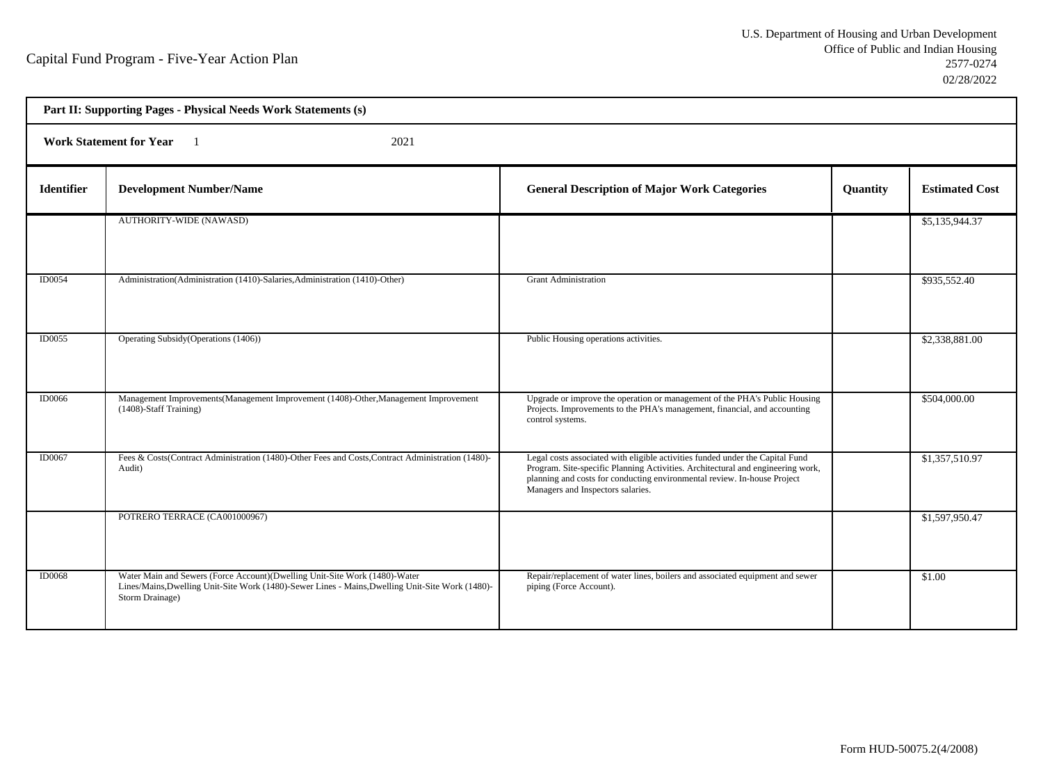h

| Part II: Supporting Pages - Physical Needs Work Statements (s) |                                                                                                                                                                                                   |                                                                                                                                                                                                                                                                                   |          |                       |  |  |
|----------------------------------------------------------------|---------------------------------------------------------------------------------------------------------------------------------------------------------------------------------------------------|-----------------------------------------------------------------------------------------------------------------------------------------------------------------------------------------------------------------------------------------------------------------------------------|----------|-----------------------|--|--|
|                                                                | <b>Work Statement for Year</b><br>2021                                                                                                                                                            |                                                                                                                                                                                                                                                                                   |          |                       |  |  |
| <b>Identifier</b>                                              | <b>Development Number/Name</b>                                                                                                                                                                    | <b>General Description of Major Work Categories</b>                                                                                                                                                                                                                               | Quantity | <b>Estimated Cost</b> |  |  |
|                                                                | <b>AUTHORITY-WIDE (NAWASD)</b>                                                                                                                                                                    |                                                                                                                                                                                                                                                                                   |          | \$5,135,944.37        |  |  |
| ID0054                                                         | Administration(Administration (1410)-Salaries, Administration (1410)-Other)                                                                                                                       | <b>Grant Administration</b>                                                                                                                                                                                                                                                       |          | \$935,552.40          |  |  |
| ID0055                                                         | Operating Subsidy (Operations (1406))                                                                                                                                                             | Public Housing operations activities.                                                                                                                                                                                                                                             |          | \$2,338,881.00        |  |  |
| <b>ID0066</b>                                                  | Management Improvements(Management Improvement (1408)-Other, Management Improvement<br>(1408)-Staff Training)                                                                                     | Upgrade or improve the operation or management of the PHA's Public Housing<br>Projects. Improvements to the PHA's management, financial, and accounting<br>control systems.                                                                                                       |          | \$504,000.00          |  |  |
| ID0067                                                         | Fees & Costs(Contract Administration (1480)-Other Fees and Costs, Contract Administration (1480)-<br>Audit)                                                                                       | Legal costs associated with eligible activities funded under the Capital Fund<br>Program. Site-specific Planning Activities. Architectural and engineering work,<br>planning and costs for conducting environmental review. In-house Project<br>Managers and Inspectors salaries. |          | \$1,357,510.97        |  |  |
|                                                                | POTRERO TERRACE (CA001000967)                                                                                                                                                                     |                                                                                                                                                                                                                                                                                   |          | \$1,597,950.47        |  |  |
| <b>ID0068</b>                                                  | Water Main and Sewers (Force Account)(Dwelling Unit-Site Work (1480)-Water<br>Lines/Mains, Dwelling Unit-Site Work (1480)-Sewer Lines - Mains, Dwelling Unit-Site Work (1480)-<br>Storm Drainage) | Repair/replacement of water lines, boilers and associated equipment and sewer<br>piping (Force Account).                                                                                                                                                                          |          | \$1.00                |  |  |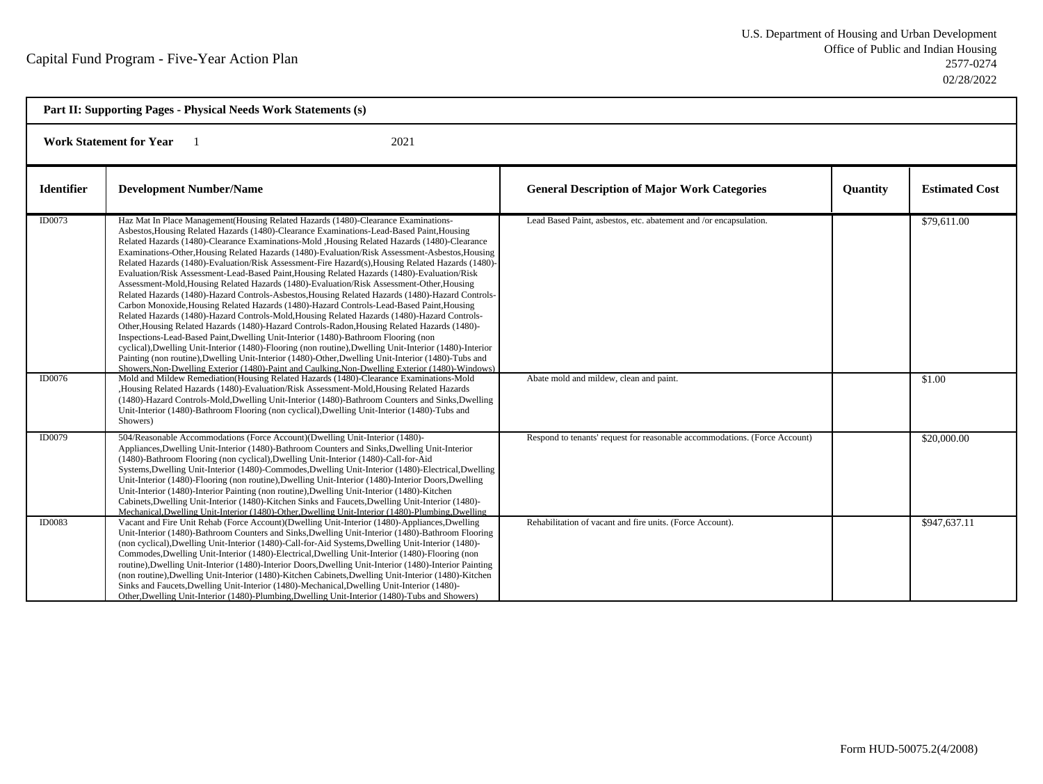| Part II: Supporting Pages - Physical Needs Work Statements (s) |                                                                                                                                                                                                                                                                                                                                                                                                                                                                                                                                                                                                                                                                                                                                                                                                                                                                                                                                                                                                                                                                                                                                                                                                                                                                                                                                                                                                                                                                                                                                                                                                                                                                                                                                                                                                                                                                                             |                                                                                                              |                 |                       |  |
|----------------------------------------------------------------|---------------------------------------------------------------------------------------------------------------------------------------------------------------------------------------------------------------------------------------------------------------------------------------------------------------------------------------------------------------------------------------------------------------------------------------------------------------------------------------------------------------------------------------------------------------------------------------------------------------------------------------------------------------------------------------------------------------------------------------------------------------------------------------------------------------------------------------------------------------------------------------------------------------------------------------------------------------------------------------------------------------------------------------------------------------------------------------------------------------------------------------------------------------------------------------------------------------------------------------------------------------------------------------------------------------------------------------------------------------------------------------------------------------------------------------------------------------------------------------------------------------------------------------------------------------------------------------------------------------------------------------------------------------------------------------------------------------------------------------------------------------------------------------------------------------------------------------------------------------------------------------------|--------------------------------------------------------------------------------------------------------------|-----------------|-----------------------|--|
| <b>Work Statement for Year</b><br>2021                         |                                                                                                                                                                                                                                                                                                                                                                                                                                                                                                                                                                                                                                                                                                                                                                                                                                                                                                                                                                                                                                                                                                                                                                                                                                                                                                                                                                                                                                                                                                                                                                                                                                                                                                                                                                                                                                                                                             |                                                                                                              |                 |                       |  |
| <b>Identifier</b>                                              | <b>Development Number/Name</b>                                                                                                                                                                                                                                                                                                                                                                                                                                                                                                                                                                                                                                                                                                                                                                                                                                                                                                                                                                                                                                                                                                                                                                                                                                                                                                                                                                                                                                                                                                                                                                                                                                                                                                                                                                                                                                                              | <b>General Description of Major Work Categories</b>                                                          | <b>Quantity</b> | <b>Estimated Cost</b> |  |
| ID0073<br><b>ID0076</b>                                        | Haz Mat In Place Management (Housing Related Hazards (1480)-Clearance Examinations-<br>Asbestos, Housing Related Hazards (1480)-Clearance Examinations-Lead-Based Paint, Housing<br>Related Hazards (1480)-Clearance Examinations-Mold , Housing Related Hazards (1480)-Clearance<br>Examinations-Other, Housing Related Hazards (1480)-Evaluation/Risk Assessment-Asbestos, Housing<br>Related Hazards (1480)-Evaluation/Risk Assessment-Fire Hazard(s), Housing Related Hazards (1480)-<br>Evaluation/Risk Assessment-Lead-Based Paint, Housing Related Hazards (1480)-Evaluation/Risk<br>Assessment-Mold, Housing Related Hazards (1480)-Evaluation/Risk Assessment-Other, Housing<br>Related Hazards (1480)-Hazard Controls-Asbestos, Housing Related Hazards (1480)-Hazard Controls-<br>Carbon Monoxide, Housing Related Hazards (1480)-Hazard Controls-Lead-Based Paint, Housing<br>Related Hazards (1480)-Hazard Controls-Mold, Housing Related Hazards (1480)-Hazard Controls-<br>Other, Housing Related Hazards (1480)-Hazard Controls-Radon, Housing Related Hazards (1480)-<br>Inspections-Lead-Based Paint, Dwelling Unit-Interior (1480)-Bathroom Flooring (non<br>cyclical), Dwelling Unit-Interior (1480)-Flooring (non routine), Dwelling Unit-Interior (1480)-Interior<br>Painting (non routine), Dwelling Unit-Interior (1480)-Other, Dwelling Unit-Interior (1480)-Tubs and<br>Showers. Non-Dwelling Exterior (1480)-Paint and Caulking, Non-Dwelling Exterior (1480)-Windows)<br>Mold and Mildew Remediation(Housing Related Hazards (1480)-Clearance Examinations-Mold<br>Housing Related Hazards (1480)-Evaluation/Risk Assessment-Mold, Housing Related Hazards<br>(1480)-Hazard Controls-Mold, Dwelling Unit-Interior (1480)-Bathroom Counters and Sinks, Dwelling<br>Unit-Interior (1480)-Bathroom Flooring (non cyclical), Dwelling Unit-Interior (1480)-Tubs and | Lead Based Paint, asbestos, etc. abatement and /or encapsulation.<br>Abate mold and mildew, clean and paint. |                 | \$79,611.00<br>\$1.00 |  |
| ID0079                                                         | Showers)<br>504/Reasonable Accommodations (Force Account)(Dwelling Unit-Interior (1480)-                                                                                                                                                                                                                                                                                                                                                                                                                                                                                                                                                                                                                                                                                                                                                                                                                                                                                                                                                                                                                                                                                                                                                                                                                                                                                                                                                                                                                                                                                                                                                                                                                                                                                                                                                                                                    |                                                                                                              |                 |                       |  |
|                                                                | Appliances, Dwelling Unit-Interior (1480)-Bathroom Counters and Sinks, Dwelling Unit-Interior<br>(1480)-Bathroom Flooring (non cyclical), Dwelling Unit-Interior (1480)-Call-for-Aid<br>Systems, Dwelling Unit-Interior (1480)-Commodes, Dwelling Unit-Interior (1480)-Electrical, Dwelling<br>Unit-Interior (1480)-Flooring (non routine), Dwelling Unit-Interior (1480)-Interior Doors, Dwelling<br>Unit-Interior (1480)-Interior Painting (non routine), Dwelling Unit-Interior (1480)-Kitchen<br>Cabinets, Dwelling Unit-Interior (1480)-Kitchen Sinks and Faucets, Dwelling Unit-Interior (1480)-<br>Mechanical, Dwelling Unit-Interior (1480)-Other, Dwelling Unit-Interior (1480)-Plumbing, Dwelling                                                                                                                                                                                                                                                                                                                                                                                                                                                                                                                                                                                                                                                                                                                                                                                                                                                                                                                                                                                                                                                                                                                                                                                 | Respond to tenants' request for reasonable accommodations. (Force Account)                                   |                 | \$20,000.00           |  |
| <b>ID0083</b>                                                  | Vacant and Fire Unit Rehab (Force Account)(Dwelling Unit-Interior (1480)-Appliances, Dwelling<br>Unit-Interior (1480)-Bathroom Counters and Sinks, Dwelling Unit-Interior (1480)-Bathroom Flooring<br>(non cyclical), Dwelling Unit-Interior (1480)-Call-for-Aid Systems, Dwelling Unit-Interior (1480)-<br>Commodes, Dwelling Unit-Interior (1480)-Electrical, Dwelling Unit-Interior (1480)-Flooring (non<br>routine), Dwelling Unit-Interior (1480)-Interior Doors, Dwelling Unit-Interior (1480)-Interior Painting<br>(non routine), Dwelling Unit-Interior (1480)-Kitchen Cabinets, Dwelling Unit-Interior (1480)-Kitchen<br>Sinks and Faucets, Dwelling Unit-Interior (1480)-Mechanical, Dwelling Unit-Interior (1480)-<br>Other, Dwelling Unit-Interior (1480)-Plumbing, Dwelling Unit-Interior (1480)-Tubs and Showers)                                                                                                                                                                                                                                                                                                                                                                                                                                                                                                                                                                                                                                                                                                                                                                                                                                                                                                                                                                                                                                                             | Rehabilitation of vacant and fire units. (Force Account).                                                    |                 | \$947,637.11          |  |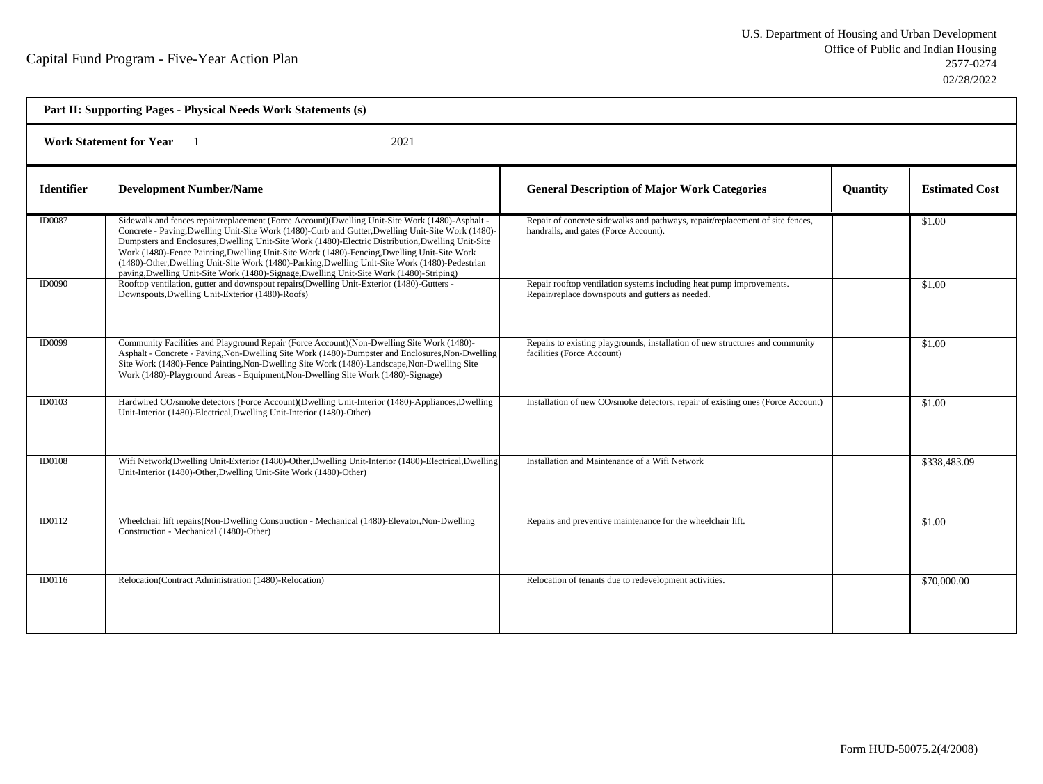| Part II: Supporting Pages - Physical Needs Work Statements (s) |                                                                                                                                                                                                                                                                                                                                                                                                                                                                                                                                                                                                           |                                                                                                                          |                 |                       |  |
|----------------------------------------------------------------|-----------------------------------------------------------------------------------------------------------------------------------------------------------------------------------------------------------------------------------------------------------------------------------------------------------------------------------------------------------------------------------------------------------------------------------------------------------------------------------------------------------------------------------------------------------------------------------------------------------|--------------------------------------------------------------------------------------------------------------------------|-----------------|-----------------------|--|
| <b>Work Statement for Year</b><br>2021                         |                                                                                                                                                                                                                                                                                                                                                                                                                                                                                                                                                                                                           |                                                                                                                          |                 |                       |  |
| <b>Identifier</b>                                              | <b>Development Number/Name</b>                                                                                                                                                                                                                                                                                                                                                                                                                                                                                                                                                                            | <b>General Description of Major Work Categories</b>                                                                      | <b>Quantity</b> | <b>Estimated Cost</b> |  |
| <b>ID0087</b>                                                  | Sidewalk and fences repair/replacement (Force Account)(Dwelling Unit-Site Work (1480)-Asphalt -<br>Concrete - Paving, Dwelling Unit-Site Work (1480)-Curb and Gutter, Dwelling Unit-Site Work (1480)-<br>Dumpsters and Enclosures, Dwelling Unit-Site Work (1480)-Electric Distribution, Dwelling Unit-Site<br>Work (1480)-Fence Painting, Dwelling Unit-Site Work (1480)-Fencing, Dwelling Unit-Site Work<br>(1480)-Other, Dwelling Unit-Site Work (1480)-Parking, Dwelling Unit-Site Work (1480)-Pedestrian<br>paving, Dwelling Unit-Site Work (1480)-Signage, Dwelling Unit-Site Work (1480)-Striping) | Repair of concrete sidewalks and pathways, repair/replacement of site fences,<br>handrails, and gates (Force Account).   |                 | \$1.00                |  |
| <b>ID0090</b>                                                  | Rooftop ventilation, gutter and downspout repairs(Dwelling Unit-Exterior (1480)-Gutters -<br>Downspouts, Dwelling Unit-Exterior (1480)-Roofs)                                                                                                                                                                                                                                                                                                                                                                                                                                                             | Repair rooftop ventilation systems including heat pump improvements.<br>Repair/replace downspouts and gutters as needed. |                 | \$1.00                |  |
| <b>ID0099</b>                                                  | Community Facilities and Playground Repair (Force Account) (Non-Dwelling Site Work (1480)-<br>Asphalt - Concrete - Paving, Non-Dwelling Site Work (1480)-Dumpster and Enclosures, Non-Dwelling<br>Site Work (1480)-Fence Painting, Non-Dwelling Site Work (1480)-Landscape, Non-Dwelling Site<br>Work (1480)-Playground Areas - Equipment, Non-Dwelling Site Work (1480)-Signage)                                                                                                                                                                                                                         | Repairs to existing playgrounds, installation of new structures and community<br>facilities (Force Account)              |                 | \$1.00                |  |
| <b>ID0103</b>                                                  | Hardwired CO/smoke detectors (Force Account)(Dwelling Unit-Interior (1480)-Appliances,Dwelling<br>Unit-Interior (1480)-Electrical, Dwelling Unit-Interior (1480)-Other)                                                                                                                                                                                                                                                                                                                                                                                                                                   | Installation of new CO/smoke detectors, repair of existing ones (Force Account)                                          |                 | \$1.00                |  |
| <b>ID0108</b>                                                  | Wifi Network(Dwelling Unit-Exterior (1480)-Other, Dwelling Unit-Interior (1480)-Electrical, Dwelling<br>Unit-Interior (1480)-Other, Dwelling Unit-Site Work (1480)-Other)                                                                                                                                                                                                                                                                                                                                                                                                                                 | Installation and Maintenance of a Wifi Network                                                                           |                 | \$338,483.09          |  |
| ID0112                                                         | Wheelchair lift repairs (Non-Dwelling Construction - Mechanical (1480)-Elevator, Non-Dwelling<br>Construction - Mechanical (1480)-Other)                                                                                                                                                                                                                                                                                                                                                                                                                                                                  | Repairs and preventive maintenance for the wheelchair lift.                                                              |                 | \$1.00                |  |
| ID0116                                                         | Relocation(Contract Administration (1480)-Relocation)                                                                                                                                                                                                                                                                                                                                                                                                                                                                                                                                                     | Relocation of tenants due to redevelopment activities.                                                                   |                 | \$70,000.00           |  |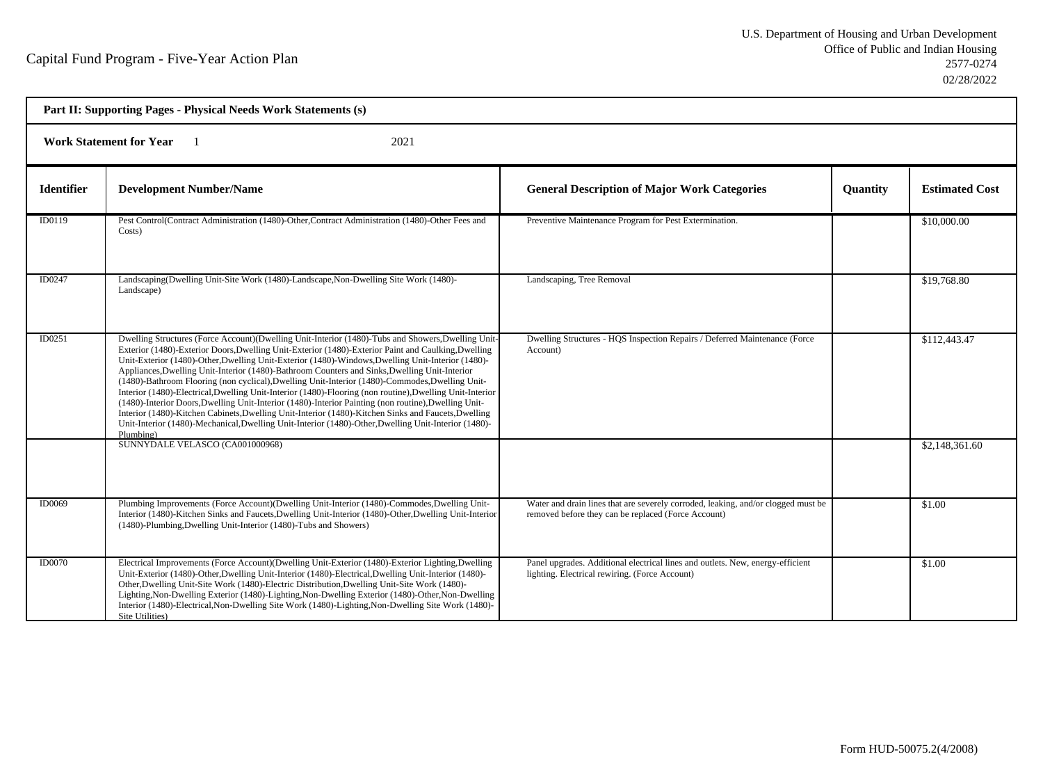h

| Part II: Supporting Pages - Physical Needs Work Statements (s) |                                                                                                                                                                                                                                                                                                                                                                                                                                                                                                                                                                                                                                                                                                                                                                                                                                                                                                                                                                    |                                                                                                                                          |                 |                       |  |
|----------------------------------------------------------------|--------------------------------------------------------------------------------------------------------------------------------------------------------------------------------------------------------------------------------------------------------------------------------------------------------------------------------------------------------------------------------------------------------------------------------------------------------------------------------------------------------------------------------------------------------------------------------------------------------------------------------------------------------------------------------------------------------------------------------------------------------------------------------------------------------------------------------------------------------------------------------------------------------------------------------------------------------------------|------------------------------------------------------------------------------------------------------------------------------------------|-----------------|-----------------------|--|
| <b>Work Statement for Year</b><br>2021                         |                                                                                                                                                                                                                                                                                                                                                                                                                                                                                                                                                                                                                                                                                                                                                                                                                                                                                                                                                                    |                                                                                                                                          |                 |                       |  |
| <b>Identifier</b>                                              | <b>Development Number/Name</b>                                                                                                                                                                                                                                                                                                                                                                                                                                                                                                                                                                                                                                                                                                                                                                                                                                                                                                                                     | <b>General Description of Major Work Categories</b>                                                                                      | <b>Ouantity</b> | <b>Estimated Cost</b> |  |
| ID0119                                                         | Pest Control(Contract Administration (1480)-Other, Contract Administration (1480)-Other Fees and<br>Costs)                                                                                                                                                                                                                                                                                                                                                                                                                                                                                                                                                                                                                                                                                                                                                                                                                                                         | Preventive Maintenance Program for Pest Extermination.                                                                                   |                 | \$10,000.00           |  |
| ID0247                                                         | Landscaping(Dwelling Unit-Site Work (1480)-Landscape, Non-Dwelling Site Work (1480)-<br>Landscape)                                                                                                                                                                                                                                                                                                                                                                                                                                                                                                                                                                                                                                                                                                                                                                                                                                                                 | Landscaping, Tree Removal                                                                                                                |                 | \$19,768.80           |  |
| ID0251                                                         | Dwelling Structures (Force Account)(Dwelling Unit-Interior (1480)-Tubs and Showers, Dwelling Unit-<br>Exterior (1480)-Exterior Doors, Dwelling Unit-Exterior (1480)-Exterior Paint and Caulking, Dwelling<br>Unit-Exterior (1480)-Other, Dwelling Unit-Exterior (1480)-Windows, Dwelling Unit-Interior (1480)-<br>Appliances, Dwelling Unit-Interior (1480)-Bathroom Counters and Sinks, Dwelling Unit-Interior<br>(1480)-Bathroom Flooring (non cyclical), Dwelling Unit-Interior (1480)-Commodes, Dwelling Unit-<br>Interior (1480)-Electrical, Dwelling Unit-Interior (1480)-Flooring (non routine), Dwelling Unit-Interior<br>(1480)-Interior Doors, Dwelling Unit-Interior (1480)-Interior Painting (non routine), Dwelling Unit-<br>Interior (1480)-Kitchen Cabinets, Dwelling Unit-Interior (1480)-Kitchen Sinks and Faucets, Dwelling<br>Unit-Interior (1480)-Mechanical, Dwelling Unit-Interior (1480)-Other, Dwelling Unit-Interior (1480)-<br>Plumbing) | Dwelling Structures - HQS Inspection Repairs / Deferred Maintenance (Force<br>Account)                                                   |                 | \$112,443.47          |  |
|                                                                | SUNNYDALE VELASCO (CA001000968)                                                                                                                                                                                                                                                                                                                                                                                                                                                                                                                                                                                                                                                                                                                                                                                                                                                                                                                                    |                                                                                                                                          |                 | \$2,148,361.60        |  |
| ID0069                                                         | Plumbing Improvements (Force Account)(Dwelling Unit-Interior (1480)-Commodes, Dwelling Unit-<br>Interior (1480)-Kitchen Sinks and Faucets, Dwelling Unit-Interior (1480)-Other, Dwelling Unit-Interior<br>(1480)-Plumbing, Dwelling Unit-Interior (1480)-Tubs and Showers)                                                                                                                                                                                                                                                                                                                                                                                                                                                                                                                                                                                                                                                                                         | Water and drain lines that are severely corroded, leaking, and/or clogged must be<br>removed before they can be replaced (Force Account) |                 | \$1.00                |  |
| <b>ID0070</b>                                                  | Electrical Improvements (Force Account)(Dwelling Unit-Exterior (1480)-Exterior Lighting,Dwelling<br>Unit-Exterior (1480)-Other, Dwelling Unit-Interior (1480)-Electrical, Dwelling Unit-Interior (1480)-<br>Other, Dwelling Unit-Site Work (1480)-Electric Distribution, Dwelling Unit-Site Work (1480)-<br>Lighting, Non-Dwelling Exterior (1480)-Lighting, Non-Dwelling Exterior (1480)-Other, Non-Dwelling<br>Interior (1480)-Electrical, Non-Dwelling Site Work (1480)-Lighting, Non-Dwelling Site Work (1480)-<br>Site Utilities)                                                                                                                                                                                                                                                                                                                                                                                                                             | Panel upgrades. Additional electrical lines and outlets. New, energy-efficient<br>lighting. Electrical rewiring. (Force Account)         |                 | \$1.00                |  |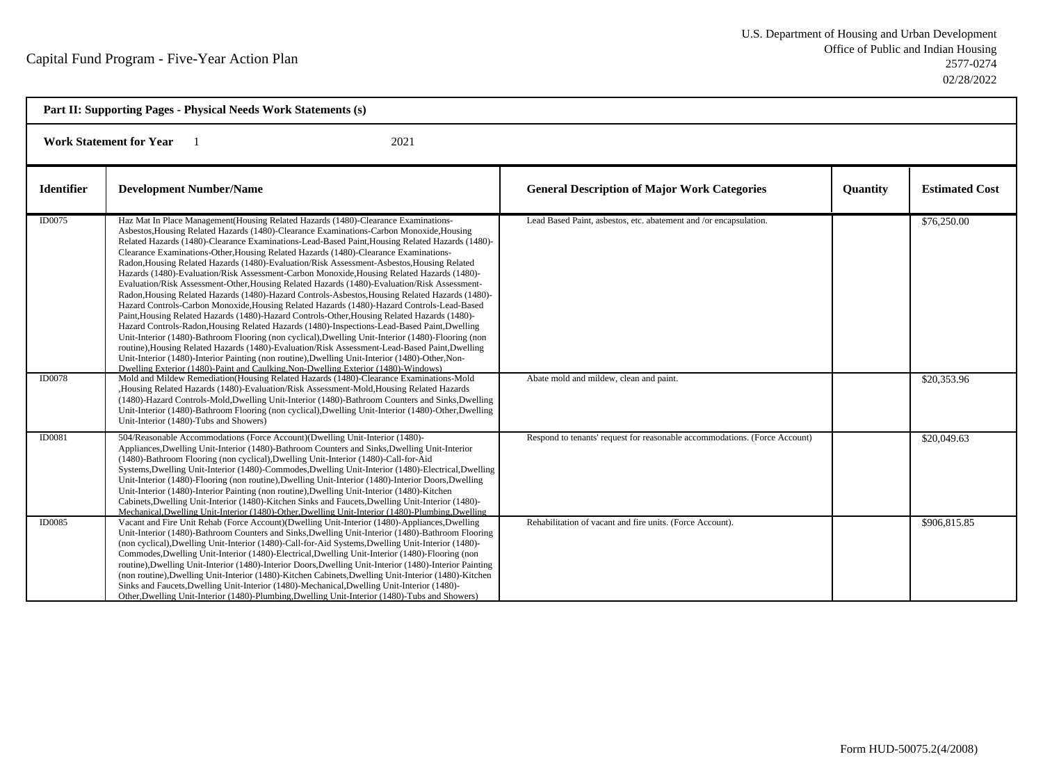| Part II: Supporting Pages - Physical Needs Work Statements (s) |                                                                                                                                                                                                                                                                                                                                                                                                                                                                                                                                                                                                                                                                                                                                                                                                                                                                                                                                                                                                                                                                                                                                                                                                                                                                                                                                                                                                                                                                                                                                                                                                                                                              |                                                                                                              |                 |                            |  |
|----------------------------------------------------------------|--------------------------------------------------------------------------------------------------------------------------------------------------------------------------------------------------------------------------------------------------------------------------------------------------------------------------------------------------------------------------------------------------------------------------------------------------------------------------------------------------------------------------------------------------------------------------------------------------------------------------------------------------------------------------------------------------------------------------------------------------------------------------------------------------------------------------------------------------------------------------------------------------------------------------------------------------------------------------------------------------------------------------------------------------------------------------------------------------------------------------------------------------------------------------------------------------------------------------------------------------------------------------------------------------------------------------------------------------------------------------------------------------------------------------------------------------------------------------------------------------------------------------------------------------------------------------------------------------------------------------------------------------------------|--------------------------------------------------------------------------------------------------------------|-----------------|----------------------------|--|
| <b>Work Statement for Year</b><br>2021                         |                                                                                                                                                                                                                                                                                                                                                                                                                                                                                                                                                                                                                                                                                                                                                                                                                                                                                                                                                                                                                                                                                                                                                                                                                                                                                                                                                                                                                                                                                                                                                                                                                                                              |                                                                                                              |                 |                            |  |
| <b>Identifier</b>                                              | <b>Development Number/Name</b>                                                                                                                                                                                                                                                                                                                                                                                                                                                                                                                                                                                                                                                                                                                                                                                                                                                                                                                                                                                                                                                                                                                                                                                                                                                                                                                                                                                                                                                                                                                                                                                                                               | <b>General Description of Major Work Categories</b>                                                          | <b>Quantity</b> | <b>Estimated Cost</b>      |  |
| ID0075<br><b>ID0078</b>                                        | Haz Mat In Place Management (Housing Related Hazards (1480)-Clearance Examinations-<br>Asbestos, Housing Related Hazards (1480)-Clearance Examinations-Carbon Monoxide, Housing<br>Related Hazards (1480)-Clearance Examinations-Lead-Based Paint, Housing Related Hazards (1480)-<br>Clearance Examinations-Other, Housing Related Hazards (1480)-Clearance Examinations-<br>Radon, Housing Related Hazards (1480)-Evaluation/Risk Assessment-Asbestos, Housing Related<br>Hazards (1480)-Evaluation/Risk Assessment-Carbon Monoxide, Housing Related Hazards (1480)-<br>Evaluation/Risk Assessment-Other, Housing Related Hazards (1480)-Evaluation/Risk Assessment-<br>Radon, Housing Related Hazards (1480)-Hazard Controls-Asbestos, Housing Related Hazards (1480)-<br>Hazard Controls-Carbon Monoxide, Housing Related Hazards (1480)-Hazard Controls-Lead-Based<br>Paint, Housing Related Hazards (1480)-Hazard Controls-Other, Housing Related Hazards (1480)-<br>Hazard Controls-Radon, Housing Related Hazards (1480)-Inspections-Lead-Based Paint, Dwelling<br>Unit-Interior (1480)-Bathroom Flooring (non cyclical), Dwelling Unit-Interior (1480)-Flooring (non<br>routine), Housing Related Hazards (1480)-Evaluation/Risk Assessment-Lead-Based Paint, Dwelling<br>Unit-Interior (1480)-Interior Painting (non routine), Dwelling Unit-Interior (1480)-Other, Non-<br>Dwelling Exterior (1480)-Paint and Caulking Non-Dwelling Exterior (1480)-Windows)<br>Mold and Mildew Remediation(Housing Related Hazards (1480)-Clearance Examinations-Mold<br>Housing Related Hazards (1480)-Evaluation/Risk Assessment-Mold, Housing Related Hazards | Lead Based Paint, asbestos, etc. abatement and /or encapsulation.<br>Abate mold and mildew, clean and paint. |                 | \$76,250.00<br>\$20,353.96 |  |
|                                                                | (1480)-Hazard Controls-Mold, Dwelling Unit-Interior (1480)-Bathroom Counters and Sinks, Dwelling<br>Unit-Interior (1480)-Bathroom Flooring (non cyclical), Dwelling Unit-Interior (1480)-Other, Dwelling<br>Unit-Interior (1480)-Tubs and Showers)                                                                                                                                                                                                                                                                                                                                                                                                                                                                                                                                                                                                                                                                                                                                                                                                                                                                                                                                                                                                                                                                                                                                                                                                                                                                                                                                                                                                           |                                                                                                              |                 |                            |  |
| <b>ID0081</b>                                                  | 504/Reasonable Accommodations (Force Account)(Dwelling Unit-Interior (1480)-<br>Appliances, Dwelling Unit-Interior (1480)-Bathroom Counters and Sinks, Dwelling Unit-Interior<br>(1480)-Bathroom Flooring (non cyclical), Dwelling Unit-Interior (1480)-Call-for-Aid<br>Systems, Dwelling Unit-Interior (1480)-Commodes, Dwelling Unit-Interior (1480)-Electrical, Dwelling<br>Unit-Interior (1480)-Flooring (non routine), Dwelling Unit-Interior (1480)-Interior Doors, Dwelling<br>Unit-Interior (1480)-Interior Painting (non routine), Dwelling Unit-Interior (1480)-Kitchen<br>Cabinets, Dwelling Unit-Interior (1480)-Kitchen Sinks and Faucets, Dwelling Unit-Interior (1480)-<br>Mechanical, Dwelling Unit-Interior (1480)-Other, Dwelling Unit-Interior (1480)-Plumbing, Dwelling                                                                                                                                                                                                                                                                                                                                                                                                                                                                                                                                                                                                                                                                                                                                                                                                                                                                  | Respond to tenants' request for reasonable accommodations. (Force Account)                                   |                 | \$20,049.63                |  |
| <b>ID0085</b>                                                  | Vacant and Fire Unit Rehab (Force Account)(Dwelling Unit-Interior (1480)-Appliances, Dwelling<br>Unit-Interior (1480)-Bathroom Counters and Sinks, Dwelling Unit-Interior (1480)-Bathroom Flooring<br>(non cyclical), Dwelling Unit-Interior (1480)-Call-for-Aid Systems, Dwelling Unit-Interior (1480)-<br>Commodes, Dwelling Unit-Interior (1480)-Electrical, Dwelling Unit-Interior (1480)-Flooring (non<br>routine), Dwelling Unit-Interior (1480)-Interior Doors, Dwelling Unit-Interior (1480)-Interior Painting<br>(non routine), Dwelling Unit-Interior (1480)-Kitchen Cabinets, Dwelling Unit-Interior (1480)-Kitchen<br>Sinks and Faucets, Dwelling Unit-Interior (1480)-Mechanical, Dwelling Unit-Interior (1480)-<br>Other, Dwelling Unit-Interior (1480)-Plumbing, Dwelling Unit-Interior (1480)-Tubs and Showers)                                                                                                                                                                                                                                                                                                                                                                                                                                                                                                                                                                                                                                                                                                                                                                                                                              | Rehabilitation of vacant and fire units. (Force Account).                                                    |                 | \$906,815.85               |  |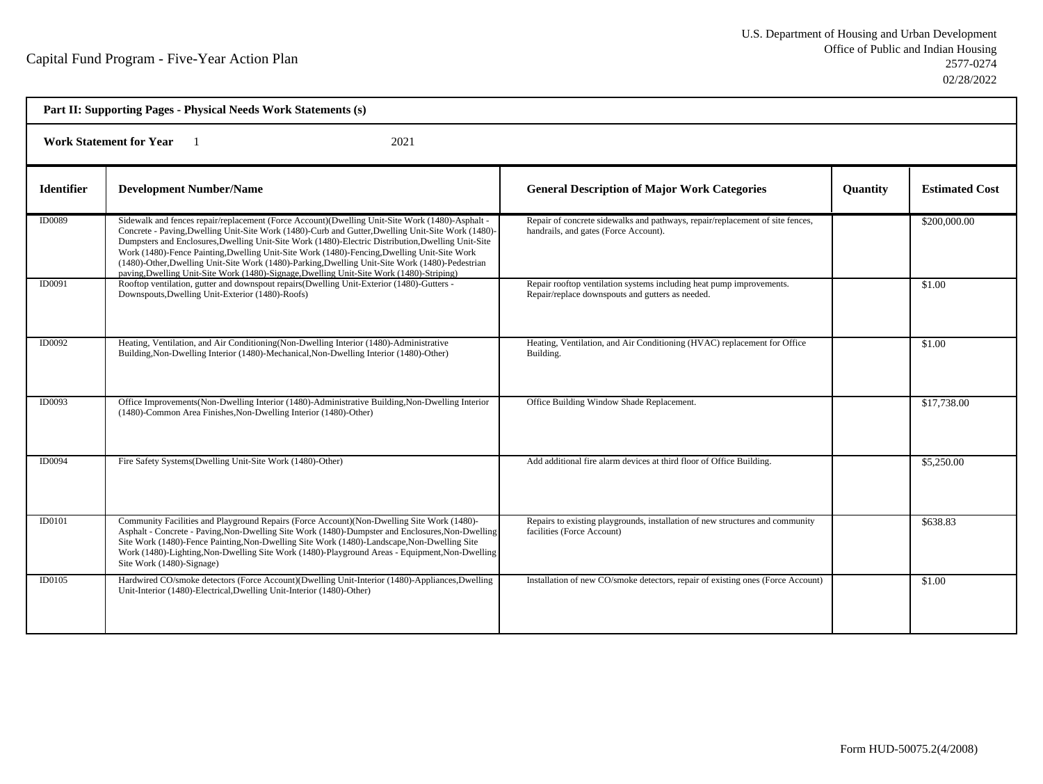| Part II: Supporting Pages - Physical Needs Work Statements (s) |                                                                                                                                                                                                                                                                                                                                                                                                                                                                                                                                                                                                           |                                                                                                                          |                 |                       |  |
|----------------------------------------------------------------|-----------------------------------------------------------------------------------------------------------------------------------------------------------------------------------------------------------------------------------------------------------------------------------------------------------------------------------------------------------------------------------------------------------------------------------------------------------------------------------------------------------------------------------------------------------------------------------------------------------|--------------------------------------------------------------------------------------------------------------------------|-----------------|-----------------------|--|
| <b>Work Statement for Year</b><br>2021                         |                                                                                                                                                                                                                                                                                                                                                                                                                                                                                                                                                                                                           |                                                                                                                          |                 |                       |  |
| <b>Identifier</b>                                              | <b>Development Number/Name</b>                                                                                                                                                                                                                                                                                                                                                                                                                                                                                                                                                                            | <b>General Description of Major Work Categories</b>                                                                      | <b>Quantity</b> | <b>Estimated Cost</b> |  |
| <b>ID0089</b>                                                  | Sidewalk and fences repair/replacement (Force Account)(Dwelling Unit-Site Work (1480)-Asphalt -<br>Concrete - Paving, Dwelling Unit-Site Work (1480)-Curb and Gutter, Dwelling Unit-Site Work (1480)-<br>Dumpsters and Enclosures, Dwelling Unit-Site Work (1480)-Electric Distribution, Dwelling Unit-Site<br>Work (1480)-Fence Painting, Dwelling Unit-Site Work (1480)-Fencing, Dwelling Unit-Site Work<br>(1480)-Other, Dwelling Unit-Site Work (1480)-Parking, Dwelling Unit-Site Work (1480)-Pedestrian<br>paving, Dwelling Unit-Site Work (1480)-Signage, Dwelling Unit-Site Work (1480)-Striping) | Repair of concrete sidewalks and pathways, repair/replacement of site fences,<br>handrails, and gates (Force Account).   |                 | \$200,000.00          |  |
| ID0091                                                         | Rooftop ventilation, gutter and downspout repairs (Dwelling Unit-Exterior (1480)-Gutters -<br>Downspouts, Dwelling Unit-Exterior (1480)-Roofs)                                                                                                                                                                                                                                                                                                                                                                                                                                                            | Repair rooftop ventilation systems including heat pump improvements.<br>Repair/replace downspouts and gutters as needed. |                 | \$1.00                |  |
| ID0092                                                         | Heating, Ventilation, and Air Conditioning(Non-Dwelling Interior (1480)-Administrative<br>Building, Non-Dwelling Interior (1480)-Mechanical, Non-Dwelling Interior (1480)-Other)                                                                                                                                                                                                                                                                                                                                                                                                                          | Heating, Ventilation, and Air Conditioning (HVAC) replacement for Office<br>Building.                                    |                 | \$1.00                |  |
| ID0093                                                         | Office Improvements(Non-Dwelling Interior (1480)-Administrative Building, Non-Dwelling Interior<br>(1480)-Common Area Finishes, Non-Dwelling Interior (1480)-Other)                                                                                                                                                                                                                                                                                                                                                                                                                                       | Office Building Window Shade Replacement.                                                                                |                 | \$17,738.00           |  |
| <b>ID0094</b>                                                  | Fire Safety Systems(Dwelling Unit-Site Work (1480)-Other)                                                                                                                                                                                                                                                                                                                                                                                                                                                                                                                                                 | Add additional fire alarm devices at third floor of Office Building.                                                     |                 | \$5,250.00            |  |
| <b>ID0101</b>                                                  | Community Facilities and Playground Repairs (Force Account) (Non-Dwelling Site Work (1480)-<br>Asphalt - Concrete - Paving, Non-Dwelling Site Work (1480)-Dumpster and Enclosures, Non-Dwelling<br>Site Work (1480)-Fence Painting, Non-Dwelling Site Work (1480)-Landscape, Non-Dwelling Site<br>Work (1480)-Lighting, Non-Dwelling Site Work (1480)-Playground Areas - Equipment, Non-Dwelling<br>Site Work (1480)-Signage)                                                                                                                                                                             | Repairs to existing playgrounds, installation of new structures and community<br>facilities (Force Account)              |                 | 5638.83               |  |
| <b>ID0105</b>                                                  | Hardwired CO/smoke detectors (Force Account)(Dwelling Unit-Interior (1480)-Appliances,Dwelling<br>Unit-Interior (1480)-Electrical, Dwelling Unit-Interior (1480)-Other)                                                                                                                                                                                                                                                                                                                                                                                                                                   | Installation of new CO/smoke detectors, repair of existing ones (Force Account)                                          |                 | \$1.00                |  |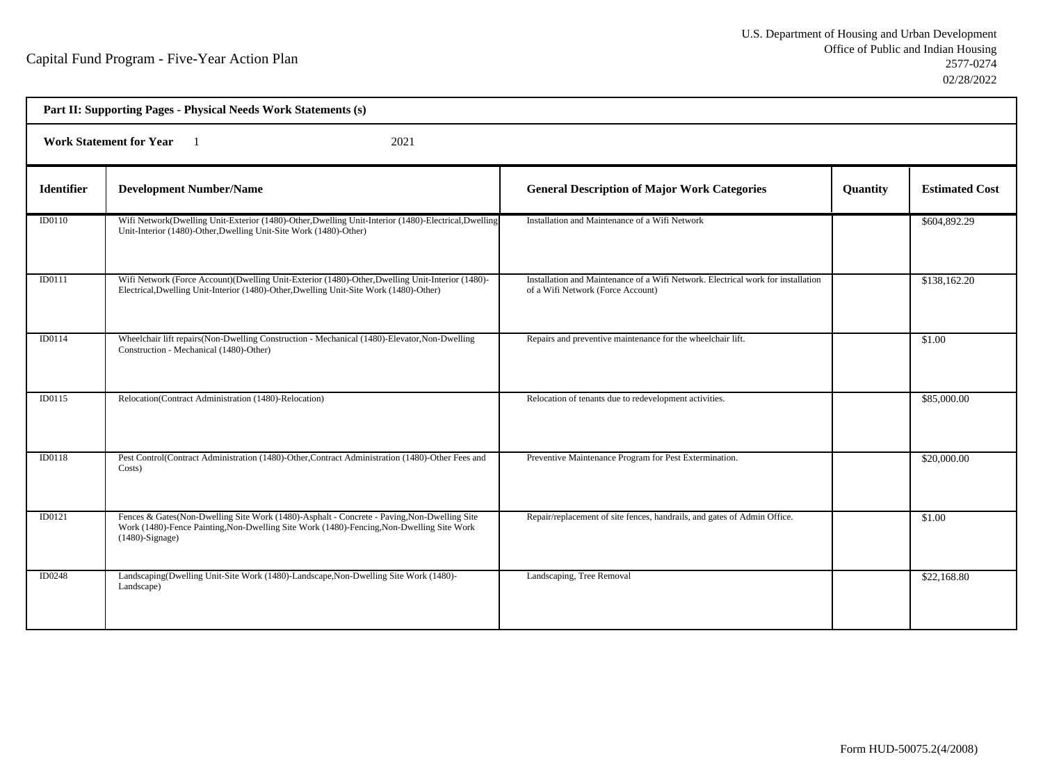| Part II: Supporting Pages - Physical Needs Work Statements (s) |                                                                                                                                                                                                                |                                                                                                                       |          |                       |  |  |  |
|----------------------------------------------------------------|----------------------------------------------------------------------------------------------------------------------------------------------------------------------------------------------------------------|-----------------------------------------------------------------------------------------------------------------------|----------|-----------------------|--|--|--|
|                                                                | <b>Work Statement for Year</b><br>2021<br>$\blacksquare$                                                                                                                                                       |                                                                                                                       |          |                       |  |  |  |
| <b>Identifier</b>                                              | <b>Development Number/Name</b>                                                                                                                                                                                 | <b>General Description of Major Work Categories</b>                                                                   | Quantity | <b>Estimated Cost</b> |  |  |  |
| ID0110                                                         | Wifi Network(Dwelling Unit-Exterior (1480)-Other, Dwelling Unit-Interior (1480)-Electrical, Dwelling<br>Unit-Interior (1480)-Other, Dwelling Unit-Site Work (1480)-Other)                                      | Installation and Maintenance of a Wifi Network                                                                        |          | \$604,892.29          |  |  |  |
| ID0111                                                         | Wifi Network (Force Account)(Dwelling Unit-Exterior (1480)-Other, Dwelling Unit-Interior (1480)-<br>Electrical, Dwelling Unit-Interior (1480)-Other, Dwelling Unit-Site Work (1480)-Other)                     | Installation and Maintenance of a Wifi Network. Electrical work for installation<br>of a Wifi Network (Force Account) |          | \$138,162.20          |  |  |  |
| ID0114                                                         | Wheelchair lift repairs (Non-Dwelling Construction - Mechanical (1480)-Elevator, Non-Dwelling<br>Construction - Mechanical (1480)-Other)                                                                       | Repairs and preventive maintenance for the wheelchair lift.                                                           |          | \$1.00                |  |  |  |
| ID0115                                                         | Relocation(Contract Administration (1480)-Relocation)                                                                                                                                                          | Relocation of tenants due to redevelopment activities.                                                                |          | \$85,000.00           |  |  |  |
| ID0118                                                         | Pest Control(Contract Administration (1480)-Other, Contract Administration (1480)-Other Fees and<br>Costs)                                                                                                     | Preventive Maintenance Program for Pest Extermination.                                                                |          | \$20,000.00           |  |  |  |
| ID0121                                                         | Fences & Gates(Non-Dwelling Site Work (1480)-Asphalt - Concrete - Paving, Non-Dwelling Site<br>Work (1480)-Fence Painting, Non-Dwelling Site Work (1480)-Fencing, Non-Dwelling Site Work<br>$(1480)$ -Signage) | Repair/replacement of site fences, handrails, and gates of Admin Office.                                              |          | \$1.00                |  |  |  |
| <b>ID0248</b>                                                  | Landscaping(Dwelling Unit-Site Work (1480)-Landscape, Non-Dwelling Site Work (1480)-<br>Landscape)                                                                                                             | Landscaping, Tree Removal                                                                                             |          | \$22,168.80           |  |  |  |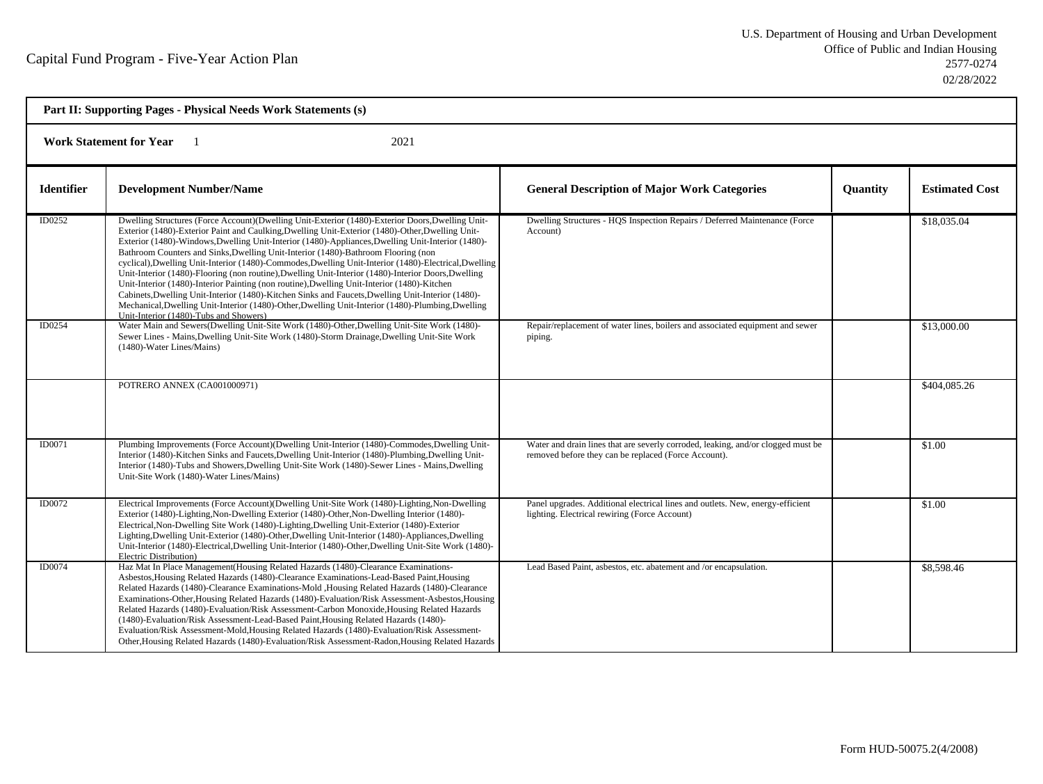| Part II: Supporting Pages - Physical Needs Work Statements (s) |                                                                                                                                                                                                                                                                                                                                                                                                                                                                                                                                                                                                                                                                                                                                                                                                                                                                                                                                                                   |                                                                                                                                          |                 |                       |  |
|----------------------------------------------------------------|-------------------------------------------------------------------------------------------------------------------------------------------------------------------------------------------------------------------------------------------------------------------------------------------------------------------------------------------------------------------------------------------------------------------------------------------------------------------------------------------------------------------------------------------------------------------------------------------------------------------------------------------------------------------------------------------------------------------------------------------------------------------------------------------------------------------------------------------------------------------------------------------------------------------------------------------------------------------|------------------------------------------------------------------------------------------------------------------------------------------|-----------------|-----------------------|--|
| <b>Work Statement for Year</b><br>2021                         |                                                                                                                                                                                                                                                                                                                                                                                                                                                                                                                                                                                                                                                                                                                                                                                                                                                                                                                                                                   |                                                                                                                                          |                 |                       |  |
| <b>Identifier</b>                                              | <b>Development Number/Name</b>                                                                                                                                                                                                                                                                                                                                                                                                                                                                                                                                                                                                                                                                                                                                                                                                                                                                                                                                    | <b>General Description of Major Work Categories</b>                                                                                      | <b>Quantity</b> | <b>Estimated Cost</b> |  |
| ID0252                                                         | Dwelling Structures (Force Account)(Dwelling Unit-Exterior (1480)-Exterior Doors, Dwelling Unit-<br>Exterior (1480)-Exterior Paint and Caulking, Dwelling Unit-Exterior (1480)-Other, Dwelling Unit-<br>Exterior (1480)-Windows, Dwelling Unit-Interior (1480)-Appliances, Dwelling Unit-Interior (1480)-<br>Bathroom Counters and Sinks, Dwelling Unit-Interior (1480)-Bathroom Flooring (non<br>cyclical), Dwelling Unit-Interior (1480)-Commodes, Dwelling Unit-Interior (1480)-Electrical, Dwelling<br>Unit-Interior (1480)-Flooring (non routine), Dwelling Unit-Interior (1480)-Interior Doors, Dwelling<br>Unit-Interior (1480)-Interior Painting (non routine), Dwelling Unit-Interior (1480)-Kitchen<br>Cabinets, Dwelling Unit-Interior (1480)-Kitchen Sinks and Faucets, Dwelling Unit-Interior (1480)-<br>Mechanical, Dwelling Unit-Interior (1480)-Other, Dwelling Unit-Interior (1480)-Plumbing, Dwelling<br>Unit-Interior (1480)-Tubs and Showers) | Dwelling Structures - HQS Inspection Repairs / Deferred Maintenance (Force<br>Account)                                                   |                 | \$18,035.04           |  |
| ID0254                                                         | Water Main and Sewers(Dwelling Unit-Site Work (1480)-Other, Dwelling Unit-Site Work (1480)-<br>Sewer Lines - Mains, Dwelling Unit-Site Work (1480)-Storm Drainage, Dwelling Unit-Site Work<br>(1480)-Water Lines/Mains)                                                                                                                                                                                                                                                                                                                                                                                                                                                                                                                                                                                                                                                                                                                                           | Repair/replacement of water lines, boilers and associated equipment and sewer<br>piping.                                                 |                 | \$13,000.00           |  |
|                                                                | POTRERO ANNEX (CA001000971)                                                                                                                                                                                                                                                                                                                                                                                                                                                                                                                                                                                                                                                                                                                                                                                                                                                                                                                                       |                                                                                                                                          |                 | \$404,085.26          |  |
| ID0071                                                         | Plumbing Improvements (Force Account)(Dwelling Unit-Interior (1480)-Commodes, Dwelling Unit-<br>Interior (1480)-Kitchen Sinks and Faucets, Dwelling Unit-Interior (1480)-Plumbing, Dwelling Unit-<br>Interior (1480)-Tubs and Showers, Dwelling Unit-Site Work (1480)-Sewer Lines - Mains, Dwelling<br>Unit-Site Work (1480)-Water Lines/Mains)                                                                                                                                                                                                                                                                                                                                                                                                                                                                                                                                                                                                                   | Water and drain lines that are severly corroded, leaking, and/or clogged must be<br>removed before they can be replaced (Force Account). |                 | \$1.00                |  |
| ID0072                                                         | Electrical Improvements (Force Account)(Dwelling Unit-Site Work (1480)-Lighting, Non-Dwelling<br>Exterior (1480)-Lighting, Non-Dwelling Exterior (1480)-Other, Non-Dwelling Interior (1480)-<br>Electrical, Non-Dwelling Site Work (1480)-Lighting, Dwelling Unit-Exterior (1480)-Exterior<br>Lighting, Dwelling Unit-Exterior (1480)-Other, Dwelling Unit-Interior (1480)-Appliances, Dwelling<br>Unit-Interior (1480)-Electrical,Dwelling Unit-Interior (1480)-Other,Dwelling Unit-Site Work (1480)-<br>Electric Distribution)                                                                                                                                                                                                                                                                                                                                                                                                                                  | Panel upgrades. Additional electrical lines and outlets. New, energy-efficient<br>lighting. Electrical rewiring (Force Account)          |                 | \$1.00                |  |
| ID0074                                                         | Haz Mat In Place Management (Housing Related Hazards (1480)-Clearance Examinations-<br>Asbestos, Housing Related Hazards (1480)-Clearance Examinations-Lead-Based Paint, Housing<br>Related Hazards (1480)-Clearance Examinations-Mold , Housing Related Hazards (1480)-Clearance<br>Examinations-Other, Housing Related Hazards (1480)-Evaluation/Risk Assessment-Asbestos, Housing<br>Related Hazards (1480)-Evaluation/Risk Assessment-Carbon Monoxide, Housing Related Hazards<br>(1480)-Evaluation/Risk Assessment-Lead-Based Paint, Housing Related Hazards (1480)-<br>Evaluation/Risk Assessment-Mold, Housing Related Hazards (1480)-Evaluation/Risk Assessment-<br>Other, Housing Related Hazards (1480)-Evaluation/Risk Assessment-Radon, Housing Related Hazards                                                                                                                                                                                       | Lead Based Paint, asbestos, etc. abatement and /or encapsulation.                                                                        |                 | \$8,598.46            |  |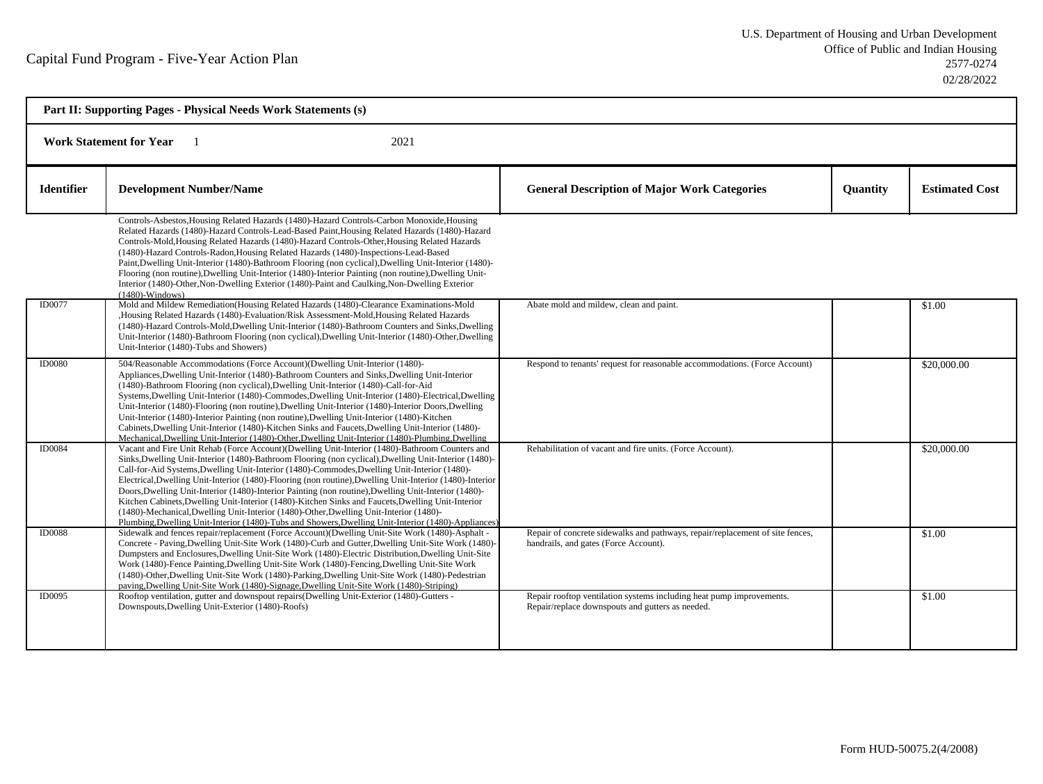| Part II: Supporting Pages - Physical Needs Work Statements (s) |                                                                                                                                                                                                                                                                                                                                                                                                                                                                                                                                                                                                                                                                                                                                                                                                                                  |                                                                                                                          |          |                       |  |  |  |
|----------------------------------------------------------------|----------------------------------------------------------------------------------------------------------------------------------------------------------------------------------------------------------------------------------------------------------------------------------------------------------------------------------------------------------------------------------------------------------------------------------------------------------------------------------------------------------------------------------------------------------------------------------------------------------------------------------------------------------------------------------------------------------------------------------------------------------------------------------------------------------------------------------|--------------------------------------------------------------------------------------------------------------------------|----------|-----------------------|--|--|--|
|                                                                | 2021<br><b>Work Statement for Year</b>                                                                                                                                                                                                                                                                                                                                                                                                                                                                                                                                                                                                                                                                                                                                                                                           |                                                                                                                          |          |                       |  |  |  |
| <b>Identifier</b>                                              | <b>Development Number/Name</b>                                                                                                                                                                                                                                                                                                                                                                                                                                                                                                                                                                                                                                                                                                                                                                                                   | <b>General Description of Major Work Categories</b>                                                                      | Quantity | <b>Estimated Cost</b> |  |  |  |
|                                                                | Controls-Asbestos, Housing Related Hazards (1480)-Hazard Controls-Carbon Monoxide, Housing<br>Related Hazards (1480)-Hazard Controls-Lead-Based Paint, Housing Related Hazards (1480)-Hazard<br>Controls-Mold, Housing Related Hazards (1480)-Hazard Controls-Other, Housing Related Hazards<br>(1480)-Hazard Controls-Radon, Housing Related Hazards (1480)-Inspections-Lead-Based<br>Paint, Dwelling Unit-Interior (1480)-Bathroom Flooring (non cyclical), Dwelling Unit-Interior (1480)-<br>Flooring (non routine), Dwelling Unit-Interior (1480)-Interior Painting (non routine), Dwelling Unit-<br>Interior (1480)-Other, Non-Dwelling Exterior (1480)-Paint and Caulking, Non-Dwelling Exterior<br>$(1480)$ -Windows)                                                                                                     |                                                                                                                          |          |                       |  |  |  |
| <b>ID0077</b>                                                  | Mold and Mildew Remediation (Housing Related Hazards (1480)-Clearance Examinations-Mold<br>,Housing Related Hazards (1480)-Evaluation/Risk Assessment-Mold,Housing Related Hazards<br>(1480)-Hazard Controls-Mold, Dwelling Unit-Interior (1480)-Bathroom Counters and Sinks, Dwelling<br>Unit-Interior (1480)-Bathroom Flooring (non cyclical), Dwelling Unit-Interior (1480)-Other, Dwelling<br>Unit-Interior (1480)-Tubs and Showers)                                                                                                                                                                                                                                                                                                                                                                                         | Abate mold and mildew, clean and paint.                                                                                  |          | \$1.00                |  |  |  |
| <b>ID0080</b>                                                  | 504/Reasonable Accommodations (Force Account)(Dwelling Unit-Interior (1480)-<br>Appliances, Dwelling Unit-Interior (1480)-Bathroom Counters and Sinks, Dwelling Unit-Interior<br>(1480)-Bathroom Flooring (non cyclical), Dwelling Unit-Interior (1480)-Call-for-Aid<br>Systems, Dwelling Unit-Interior (1480)-Commodes, Dwelling Unit-Interior (1480)-Electrical, Dwelling<br>Unit-Interior (1480)-Flooring (non routine), Dwelling Unit-Interior (1480)-Interior Doors, Dwelling<br>Unit-Interior (1480)-Interior Painting (non routine), Dwelling Unit-Interior (1480)-Kitchen<br>Cabinets, Dwelling Unit-Interior (1480)-Kitchen Sinks and Faucets, Dwelling Unit-Interior (1480)-<br>Mechanical, Dwelling Unit-Interior (1480)-Other, Dwelling Unit-Interior (1480)-Plumbing, Dwelling                                      | Respond to tenants' request for reasonable accommodations. (Force Account)                                               |          | \$20,000.00           |  |  |  |
| ID0084                                                         | Vacant and Fire Unit Rehab (Force Account)(Dwelling Unit-Interior (1480)-Bathroom Counters and<br>Sinks, Dwelling Unit-Interior (1480)-Bathroom Flooring (non cyclical), Dwelling Unit-Interior (1480)-<br>Call-for-Aid Systems, Dwelling Unit-Interior (1480)-Commodes, Dwelling Unit-Interior (1480)-<br>Electrical, Dwelling Unit-Interior (1480)-Flooring (non routine), Dwelling Unit-Interior (1480)-Interior<br>Doors, Dwelling Unit-Interior (1480)-Interior Painting (non routine), Dwelling Unit-Interior (1480)-<br>Kitchen Cabinets, Dwelling Unit-Interior (1480)-Kitchen Sinks and Faucets, Dwelling Unit-Interior<br>(1480)-Mechanical, Dwelling Unit-Interior (1480)-Other, Dwelling Unit-Interior (1480)-<br>Plumbing, Dwelling Unit-Interior (1480)-Tubs and Showers, Dwelling Unit-Interior (1480)-Appliances | Rehabilitation of vacant and fire units. (Force Account).                                                                |          | \$20,000.00           |  |  |  |
| <b>ID0088</b>                                                  | Sidewalk and fences repair/replacement (Force Account)(Dwelling Unit-Site Work (1480)-Asphalt -<br>Concrete - Paving, Dwelling Unit-Site Work (1480)-Curb and Gutter, Dwelling Unit-Site Work (1480)-<br>Dumpsters and Enclosures, Dwelling Unit-Site Work (1480)-Electric Distribution, Dwelling Unit-Site<br>Work (1480)-Fence Painting, Dwelling Unit-Site Work (1480)-Fencing, Dwelling Unit-Site Work<br>(1480)-Other, Dwelling Unit-Site Work (1480)-Parking, Dwelling Unit-Site Work (1480)-Pedestrian<br>paving, Dwelling Unit-Site Work (1480)-Signage, Dwelling Unit-Site Work (1480)-Striping)                                                                                                                                                                                                                        | Repair of concrete sidewalks and pathways, repair/replacement of site fences,<br>handrails, and gates (Force Account).   |          | \$1.00                |  |  |  |
| <b>ID0095</b>                                                  | Rooftop ventilation, gutter and downspout repairs (Dwelling Unit-Exterior (1480)-Gutters -<br>Downspouts, Dwelling Unit-Exterior (1480)-Roofs)                                                                                                                                                                                                                                                                                                                                                                                                                                                                                                                                                                                                                                                                                   | Repair rooftop ventilation systems including heat pump improvements.<br>Repair/replace downspouts and gutters as needed. |          | \$1.00                |  |  |  |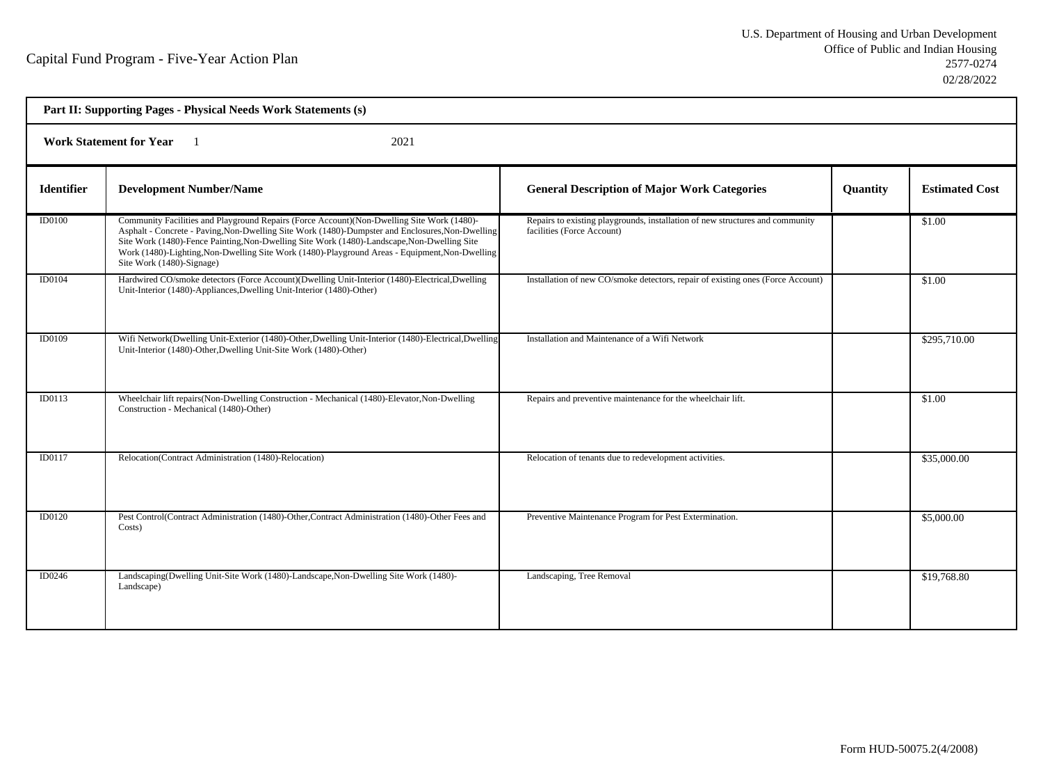| Part II: Supporting Pages - Physical Needs Work Statements (s) |                                                                                                                                                                                                                                                                                                                                                                                                                               |                                                                                                             |                 |                       |  |
|----------------------------------------------------------------|-------------------------------------------------------------------------------------------------------------------------------------------------------------------------------------------------------------------------------------------------------------------------------------------------------------------------------------------------------------------------------------------------------------------------------|-------------------------------------------------------------------------------------------------------------|-----------------|-----------------------|--|
| <b>Work Statement for Year</b><br>2021                         |                                                                                                                                                                                                                                                                                                                                                                                                                               |                                                                                                             |                 |                       |  |
| <b>Identifier</b>                                              | <b>Development Number/Name</b>                                                                                                                                                                                                                                                                                                                                                                                                | <b>General Description of Major Work Categories</b>                                                         | <b>Quantity</b> | <b>Estimated Cost</b> |  |
| <b>ID0100</b>                                                  | Community Facilities and Playground Repairs (Force Account) (Non-Dwelling Site Work (1480)-<br>Asphalt - Concrete - Paving, Non-Dwelling Site Work (1480)-Dumpster and Enclosures, Non-Dwelling<br>Site Work (1480)-Fence Painting, Non-Dwelling Site Work (1480)-Landscape, Non-Dwelling Site<br>Work (1480)-Lighting, Non-Dwelling Site Work (1480)-Playground Areas - Equipment, Non-Dwelling<br>Site Work (1480)-Signage) | Repairs to existing playgrounds, installation of new structures and community<br>facilities (Force Account) |                 | \$1.00                |  |
| ID0104                                                         | Hardwired CO/smoke detectors (Force Account)(Dwelling Unit-Interior (1480)-Electrical,Dwelling<br>Unit-Interior (1480)-Appliances, Dwelling Unit-Interior (1480)-Other)                                                                                                                                                                                                                                                       | Installation of new CO/smoke detectors, repair of existing ones (Force Account)                             |                 | \$1.00                |  |
| <b>ID0109</b>                                                  | Wifi Network(Dwelling Unit-Exterior (1480)-Other, Dwelling Unit-Interior (1480)-Electrical, Dwelling<br>Unit-Interior (1480)-Other, Dwelling Unit-Site Work (1480)-Other)                                                                                                                                                                                                                                                     | Installation and Maintenance of a Wifi Network                                                              |                 | \$295,710.00          |  |
| ID0113                                                         | Wheelchair lift repairs (Non-Dwelling Construction - Mechanical (1480)-Elevator, Non-Dwelling<br>Construction - Mechanical (1480)-Other)                                                                                                                                                                                                                                                                                      | Repairs and preventive maintenance for the wheelchair lift.                                                 |                 | \$1.00                |  |
| ID0117                                                         | Relocation(Contract Administration (1480)-Relocation)                                                                                                                                                                                                                                                                                                                                                                         | Relocation of tenants due to redevelopment activities.                                                      |                 | \$35,000.00           |  |
| ID0120                                                         | Pest Control(Contract Administration (1480)-Other, Contract Administration (1480)-Other Fees and<br>Costs)                                                                                                                                                                                                                                                                                                                    | Preventive Maintenance Program for Pest Extermination.                                                      |                 | \$5,000.00            |  |
| ID0246                                                         | Landscaping(Dwelling Unit-Site Work (1480)-Landscape, Non-Dwelling Site Work (1480)-<br>Landscape)                                                                                                                                                                                                                                                                                                                            | Landscaping, Tree Removal                                                                                   |                 | \$19,768.80           |  |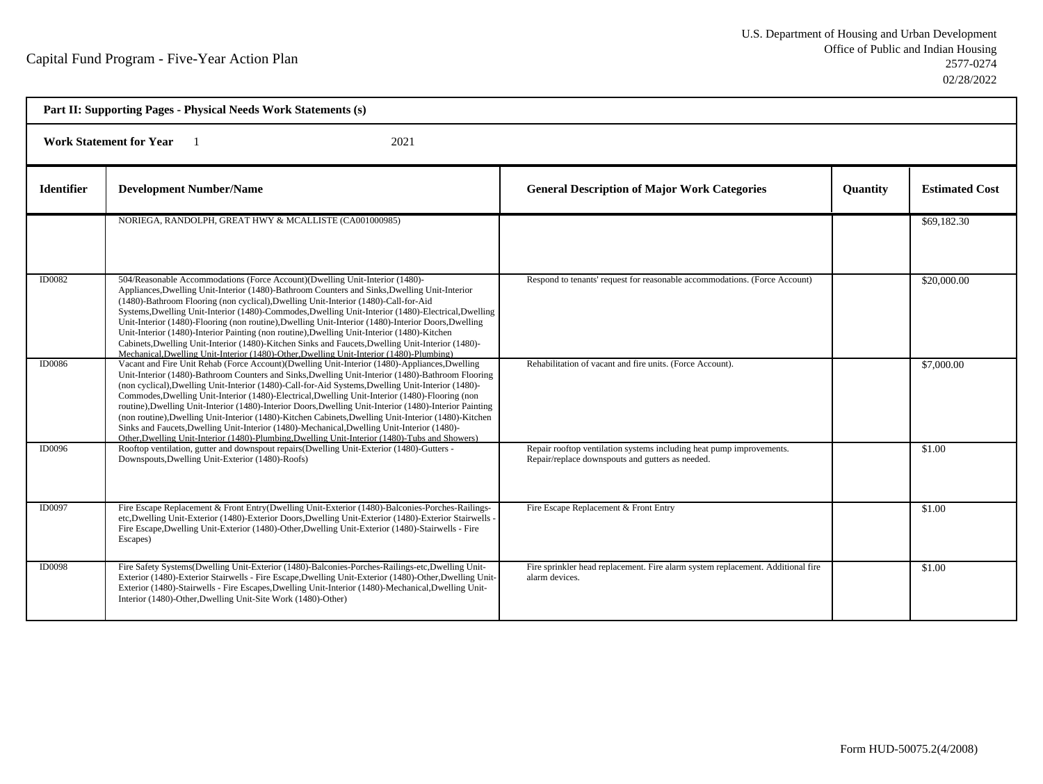| Part II: Supporting Pages - Physical Needs Work Statements (s) |                                                                                                                                                                                                                                                                                                                                                                                                                                                                                                                                                                                                                                                                                                                                                                                                                                 |                                                                                                                          |                 |                       |  |  |
|----------------------------------------------------------------|---------------------------------------------------------------------------------------------------------------------------------------------------------------------------------------------------------------------------------------------------------------------------------------------------------------------------------------------------------------------------------------------------------------------------------------------------------------------------------------------------------------------------------------------------------------------------------------------------------------------------------------------------------------------------------------------------------------------------------------------------------------------------------------------------------------------------------|--------------------------------------------------------------------------------------------------------------------------|-----------------|-----------------------|--|--|
|                                                                | <b>Work Statement for Year</b><br>2021                                                                                                                                                                                                                                                                                                                                                                                                                                                                                                                                                                                                                                                                                                                                                                                          |                                                                                                                          |                 |                       |  |  |
| <b>Identifier</b>                                              | <b>Development Number/Name</b>                                                                                                                                                                                                                                                                                                                                                                                                                                                                                                                                                                                                                                                                                                                                                                                                  | <b>General Description of Major Work Categories</b>                                                                      | <b>Ouantity</b> | <b>Estimated Cost</b> |  |  |
|                                                                | NORIEGA, RANDOLPH, GREAT HWY & MCALLISTE (CA001000985)                                                                                                                                                                                                                                                                                                                                                                                                                                                                                                                                                                                                                                                                                                                                                                          |                                                                                                                          |                 | \$69,182.30           |  |  |
| <b>ID0082</b>                                                  | 504/Reasonable Accommodations (Force Account)(Dwelling Unit-Interior (1480)-<br>Appliances, Dwelling Unit-Interior (1480)-Bathroom Counters and Sinks, Dwelling Unit-Interior<br>(1480)-Bathroom Flooring (non cyclical), Dwelling Unit-Interior (1480)-Call-for-Aid<br>Systems, Dwelling Unit-Interior (1480)-Commodes, Dwelling Unit-Interior (1480)-Electrical, Dwelling<br>Unit-Interior (1480)-Flooring (non routine), Dwelling Unit-Interior (1480)-Interior Doors, Dwelling<br>Unit-Interior (1480)-Interior Painting (non routine), Dwelling Unit-Interior (1480)-Kitchen<br>Cabinets, Dwelling Unit-Interior (1480)-Kitchen Sinks and Faucets, Dwelling Unit-Interior (1480)-<br>Mechanical, Dwelling Unit-Interior (1480)-Other, Dwelling Unit-Interior (1480)-Plumbing)                                              | Respond to tenants' request for reasonable accommodations. (Force Account)                                               |                 | \$20,000.00           |  |  |
| ID0086                                                         | Vacant and Fire Unit Rehab (Force Account)(Dwelling Unit-Interior (1480)-Appliances, Dwelling<br>Unit-Interior (1480)-Bathroom Counters and Sinks, Dwelling Unit-Interior (1480)-Bathroom Flooring<br>(non cyclical), Dwelling Unit-Interior (1480)-Call-for-Aid Systems, Dwelling Unit-Interior (1480)-<br>Commodes, Dwelling Unit-Interior (1480)-Electrical, Dwelling Unit-Interior (1480)-Flooring (non<br>routine), Dwelling Unit-Interior (1480)-Interior Doors, Dwelling Unit-Interior (1480)-Interior Painting<br>(non routine), Dwelling Unit-Interior (1480)-Kitchen Cabinets, Dwelling Unit-Interior (1480)-Kitchen<br>Sinks and Faucets, Dwelling Unit-Interior (1480)-Mechanical, Dwelling Unit-Interior (1480)-<br>Other, Dwelling Unit-Interior (1480)-Plumbing, Dwelling Unit-Interior (1480)-Tubs and Showers) | Rehabilitation of vacant and fire units. (Force Account).                                                                |                 | \$7,000.00            |  |  |
| <b>ID0096</b>                                                  | Rooftop ventilation, gutter and downspout repairs (Dwelling Unit-Exterior (1480)-Gutters -<br>Downspouts, Dwelling Unit-Exterior (1480)-Roofs)                                                                                                                                                                                                                                                                                                                                                                                                                                                                                                                                                                                                                                                                                  | Repair rooftop ventilation systems including heat pump improvements.<br>Repair/replace downspouts and gutters as needed. |                 | \$1.00                |  |  |
| ID0097                                                         | Fire Escape Replacement & Front Entry(Dwelling Unit-Exterior (1480)-Balconies-Porches-Railings-<br>etc, Dwelling Unit-Exterior (1480)-Exterior Doors, Dwelling Unit-Exterior (1480)-Exterior Stairwells -<br>Fire Escape, Dwelling Unit-Exterior (1480)-Other, Dwelling Unit-Exterior (1480)-Stairwells - Fire<br>Escapes)                                                                                                                                                                                                                                                                                                                                                                                                                                                                                                      | Fire Escape Replacement & Front Entry                                                                                    |                 | \$1.00                |  |  |
| <b>ID0098</b>                                                  | Fire Safety Systems (Dwelling Unit-Exterior (1480)-Balconies-Porches-Railings-etc, Dwelling Unit-<br>Exterior (1480)-Exterior Stairwells - Fire Escape, Dwelling Unit-Exterior (1480)-Other, Dwelling Unit-<br>Exterior (1480)-Stairwells - Fire Escapes, Dwelling Unit-Interior (1480)-Mechanical, Dwelling Unit-<br>Interior (1480)-Other, Dwelling Unit-Site Work (1480)-Other)                                                                                                                                                                                                                                                                                                                                                                                                                                              | Fire sprinkler head replacement. Fire alarm system replacement. Additional fire<br>alarm devices.                        |                 | \$1.00                |  |  |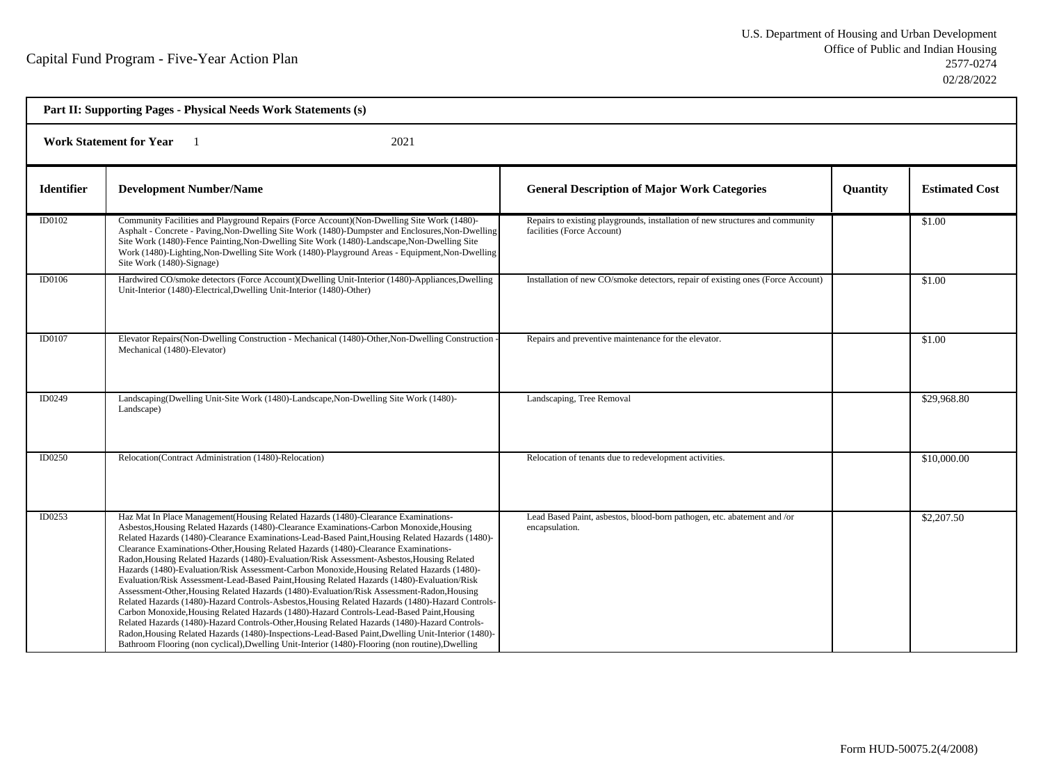| Part II: Supporting Pages - Physical Needs Work Statements (s) |                                                                                                                                                                                                                                                                                                                                                                                                                                                                                                                                                                                                                                                                                                                                                                                                                                                                                                                                                                                                                                                                                                                                                                                                                                                                                 |                                                                                                             |          |                       |  |  |
|----------------------------------------------------------------|---------------------------------------------------------------------------------------------------------------------------------------------------------------------------------------------------------------------------------------------------------------------------------------------------------------------------------------------------------------------------------------------------------------------------------------------------------------------------------------------------------------------------------------------------------------------------------------------------------------------------------------------------------------------------------------------------------------------------------------------------------------------------------------------------------------------------------------------------------------------------------------------------------------------------------------------------------------------------------------------------------------------------------------------------------------------------------------------------------------------------------------------------------------------------------------------------------------------------------------------------------------------------------|-------------------------------------------------------------------------------------------------------------|----------|-----------------------|--|--|
|                                                                | <b>Work Statement for Year</b><br>2021                                                                                                                                                                                                                                                                                                                                                                                                                                                                                                                                                                                                                                                                                                                                                                                                                                                                                                                                                                                                                                                                                                                                                                                                                                          |                                                                                                             |          |                       |  |  |
| <b>Identifier</b>                                              | <b>Development Number/Name</b>                                                                                                                                                                                                                                                                                                                                                                                                                                                                                                                                                                                                                                                                                                                                                                                                                                                                                                                                                                                                                                                                                                                                                                                                                                                  | <b>General Description of Major Work Categories</b>                                                         | Quantity | <b>Estimated Cost</b> |  |  |
| ID0102                                                         | Community Facilities and Playground Repairs (Force Account) (Non-Dwelling Site Work (1480)-<br>Asphalt - Concrete - Paving, Non-Dwelling Site Work (1480)-Dumpster and Enclosures, Non-Dwelling<br>Site Work (1480)-Fence Painting, Non-Dwelling Site Work (1480)-Landscape, Non-Dwelling Site<br>Work (1480)-Lighting, Non-Dwelling Site Work (1480)-Playground Areas - Equipment, Non-Dwelling<br>Site Work (1480)-Signage)                                                                                                                                                                                                                                                                                                                                                                                                                                                                                                                                                                                                                                                                                                                                                                                                                                                   | Repairs to existing playgrounds, installation of new structures and community<br>facilities (Force Account) |          | \$1.00                |  |  |
| ID0106                                                         | Hardwired CO/smoke detectors (Force Account)(Dwelling Unit-Interior (1480)-Appliances,Dwelling<br>Unit-Interior (1480)-Electrical, Dwelling Unit-Interior (1480)-Other)                                                                                                                                                                                                                                                                                                                                                                                                                                                                                                                                                                                                                                                                                                                                                                                                                                                                                                                                                                                                                                                                                                         | Installation of new CO/smoke detectors, repair of existing ones (Force Account)                             |          | \$1.00                |  |  |
| ID0107                                                         | Elevator Repairs (Non-Dwelling Construction - Mechanical (1480)-Other, Non-Dwelling Construction<br>Mechanical (1480)-Elevator)                                                                                                                                                                                                                                                                                                                                                                                                                                                                                                                                                                                                                                                                                                                                                                                                                                                                                                                                                                                                                                                                                                                                                 | Repairs and preventive maintenance for the elevator.                                                        |          | \$1.00                |  |  |
| <b>ID0249</b>                                                  | Landscaping(Dwelling Unit-Site Work (1480)-Landscape, Non-Dwelling Site Work (1480)-<br>Landscape)                                                                                                                                                                                                                                                                                                                                                                                                                                                                                                                                                                                                                                                                                                                                                                                                                                                                                                                                                                                                                                                                                                                                                                              | Landscaping, Tree Removal                                                                                   |          | \$29,968.80           |  |  |
| ID0250                                                         | Relocation(Contract Administration (1480)-Relocation)                                                                                                                                                                                                                                                                                                                                                                                                                                                                                                                                                                                                                                                                                                                                                                                                                                                                                                                                                                                                                                                                                                                                                                                                                           | Relocation of tenants due to redevelopment activities.                                                      |          | \$10,000.00           |  |  |
| ID0253                                                         | Haz Mat In Place Management (Housing Related Hazards (1480)-Clearance Examinations-<br>Asbestos, Housing Related Hazards (1480)-Clearance Examinations-Carbon Monoxide, Housing<br>Related Hazards (1480)-Clearance Examinations-Lead-Based Paint, Housing Related Hazards (1480)-<br>Clearance Examinations-Other, Housing Related Hazards (1480)-Clearance Examinations-<br>Radon, Housing Related Hazards (1480)-Evaluation/Risk Assessment-Asbestos, Housing Related<br>Hazards (1480)-Evaluation/Risk Assessment-Carbon Monoxide, Housing Related Hazards (1480)-<br>Evaluation/Risk Assessment-Lead-Based Paint, Housing Related Hazards (1480)-Evaluation/Risk<br>Assessment-Other, Housing Related Hazards (1480)-Evaluation/Risk Assessment-Radon, Housing<br>Related Hazards (1480)-Hazard Controls-Asbestos, Housing Related Hazards (1480)-Hazard Controls-<br>Carbon Monoxide, Housing Related Hazards (1480)-Hazard Controls-Lead-Based Paint, Housing<br>Related Hazards (1480)-Hazard Controls-Other, Housing Related Hazards (1480)-Hazard Controls-<br>Radon, Housing Related Hazards (1480)-Inspections-Lead-Based Paint, Dwelling Unit-Interior (1480)-<br>Bathroom Flooring (non cyclical), Dwelling Unit-Interior (1480)-Flooring (non routine), Dwelling | Lead Based Paint, asbestos, blood-born pathogen, etc. abatement and /or<br>encapsulation.                   |          | \$2,207.50            |  |  |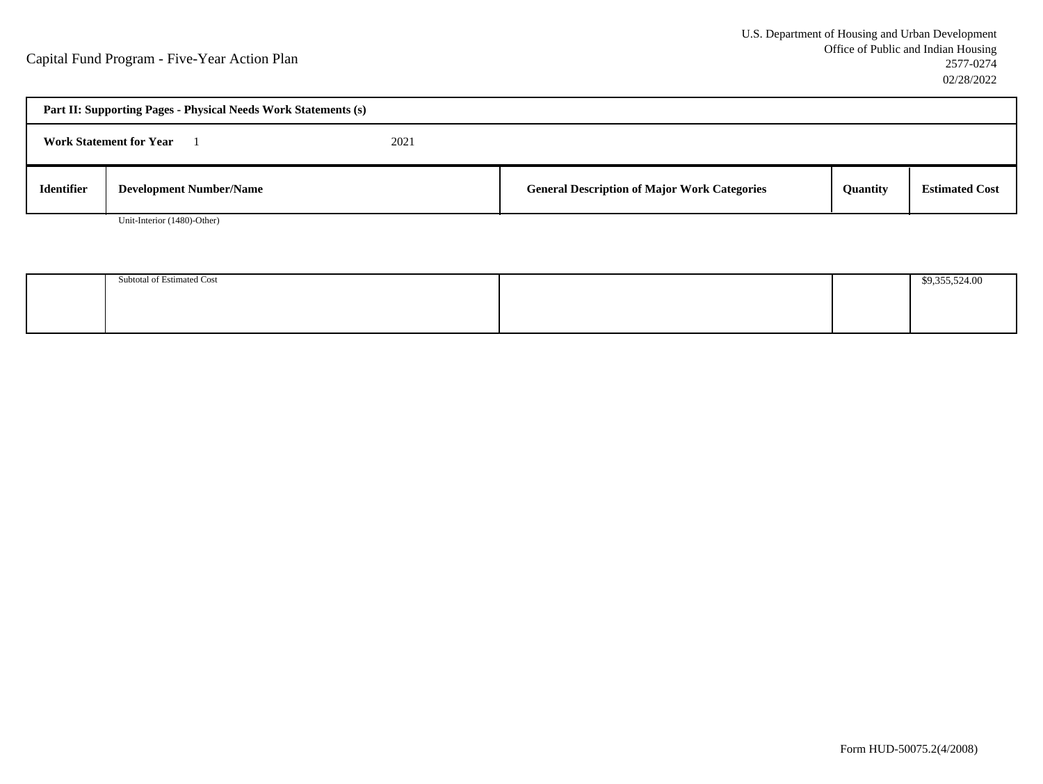| Part II: Supporting Pages - Physical Needs Work Statements (s) |                                |      |                                                     |          |                       |  |
|----------------------------------------------------------------|--------------------------------|------|-----------------------------------------------------|----------|-----------------------|--|
|                                                                | <b>Work Statement for Year</b> | 2021 |                                                     |          |                       |  |
| <b>Identifier</b>                                              | <b>Development Number/Name</b> |      | <b>General Description of Major Work Categories</b> | Quantity | <b>Estimated Cost</b> |  |

Unit-Interior (1480)-Other)

| Subtotal of Estimated Cost |  | 0.25550400 |
|----------------------------|--|------------|
|                            |  |            |
|                            |  |            |
|                            |  |            |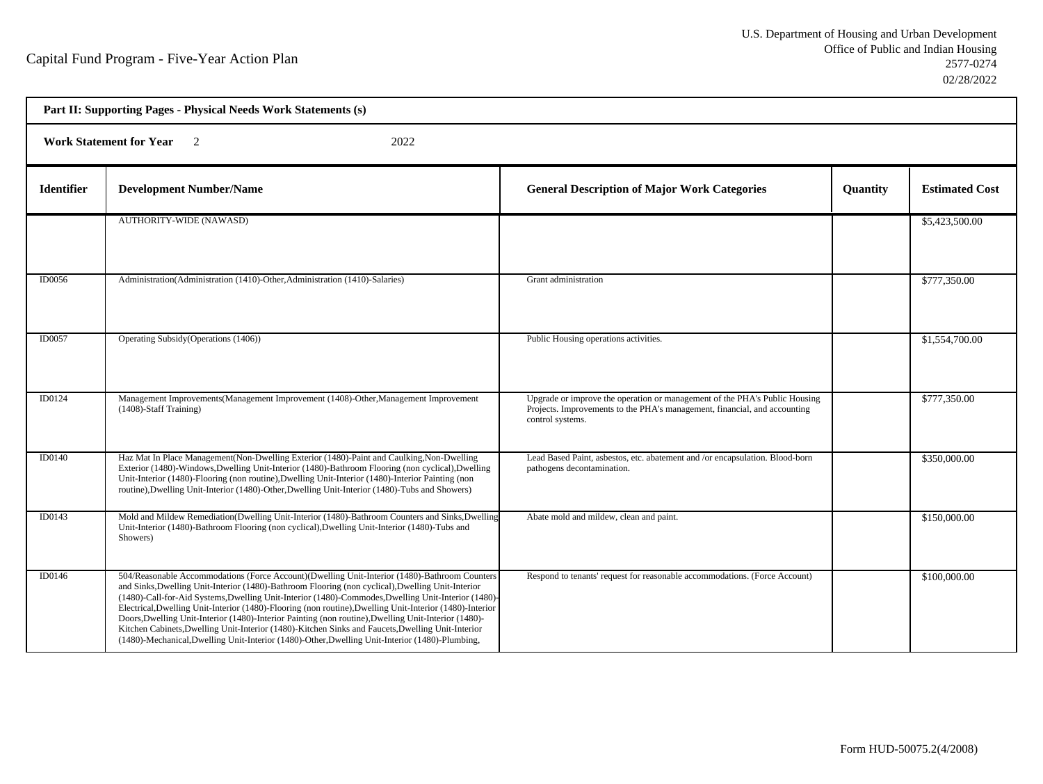| Part II: Supporting Pages - Physical Needs Work Statements (s) |                                                                                                                                                                                                                                                                                                                                                                                                                                                                                                                                                                                                                                                                                                                                       |                                                                                                                                                                             |          |                       |  |  |
|----------------------------------------------------------------|---------------------------------------------------------------------------------------------------------------------------------------------------------------------------------------------------------------------------------------------------------------------------------------------------------------------------------------------------------------------------------------------------------------------------------------------------------------------------------------------------------------------------------------------------------------------------------------------------------------------------------------------------------------------------------------------------------------------------------------|-----------------------------------------------------------------------------------------------------------------------------------------------------------------------------|----------|-----------------------|--|--|
|                                                                | <b>Work Statement for Year</b><br>$\overline{2}$<br>2022                                                                                                                                                                                                                                                                                                                                                                                                                                                                                                                                                                                                                                                                              |                                                                                                                                                                             |          |                       |  |  |
| <b>Identifier</b>                                              | <b>Development Number/Name</b>                                                                                                                                                                                                                                                                                                                                                                                                                                                                                                                                                                                                                                                                                                        | <b>General Description of Major Work Categories</b>                                                                                                                         | Quantity | <b>Estimated Cost</b> |  |  |
|                                                                | <b>AUTHORITY-WIDE (NAWASD)</b>                                                                                                                                                                                                                                                                                                                                                                                                                                                                                                                                                                                                                                                                                                        |                                                                                                                                                                             |          | \$5,423,500.00        |  |  |
| ID0056                                                         | Administration (Administration (1410)-Other, Administration (1410)-Salaries)                                                                                                                                                                                                                                                                                                                                                                                                                                                                                                                                                                                                                                                          | Grant administration                                                                                                                                                        |          | \$777,350.00          |  |  |
| ID0057                                                         | Operating Subsidy (Operations (1406))                                                                                                                                                                                                                                                                                                                                                                                                                                                                                                                                                                                                                                                                                                 | Public Housing operations activities.                                                                                                                                       |          | \$1,554,700.00        |  |  |
| ID0124                                                         | Management Improvements(Management Improvement (1408)-Other, Management Improvement<br>$(1408)$ -Staff Training)                                                                                                                                                                                                                                                                                                                                                                                                                                                                                                                                                                                                                      | Upgrade or improve the operation or management of the PHA's Public Housing<br>Projects. Improvements to the PHA's management, financial, and accounting<br>control systems. |          | \$777,350.00          |  |  |
| ID0140                                                         | Haz Mat In Place Management(Non-Dwelling Exterior (1480)-Paint and Caulking, Non-Dwelling<br>Exterior (1480)-Windows, Dwelling Unit-Interior (1480)-Bathroom Flooring (non cyclical), Dwelling<br>Unit-Interior (1480)-Flooring (non routine), Dwelling Unit-Interior (1480)-Interior Painting (non<br>routine), Dwelling Unit-Interior (1480)-Other, Dwelling Unit-Interior (1480)-Tubs and Showers)                                                                                                                                                                                                                                                                                                                                 | Lead Based Paint, asbestos, etc. abatement and /or encapsulation. Blood-born<br>pathogens decontamination.                                                                  |          | \$350,000.00          |  |  |
| ID0143                                                         | Mold and Mildew Remediation(Dwelling Unit-Interior (1480)-Bathroom Counters and Sinks, Dwelling<br>Unit-Interior (1480)-Bathroom Flooring (non cyclical), Dwelling Unit-Interior (1480)-Tubs and<br>Showers)                                                                                                                                                                                                                                                                                                                                                                                                                                                                                                                          | Abate mold and mildew, clean and paint.                                                                                                                                     |          | \$150,000.00          |  |  |
| ID0146                                                         | 504/Reasonable Accommodations (Force Account)(Dwelling Unit-Interior (1480)-Bathroom Counters<br>and Sinks, Dwelling Unit-Interior (1480)-Bathroom Flooring (non cyclical), Dwelling Unit-Interior<br>(1480)-Call-for-Aid Systems, Dwelling Unit-Interior (1480)-Commodes, Dwelling Unit-Interior (1480)-<br>Electrical, Dwelling Unit-Interior (1480)-Flooring (non routine), Dwelling Unit-Interior (1480)-Interior<br>Doors, Dwelling Unit-Interior (1480)-Interior Painting (non routine), Dwelling Unit-Interior (1480)-<br>Kitchen Cabinets, Dwelling Unit-Interior (1480)-Kitchen Sinks and Faucets, Dwelling Unit-Interior<br>(1480)-Mechanical, Dwelling Unit-Interior (1480)-Other, Dwelling Unit-Interior (1480)-Plumbing, | Respond to tenants' request for reasonable accommodations. (Force Account)                                                                                                  |          | \$100,000.00          |  |  |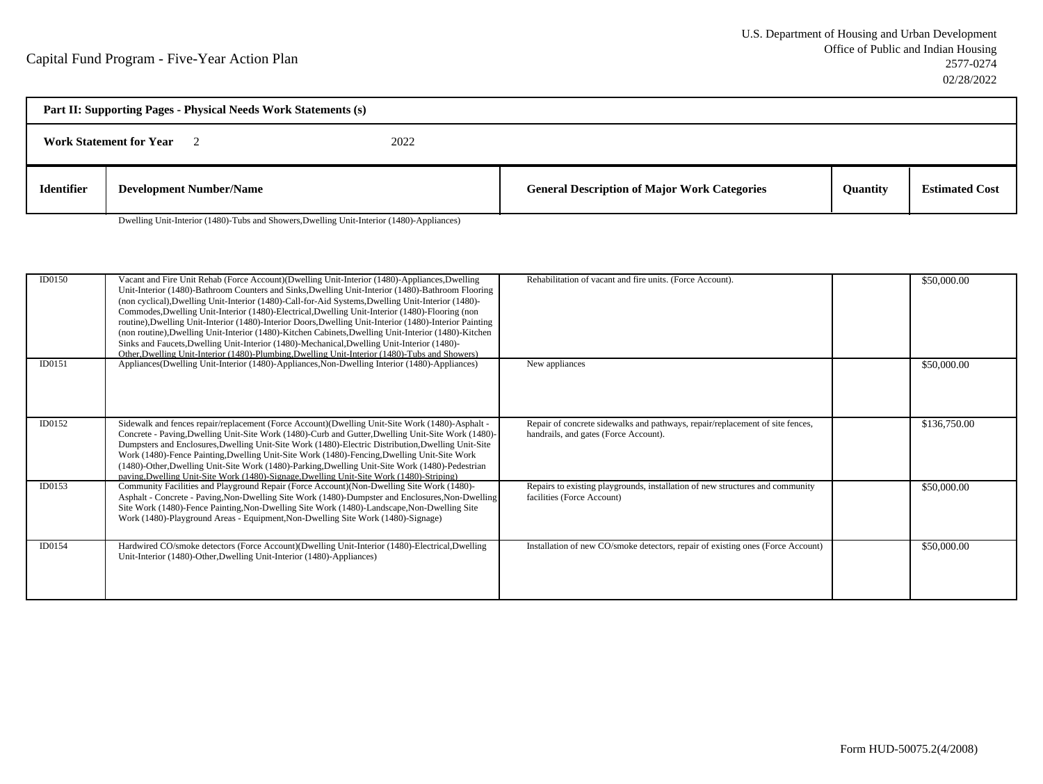| Part II: Supporting Pages - Physical Needs Work Statements (s) |                                |  |                                                     |                 |                       |  |
|----------------------------------------------------------------|--------------------------------|--|-----------------------------------------------------|-----------------|-----------------------|--|
| 2022<br><b>Work Statement for Year</b>                         |                                |  |                                                     |                 |                       |  |
| <b>Identifier</b>                                              | <b>Development Number/Name</b> |  | <b>General Description of Major Work Categories</b> | <b>Ouantity</b> | <b>Estimated Cost</b> |  |

Dwelling Unit-Interior (1480)-Tubs and Showers,Dwelling Unit-Interior (1480)-Appliances)

| ID0150 | Vacant and Fire Unit Rehab (Force Account)(Dwelling Unit-Interior (1480)-Appliances, Dwelling<br>Unit-Interior (1480)-Bathroom Counters and Sinks, Dwelling Unit-Interior (1480)-Bathroom Flooring<br>(non cyclical), Dwelling Unit-Interior (1480)-Call-for-Aid Systems, Dwelling Unit-Interior (1480)-<br>Commodes, Dwelling Unit-Interior (1480)-Electrical, Dwelling Unit-Interior (1480)-Flooring (non<br>routine), Dwelling Unit-Interior (1480)-Interior Doors, Dwelling Unit-Interior (1480)-Interior Painting<br>(non routine), Dwelling Unit-Interior (1480)-Kitchen Cabinets, Dwelling Unit-Interior (1480)-Kitchen<br>Sinks and Faucets, Dwelling Unit-Interior (1480)-Mechanical, Dwelling Unit-Interior (1480)-<br>Other, Dwelling Unit-Interior (1480)-Plumbing, Dwelling Unit-Interior (1480)-Tubs and Showers) | Rehabilitation of vacant and fire units. (Force Account).                                                              | \$50,000.00  |
|--------|---------------------------------------------------------------------------------------------------------------------------------------------------------------------------------------------------------------------------------------------------------------------------------------------------------------------------------------------------------------------------------------------------------------------------------------------------------------------------------------------------------------------------------------------------------------------------------------------------------------------------------------------------------------------------------------------------------------------------------------------------------------------------------------------------------------------------------|------------------------------------------------------------------------------------------------------------------------|--------------|
| ID0151 | Appliances (Dwelling Unit-Interior (1480)-Appliances, Non-Dwelling Interior (1480)-Appliances)                                                                                                                                                                                                                                                                                                                                                                                                                                                                                                                                                                                                                                                                                                                                  | New appliances                                                                                                         | \$50,000.00  |
| ID0152 | Sidewalk and fences repair/replacement (Force Account)(Dwelling Unit-Site Work (1480)-Asphalt -<br>Concrete - Paving, Dwelling Unit-Site Work (1480)-Curb and Gutter, Dwelling Unit-Site Work (1480)-<br>Dumpsters and Enclosures, Dwelling Unit-Site Work (1480)-Electric Distribution, Dwelling Unit-Site<br>Work (1480)-Fence Painting, Dwelling Unit-Site Work (1480)-Fencing, Dwelling Unit-Site Work<br>(1480)-Other, Dwelling Unit-Site Work (1480)-Parking, Dwelling Unit-Site Work (1480)-Pedestrian<br>paving, Dwelling Unit-Site Work (1480)-Signage, Dwelling Unit-Site Work (1480)-Striping)                                                                                                                                                                                                                       | Repair of concrete sidewalks and pathways, repair/replacement of site fences,<br>handrails, and gates (Force Account). | \$136,750.00 |
| ID0153 | Community Facilities and Playground Repair (Force Account) (Non-Dwelling Site Work (1480)-<br>Asphalt - Concrete - Paving, Non-Dwelling Site Work (1480)-Dumpster and Enclosures, Non-Dwelling<br>Site Work (1480)-Fence Painting, Non-Dwelling Site Work (1480)-Landscape, Non-Dwelling Site<br>Work (1480)-Playground Areas - Equipment, Non-Dwelling Site Work (1480)-Signage)                                                                                                                                                                                                                                                                                                                                                                                                                                               | Repairs to existing playgrounds, installation of new structures and community<br>facilities (Force Account)            | \$50,000.00  |
| ID0154 | Hardwired CO/smoke detectors (Force Account)(Dwelling Unit-Interior (1480)-Electrical,Dwelling<br>Unit-Interior (1480)-Other, Dwelling Unit-Interior (1480)-Appliances)                                                                                                                                                                                                                                                                                                                                                                                                                                                                                                                                                                                                                                                         | Installation of new CO/smoke detectors, repair of existing ones (Force Account)                                        | \$50,000.00  |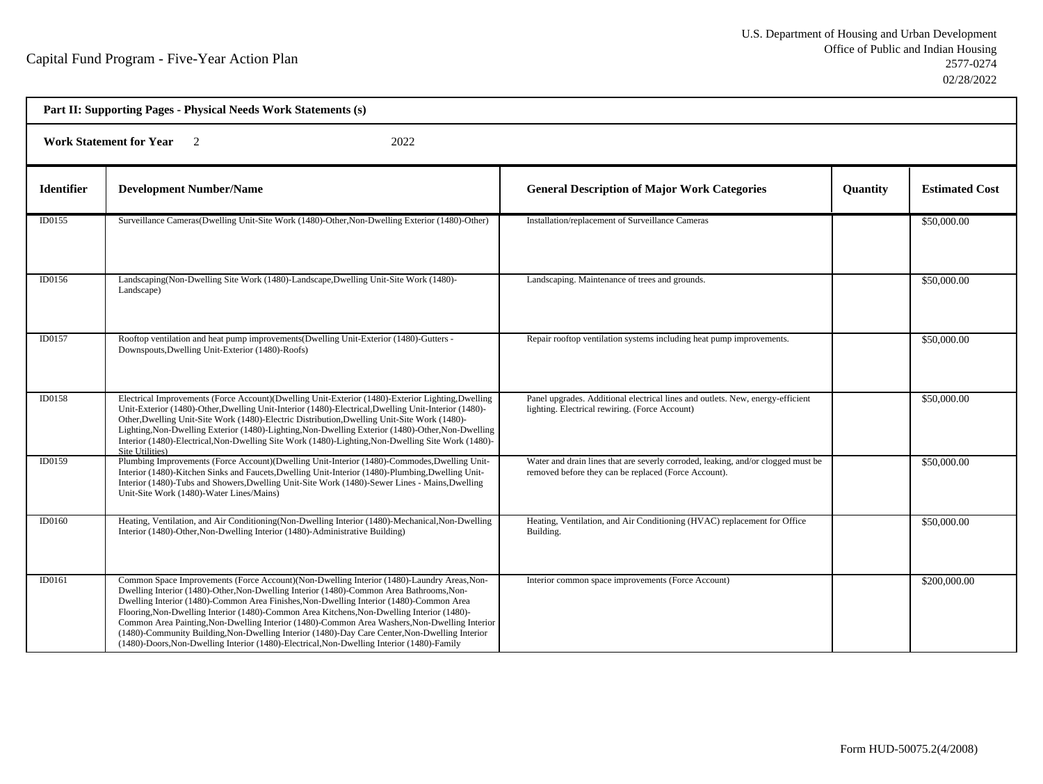| Part II: Supporting Pages - Physical Needs Work Statements (s) |                                                                                                                                                                                                                                                                                                                                                                                                                                                                                                                                                                                                                                                                                   |                                                                                                                                          |                 |                       |  |  |
|----------------------------------------------------------------|-----------------------------------------------------------------------------------------------------------------------------------------------------------------------------------------------------------------------------------------------------------------------------------------------------------------------------------------------------------------------------------------------------------------------------------------------------------------------------------------------------------------------------------------------------------------------------------------------------------------------------------------------------------------------------------|------------------------------------------------------------------------------------------------------------------------------------------|-----------------|-----------------------|--|--|
|                                                                | <b>Work Statement for Year</b><br>2022<br>$\overline{2}$                                                                                                                                                                                                                                                                                                                                                                                                                                                                                                                                                                                                                          |                                                                                                                                          |                 |                       |  |  |
| <b>Identifier</b>                                              | <b>Development Number/Name</b>                                                                                                                                                                                                                                                                                                                                                                                                                                                                                                                                                                                                                                                    | <b>General Description of Major Work Categories</b>                                                                                      | <b>Quantity</b> | <b>Estimated Cost</b> |  |  |
| ID0155                                                         | Surveillance Cameras(Dwelling Unit-Site Work (1480)-Other, Non-Dwelling Exterior (1480)-Other)                                                                                                                                                                                                                                                                                                                                                                                                                                                                                                                                                                                    | Installation/replacement of Surveillance Cameras                                                                                         |                 | \$50,000.00           |  |  |
| ID0156                                                         | Landscaping (Non-Dwelling Site Work (1480)-Landscape, Dwelling Unit-Site Work (1480)-<br>Landscape)                                                                                                                                                                                                                                                                                                                                                                                                                                                                                                                                                                               | Landscaping. Maintenance of trees and grounds.                                                                                           |                 | \$50,000.00           |  |  |
| <b>ID0157</b>                                                  | Rooftop ventilation and heat pump improvements (Dwelling Unit-Exterior (1480)-Gutters -<br>Downspouts, Dwelling Unit-Exterior (1480)-Roofs)                                                                                                                                                                                                                                                                                                                                                                                                                                                                                                                                       | Repair rooftop ventilation systems including heat pump improvements.                                                                     |                 | \$50,000.00           |  |  |
| ID0158                                                         | Electrical Improvements (Force Account)(Dwelling Unit-Exterior (1480)-Exterior Lighting,Dwelling<br>Unit-Exterior (1480)-Other, Dwelling Unit-Interior (1480)-Electrical, Dwelling Unit-Interior (1480)-<br>Other, Dwelling Unit-Site Work (1480)-Electric Distribution, Dwelling Unit-Site Work (1480)-<br>Lighting, Non-Dwelling Exterior (1480)-Lighting, Non-Dwelling Exterior (1480)-Other, Non-Dwelling<br>Interior (1480)-Electrical, Non-Dwelling Site Work (1480)-Lighting, Non-Dwelling Site Work (1480)-<br>Site Utilities)                                                                                                                                            | Panel upgrades. Additional electrical lines and outlets. New, energy-efficient<br>lighting. Electrical rewiring. (Force Account)         |                 | \$50,000.00           |  |  |
| ID0159                                                         | Plumbing Improvements (Force Account)(Dwelling Unit-Interior (1480)-Commodes, Dwelling Unit-<br>Interior (1480)-Kitchen Sinks and Faucets, Dwelling Unit-Interior (1480)-Plumbing, Dwelling Unit-<br>Interior (1480)-Tubs and Showers, Dwelling Unit-Site Work (1480)-Sewer Lines - Mains, Dwelling<br>Unit-Site Work (1480)-Water Lines/Mains)                                                                                                                                                                                                                                                                                                                                   | Water and drain lines that are severly corroded, leaking, and/or clogged must be<br>removed before they can be replaced (Force Account). |                 | \$50,000.00           |  |  |
| ID0160                                                         | Heating, Ventilation, and Air Conditioning (Non-Dwelling Interior (1480)-Mechanical, Non-Dwelling<br>Interior (1480)-Other, Non-Dwelling Interior (1480)-Administrative Building)                                                                                                                                                                                                                                                                                                                                                                                                                                                                                                 | Heating, Ventilation, and Air Conditioning (HVAC) replacement for Office<br>Building.                                                    |                 | \$50,000.00           |  |  |
| ID0161                                                         | Common Space Improvements (Force Account) (Non-Dwelling Interior (1480)-Laundry Areas, Non-<br>Dwelling Interior (1480)-Other, Non-Dwelling Interior (1480)-Common Area Bathrooms, Non-<br>Dwelling Interior (1480)-Common Area Finishes, Non-Dwelling Interior (1480)-Common Area<br>Flooring, Non-Dwelling Interior (1480)-Common Area Kitchens, Non-Dwelling Interior (1480)-<br>Common Area Painting, Non-Dwelling Interior (1480)-Common Area Washers, Non-Dwelling Interior<br>(1480)-Community Building, Non-Dwelling Interior (1480)-Day Care Center, Non-Dwelling Interior<br>(1480)-Doors, Non-Dwelling Interior (1480)-Electrical, Non-Dwelling Interior (1480)-Family | Interior common space improvements (Force Account)                                                                                       |                 | \$200,000.00          |  |  |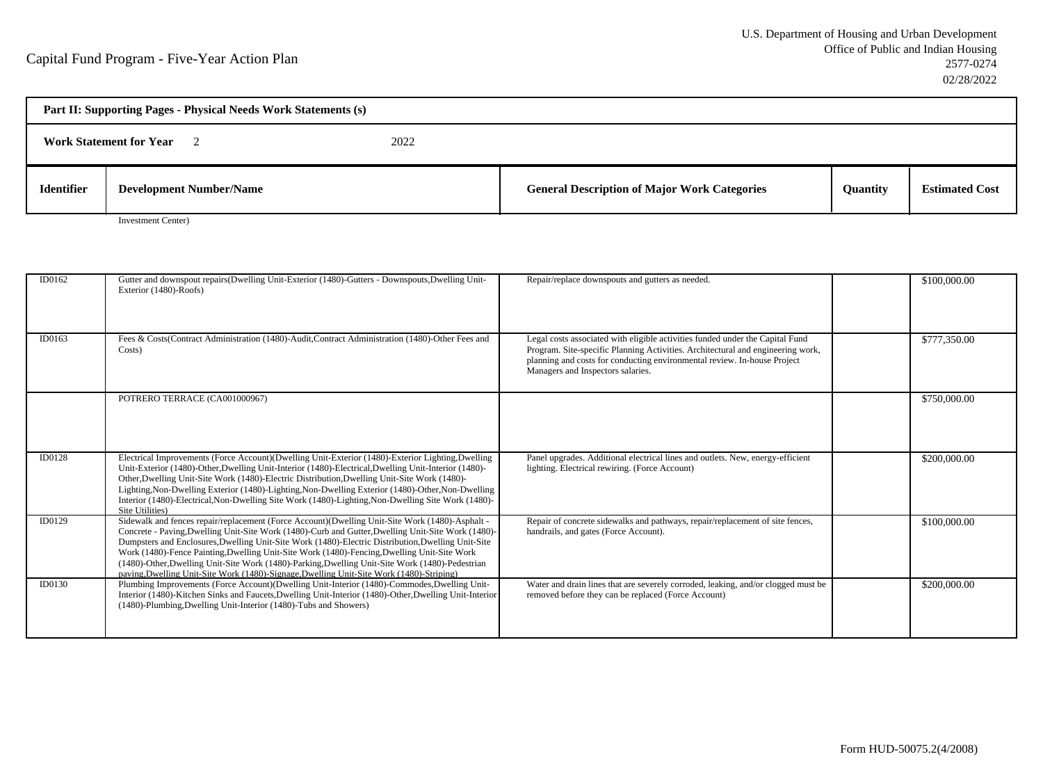| Part II: Supporting Pages - Physical Needs Work Statements (s) |                                |      |                                                     |                 |                       |  |
|----------------------------------------------------------------|--------------------------------|------|-----------------------------------------------------|-----------------|-----------------------|--|
|                                                                | <b>Work Statement for Year</b> | 2022 |                                                     |                 |                       |  |
| <b>Identifier</b>                                              | <b>Development Number/Name</b> |      | <b>General Description of Major Work Categories</b> | <b>Quantity</b> | <b>Estimated Cost</b> |  |

Investment Center)

| ID0162 | Gutter and downspout repairs(Dwelling Unit-Exterior (1480)-Gutters - Downspouts, Dwelling Unit-<br>Exterior (1480)-Roofs)                                                                                                                                                                                                                                                                                                                                                                                                                                                                                 | Repair/replace downspouts and gutters as needed.                                                                                                                                                                                                                                  | \$100,000.00 |
|--------|-----------------------------------------------------------------------------------------------------------------------------------------------------------------------------------------------------------------------------------------------------------------------------------------------------------------------------------------------------------------------------------------------------------------------------------------------------------------------------------------------------------------------------------------------------------------------------------------------------------|-----------------------------------------------------------------------------------------------------------------------------------------------------------------------------------------------------------------------------------------------------------------------------------|--------------|
| ID0163 | Fees & Costs(Contract Administration (1480)-Audit,Contract Administration (1480)-Other Fees and<br>Costs)                                                                                                                                                                                                                                                                                                                                                                                                                                                                                                 | Legal costs associated with eligible activities funded under the Capital Fund<br>Program. Site-specific Planning Activities. Architectural and engineering work,<br>planning and costs for conducting environmental review. In-house Project<br>Managers and Inspectors salaries. | \$777,350.00 |
|        | POTRERO TERRACE (CA001000967)                                                                                                                                                                                                                                                                                                                                                                                                                                                                                                                                                                             |                                                                                                                                                                                                                                                                                   | \$750,000.00 |
| ID0128 | Electrical Improvements (Force Account)(Dwelling Unit-Exterior (1480)-Exterior Lighting,Dwelling<br>Unit-Exterior (1480)-Other, Dwelling Unit-Interior (1480)-Electrical, Dwelling Unit-Interior (1480)-<br>Other, Dwelling Unit-Site Work (1480)-Electric Distribution, Dwelling Unit-Site Work (1480)-<br>Lighting, Non-Dwelling Exterior (1480)-Lighting, Non-Dwelling Exterior (1480)-Other, Non-Dwelling<br>Interior (1480)-Electrical, Non-Dwelling Site Work (1480)-Lighting, Non-Dwelling Site Work (1480)-<br>Site Utilities)                                                                    | Panel upgrades. Additional electrical lines and outlets. New, energy-efficient<br>lighting. Electrical rewiring. (Force Account)                                                                                                                                                  | \$200,000.00 |
| ID0129 | Sidewalk and fences repair/replacement (Force Account)(Dwelling Unit-Site Work (1480)-Asphalt -<br>Concrete - Paving, Dwelling Unit-Site Work (1480)-Curb and Gutter, Dwelling Unit-Site Work (1480)-<br>Dumpsters and Enclosures, Dwelling Unit-Site Work (1480)-Electric Distribution, Dwelling Unit-Site<br>Work (1480)-Fence Painting, Dwelling Unit-Site Work (1480)-Fencing, Dwelling Unit-Site Work<br>(1480)-Other, Dwelling Unit-Site Work (1480)-Parking, Dwelling Unit-Site Work (1480)-Pedestrian<br>paving, Dwelling Unit-Site Work (1480)-Signage, Dwelling Unit-Site Work (1480)-Striping) | Repair of concrete sidewalks and pathways, repair/replacement of site fences,<br>handrails, and gates (Force Account).                                                                                                                                                            | \$100,000.00 |
| ID0130 | Plumbing Improvements (Force Account)(Dwelling Unit-Interior (1480)-Commodes, Dwelling Unit-<br>Interior (1480)-Kitchen Sinks and Faucets, Dwelling Unit-Interior (1480)-Other, Dwelling Unit-Interior<br>(1480)-Plumbing, Dwelling Unit-Interior (1480)-Tubs and Showers)                                                                                                                                                                                                                                                                                                                                | Water and drain lines that are severely corroded, leaking, and/or clogged must be<br>removed before they can be replaced (Force Account)                                                                                                                                          | \$200,000.00 |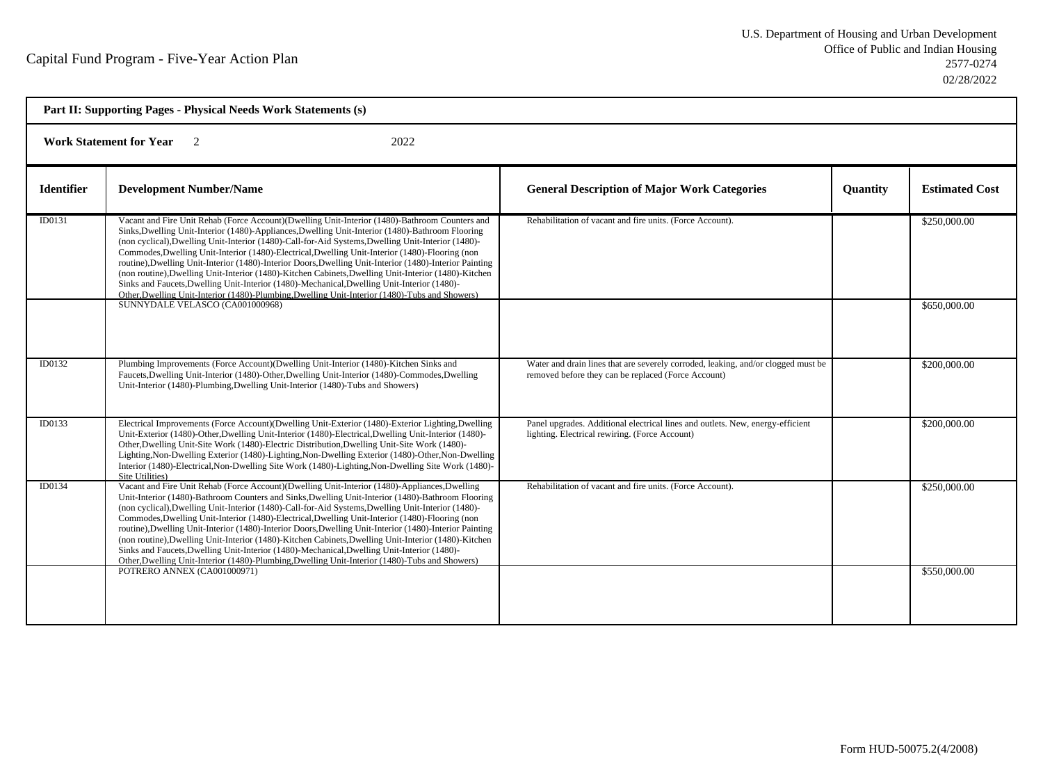| Part II: Supporting Pages - Physical Needs Work Statements (s) |                                                                                                                                                                                                                                                                                                                                                                                                                                                                                                                                                                                                                                                                                                                                                                                                                                 |                                                                                                                                          |                 |                       |  |  |
|----------------------------------------------------------------|---------------------------------------------------------------------------------------------------------------------------------------------------------------------------------------------------------------------------------------------------------------------------------------------------------------------------------------------------------------------------------------------------------------------------------------------------------------------------------------------------------------------------------------------------------------------------------------------------------------------------------------------------------------------------------------------------------------------------------------------------------------------------------------------------------------------------------|------------------------------------------------------------------------------------------------------------------------------------------|-----------------|-----------------------|--|--|
|                                                                | <b>Work Statement for Year</b><br>2022                                                                                                                                                                                                                                                                                                                                                                                                                                                                                                                                                                                                                                                                                                                                                                                          |                                                                                                                                          |                 |                       |  |  |
| <b>Identifier</b>                                              | <b>Development Number/Name</b>                                                                                                                                                                                                                                                                                                                                                                                                                                                                                                                                                                                                                                                                                                                                                                                                  | <b>General Description of Major Work Categories</b>                                                                                      | <b>Quantity</b> | <b>Estimated Cost</b> |  |  |
| ID0131                                                         | Vacant and Fire Unit Rehab (Force Account)(Dwelling Unit-Interior (1480)-Bathroom Counters and<br>Sinks, Dwelling Unit-Interior (1480)-Appliances, Dwelling Unit-Interior (1480)-Bathroom Flooring<br>(non cyclical), Dwelling Unit-Interior (1480)-Call-for-Aid Systems, Dwelling Unit-Interior (1480)-<br>Commodes, Dwelling Unit-Interior (1480)-Electrical, Dwelling Unit-Interior (1480)-Flooring (non<br>routine), Dwelling Unit-Interior (1480)-Interior Doors, Dwelling Unit-Interior (1480)-Interior Painting<br>(non routine), Dwelling Unit-Interior (1480)-Kitchen Cabinets, Dwelling Unit-Interior (1480)-Kitchen<br>Sinks and Faucets, Dwelling Unit-Interior (1480)-Mechanical, Dwelling Unit-Interior (1480)-<br>Other, Dwelling Unit-Interior (1480)-Plumbing, Dwelling Unit-Interior (1480)-Tubs and Showers) | Rehabilitation of vacant and fire units. (Force Account).                                                                                |                 | \$250,000.00          |  |  |
|                                                                | SUNNYDALE VELASCO (CA001000968)                                                                                                                                                                                                                                                                                                                                                                                                                                                                                                                                                                                                                                                                                                                                                                                                 |                                                                                                                                          |                 | \$650,000.00          |  |  |
| ID0132                                                         | Plumbing Improvements (Force Account)(Dwelling Unit-Interior (1480)-Kitchen Sinks and<br>Faucets, Dwelling Unit-Interior (1480)-Other, Dwelling Unit-Interior (1480)-Commodes, Dwelling<br>Unit-Interior (1480)-Plumbing, Dwelling Unit-Interior (1480)-Tubs and Showers)                                                                                                                                                                                                                                                                                                                                                                                                                                                                                                                                                       | Water and drain lines that are severely corroded, leaking, and/or clogged must be<br>removed before they can be replaced (Force Account) |                 | \$200,000.00          |  |  |
| ID0133                                                         | Electrical Improvements (Force Account)(Dwelling Unit-Exterior (1480)-Exterior Lighting,Dwelling<br>Unit-Exterior (1480)-Other, Dwelling Unit-Interior (1480)-Electrical, Dwelling Unit-Interior (1480)-<br>Other, Dwelling Unit-Site Work (1480)-Electric Distribution, Dwelling Unit-Site Work (1480)-<br>Lighting, Non-Dwelling Exterior (1480)-Lighting, Non-Dwelling Exterior (1480)-Other, Non-Dwelling<br>Interior (1480)-Electrical, Non-Dwelling Site Work (1480)-Lighting, Non-Dwelling Site Work (1480)-<br>Site Utilities)                                                                                                                                                                                                                                                                                          | Panel upgrades. Additional electrical lines and outlets. New, energy-efficient<br>lighting. Electrical rewiring. (Force Account)         |                 | \$200,000.00          |  |  |
| ID0134                                                         | Vacant and Fire Unit Rehab (Force Account)(Dwelling Unit-Interior (1480)-Appliances, Dwelling<br>Unit-Interior (1480)-Bathroom Counters and Sinks, Dwelling Unit-Interior (1480)-Bathroom Flooring<br>(non cyclical), Dwelling Unit-Interior (1480)-Call-for-Aid Systems, Dwelling Unit-Interior (1480)-<br>Commodes, Dwelling Unit-Interior (1480)-Electrical, Dwelling Unit-Interior (1480)-Flooring (non<br>routine), Dwelling Unit-Interior (1480)-Interior Doors, Dwelling Unit-Interior (1480)-Interior Painting<br>(non routine), Dwelling Unit-Interior (1480)-Kitchen Cabinets, Dwelling Unit-Interior (1480)-Kitchen<br>Sinks and Faucets, Dwelling Unit-Interior (1480)-Mechanical, Dwelling Unit-Interior (1480)-<br>Other, Dwelling Unit-Interior (1480)-Plumbing, Dwelling Unit-Interior (1480)-Tubs and Showers) | Rehabilitation of vacant and fire units. (Force Account).                                                                                |                 | \$250,000.00          |  |  |
|                                                                | POTRERO ANNEX (CA001000971)                                                                                                                                                                                                                                                                                                                                                                                                                                                                                                                                                                                                                                                                                                                                                                                                     |                                                                                                                                          |                 | \$550,000.00          |  |  |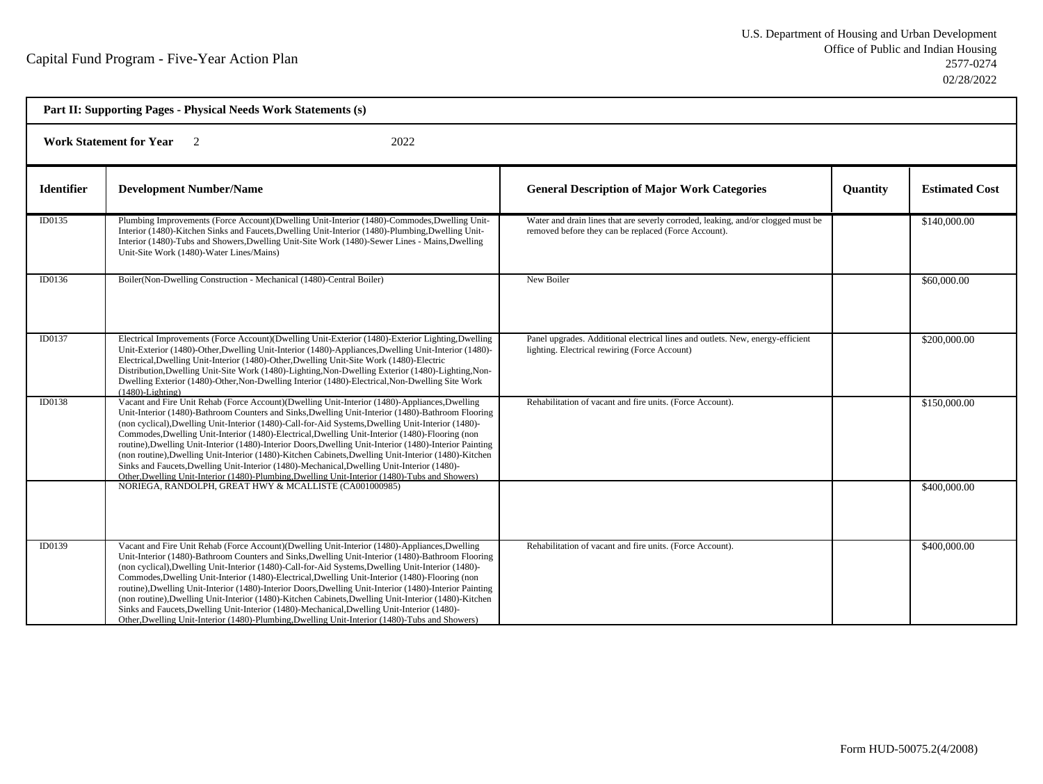|                   | Part II: Supporting Pages - Physical Needs Work Statements (s)<br><b>Work Statement for Year</b><br>2022<br>$\overline{2}$                                                                                                                                                                                                                                                                                                                                                                                                                                                                                                                                                                                                                                                                                                      |                                                                                                                                          |                 |                       |  |  |
|-------------------|---------------------------------------------------------------------------------------------------------------------------------------------------------------------------------------------------------------------------------------------------------------------------------------------------------------------------------------------------------------------------------------------------------------------------------------------------------------------------------------------------------------------------------------------------------------------------------------------------------------------------------------------------------------------------------------------------------------------------------------------------------------------------------------------------------------------------------|------------------------------------------------------------------------------------------------------------------------------------------|-----------------|-----------------------|--|--|
|                   |                                                                                                                                                                                                                                                                                                                                                                                                                                                                                                                                                                                                                                                                                                                                                                                                                                 |                                                                                                                                          |                 |                       |  |  |
| <b>Identifier</b> | <b>Development Number/Name</b>                                                                                                                                                                                                                                                                                                                                                                                                                                                                                                                                                                                                                                                                                                                                                                                                  | <b>General Description of Major Work Categories</b>                                                                                      | <b>Ouantity</b> | <b>Estimated Cost</b> |  |  |
| ID0135            | Plumbing Improvements (Force Account)(Dwelling Unit-Interior (1480)-Commodes, Dwelling Unit-<br>Interior (1480)-Kitchen Sinks and Faucets, Dwelling Unit-Interior (1480)-Plumbing, Dwelling Unit-<br>Interior (1480)-Tubs and Showers, Dwelling Unit-Site Work (1480)-Sewer Lines - Mains, Dwelling<br>Unit-Site Work (1480)-Water Lines/Mains)                                                                                                                                                                                                                                                                                                                                                                                                                                                                                 | Water and drain lines that are severly corroded, leaking, and/or clogged must be<br>removed before they can be replaced (Force Account). |                 | \$140,000.00          |  |  |
| ID0136            | Boiler(Non-Dwelling Construction - Mechanical (1480)-Central Boiler)                                                                                                                                                                                                                                                                                                                                                                                                                                                                                                                                                                                                                                                                                                                                                            | New Boiler                                                                                                                               |                 | \$60,000.00           |  |  |
| ID0137            | Electrical Improvements (Force Account)(Dwelling Unit-Exterior (1480)-Exterior Lighting,Dwelling<br>Unit-Exterior (1480)-Other, Dwelling Unit-Interior (1480)-Appliances, Dwelling Unit-Interior (1480)-<br>Electrical, Dwelling Unit-Interior (1480)-Other, Dwelling Unit-Site Work (1480)-Electric<br>Distribution, Dwelling Unit-Site Work (1480)-Lighting, Non-Dwelling Exterior (1480)-Lighting, Non-<br>Dwelling Exterior (1480)-Other, Non-Dwelling Interior (1480)-Electrical, Non-Dwelling Site Work<br>$(1480)$ -Lighting)                                                                                                                                                                                                                                                                                            | Panel upgrades. Additional electrical lines and outlets. New, energy-efficient<br>lighting. Electrical rewiring (Force Account)          |                 | \$200,000.00          |  |  |
| <b>ID0138</b>     | Vacant and Fire Unit Rehab (Force Account)(Dwelling Unit-Interior (1480)-Appliances, Dwelling<br>Unit-Interior (1480)-Bathroom Counters and Sinks, Dwelling Unit-Interior (1480)-Bathroom Flooring<br>(non cyclical), Dwelling Unit-Interior (1480)-Call-for-Aid Systems, Dwelling Unit-Interior (1480)-<br>Commodes, Dwelling Unit-Interior (1480)-Electrical, Dwelling Unit-Interior (1480)-Flooring (non<br>routine), Dwelling Unit-Interior (1480)-Interior Doors, Dwelling Unit-Interior (1480)-Interior Painting<br>(non routine), Dwelling Unit-Interior (1480)-Kitchen Cabinets, Dwelling Unit-Interior (1480)-Kitchen<br>Sinks and Faucets, Dwelling Unit-Interior (1480)-Mechanical, Dwelling Unit-Interior (1480)-<br>Other, Dwelling Unit-Interior (1480)-Plumbing, Dwelling Unit-Interior (1480)-Tubs and Showers) | Rehabilitation of vacant and fire units. (Force Account).                                                                                |                 | \$150,000.00          |  |  |
|                   | NORIEGA, RANDOLPH, GREAT HWY & MCALLISTE (CA001000985)                                                                                                                                                                                                                                                                                                                                                                                                                                                                                                                                                                                                                                                                                                                                                                          |                                                                                                                                          |                 | \$400,000.00          |  |  |
| ID0139            | Vacant and Fire Unit Rehab (Force Account)(Dwelling Unit-Interior (1480)-Appliances, Dwelling<br>Unit-Interior (1480)-Bathroom Counters and Sinks, Dwelling Unit-Interior (1480)-Bathroom Flooring<br>(non cyclical), Dwelling Unit-Interior (1480)-Call-for-Aid Systems, Dwelling Unit-Interior (1480)-<br>Commodes, Dwelling Unit-Interior (1480)-Electrical, Dwelling Unit-Interior (1480)-Flooring (non<br>routine), Dwelling Unit-Interior (1480)-Interior Doors, Dwelling Unit-Interior (1480)-Interior Painting<br>(non routine), Dwelling Unit-Interior (1480)-Kitchen Cabinets, Dwelling Unit-Interior (1480)-Kitchen<br>Sinks and Faucets, Dwelling Unit-Interior (1480)-Mechanical, Dwelling Unit-Interior (1480)-<br>Other, Dwelling Unit-Interior (1480)-Plumbing, Dwelling Unit-Interior (1480)-Tubs and Showers) | Rehabilitation of vacant and fire units. (Force Account).                                                                                |                 | \$400,000.00          |  |  |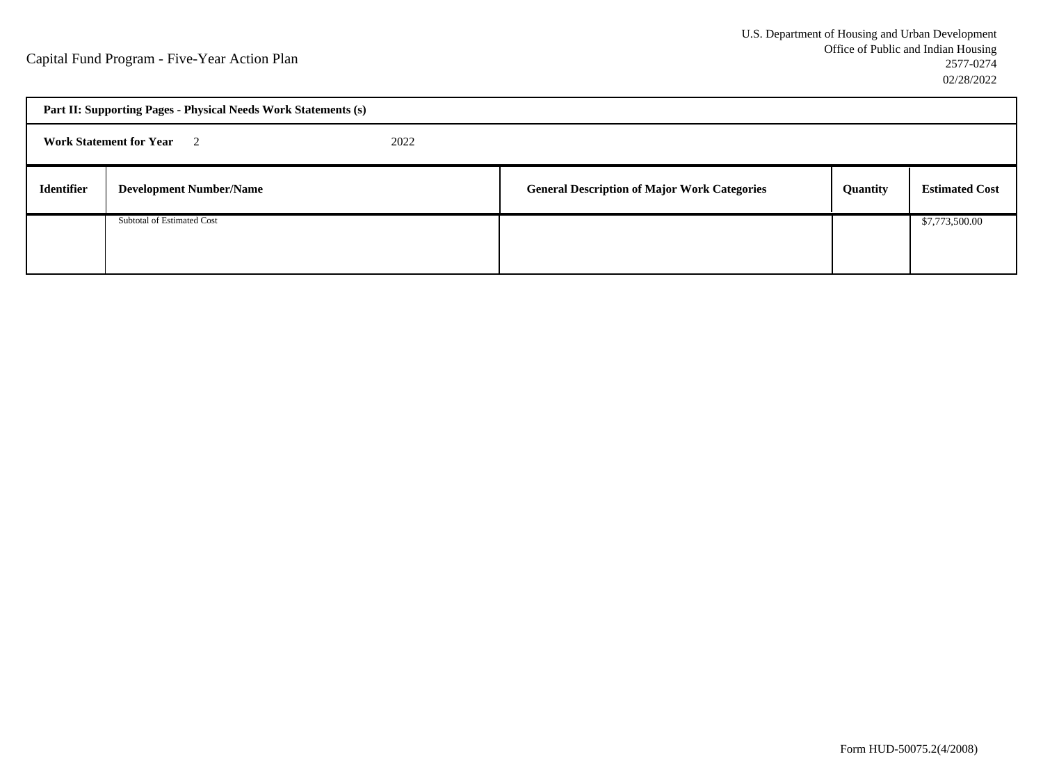| Part II: Supporting Pages - Physical Needs Work Statements (s) |                                |  |                                                     |          |                       |  |
|----------------------------------------------------------------|--------------------------------|--|-----------------------------------------------------|----------|-----------------------|--|
| <b>Work Statement for Year</b> 2<br>2022                       |                                |  |                                                     |          |                       |  |
| <b>Identifier</b>                                              | <b>Development Number/Name</b> |  | <b>General Description of Major Work Categories</b> | Quantity | <b>Estimated Cost</b> |  |
|                                                                | Subtotal of Estimated Cost     |  |                                                     |          | \$7,773,500.00        |  |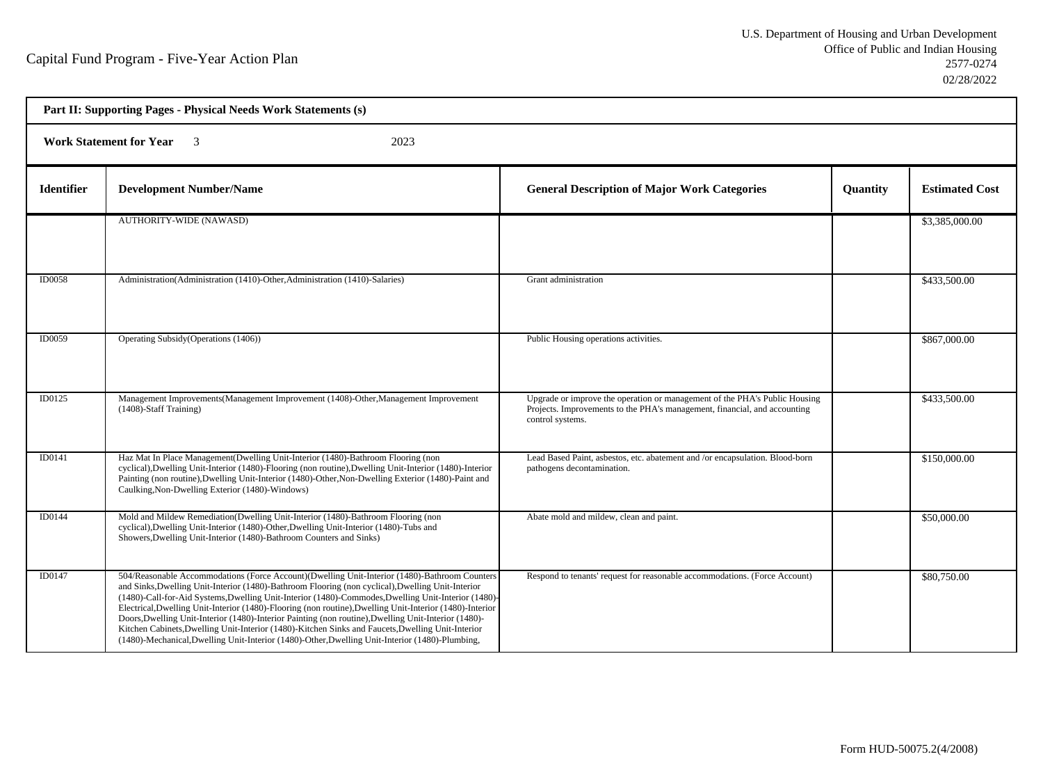h

| Part II: Supporting Pages - Physical Needs Work Statements (s) |                                                                                                                                                                                                                                                                                                                                                                                                                                                                                                                                                                                                                                                                                                                                       |                                                                                                                                                                             |          |                       |  |  |
|----------------------------------------------------------------|---------------------------------------------------------------------------------------------------------------------------------------------------------------------------------------------------------------------------------------------------------------------------------------------------------------------------------------------------------------------------------------------------------------------------------------------------------------------------------------------------------------------------------------------------------------------------------------------------------------------------------------------------------------------------------------------------------------------------------------|-----------------------------------------------------------------------------------------------------------------------------------------------------------------------------|----------|-----------------------|--|--|
|                                                                | <b>Work Statement for Year</b> 3<br>2023                                                                                                                                                                                                                                                                                                                                                                                                                                                                                                                                                                                                                                                                                              |                                                                                                                                                                             |          |                       |  |  |
| <b>Identifier</b>                                              | <b>Development Number/Name</b>                                                                                                                                                                                                                                                                                                                                                                                                                                                                                                                                                                                                                                                                                                        | <b>General Description of Major Work Categories</b>                                                                                                                         | Quantity | <b>Estimated Cost</b> |  |  |
|                                                                | <b>AUTHORITY-WIDE (NAWASD)</b>                                                                                                                                                                                                                                                                                                                                                                                                                                                                                                                                                                                                                                                                                                        |                                                                                                                                                                             |          | \$3,385,000.00        |  |  |
| ID0058                                                         | Administration (Administration (1410)-Other, Administration (1410)-Salaries)                                                                                                                                                                                                                                                                                                                                                                                                                                                                                                                                                                                                                                                          | Grant administration                                                                                                                                                        |          | \$433,500.00          |  |  |
| ID0059                                                         | Operating Subsidy (Operations (1406))                                                                                                                                                                                                                                                                                                                                                                                                                                                                                                                                                                                                                                                                                                 | Public Housing operations activities.                                                                                                                                       |          | \$867,000.00          |  |  |
| ID0125                                                         | Management Improvements(Management Improvement (1408)-Other, Management Improvement<br>$(1408)$ -Staff Training)                                                                                                                                                                                                                                                                                                                                                                                                                                                                                                                                                                                                                      | Upgrade or improve the operation or management of the PHA's Public Housing<br>Projects. Improvements to the PHA's management, financial, and accounting<br>control systems. |          | \$433,500.00          |  |  |
| ID0141                                                         | Haz Mat In Place Management(Dwelling Unit-Interior (1480)-Bathroom Flooring (non<br>cyclical), Dwelling Unit-Interior (1480)-Flooring (non routine), Dwelling Unit-Interior (1480)-Interior<br>Painting (non routine), Dwelling Unit-Interior (1480)-Other, Non-Dwelling Exterior (1480)-Paint and<br>Caulking, Non-Dwelling Exterior (1480)-Windows)                                                                                                                                                                                                                                                                                                                                                                                 | Lead Based Paint, asbestos, etc. abatement and /or encapsulation. Blood-born<br>pathogens decontamination.                                                                  |          | \$150,000.00          |  |  |
| ID0144                                                         | Mold and Mildew Remediation(Dwelling Unit-Interior (1480)-Bathroom Flooring (non<br>cyclical), Dwelling Unit-Interior (1480)-Other, Dwelling Unit-Interior (1480)-Tubs and<br>Showers, Dwelling Unit-Interior (1480)-Bathroom Counters and Sinks)                                                                                                                                                                                                                                                                                                                                                                                                                                                                                     | Abate mold and mildew, clean and paint.                                                                                                                                     |          | \$50,000.00           |  |  |
| ID0147                                                         | 504/Reasonable Accommodations (Force Account)(Dwelling Unit-Interior (1480)-Bathroom Counters<br>and Sinks, Dwelling Unit-Interior (1480)-Bathroom Flooring (non cyclical), Dwelling Unit-Interior<br>(1480)-Call-for-Aid Systems, Dwelling Unit-Interior (1480)-Commodes, Dwelling Unit-Interior (1480)-<br>Electrical, Dwelling Unit-Interior (1480)-Flooring (non routine), Dwelling Unit-Interior (1480)-Interior<br>Doors, Dwelling Unit-Interior (1480)-Interior Painting (non routine), Dwelling Unit-Interior (1480)-<br>Kitchen Cabinets, Dwelling Unit-Interior (1480)-Kitchen Sinks and Faucets, Dwelling Unit-Interior<br>(1480)-Mechanical, Dwelling Unit-Interior (1480)-Other, Dwelling Unit-Interior (1480)-Plumbing, | Respond to tenants' request for reasonable accommodations. (Force Account)                                                                                                  |          | \$80,750.00           |  |  |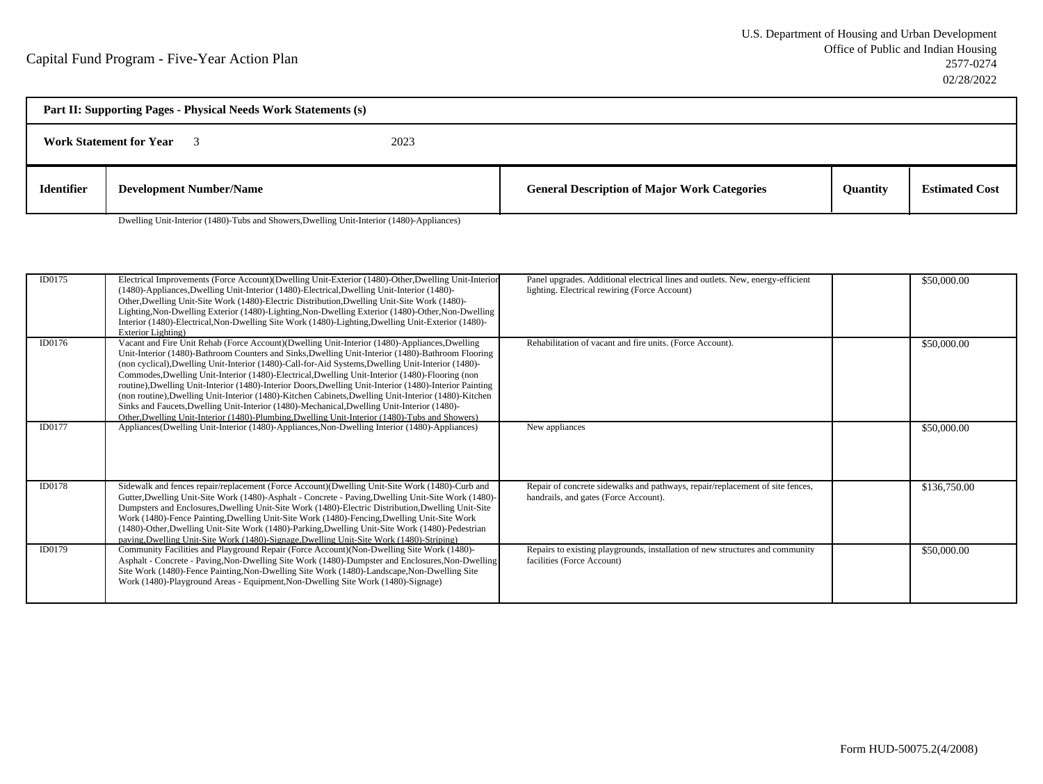| Part II: Supporting Pages - Physical Needs Work Statements (s) |                                |  |                                                     |                 |                       |  |
|----------------------------------------------------------------|--------------------------------|--|-----------------------------------------------------|-----------------|-----------------------|--|
| <b>Work Statement for Year</b><br>2023                         |                                |  |                                                     |                 |                       |  |
| <b>Identifier</b>                                              | <b>Development Number/Name</b> |  | <b>General Description of Major Work Categories</b> | <b>Ouantity</b> | <b>Estimated Cost</b> |  |

Dwelling Unit-Interior (1480)-Tubs and Showers,Dwelling Unit-Interior (1480)-Appliances)

| ID0175        | Electrical Improvements (Force Account)(Dwelling Unit-Exterior (1480)-Other, Dwelling Unit-Interior<br>(1480)-Appliances, Dwelling Unit-Interior (1480)-Electrical, Dwelling Unit-Interior (1480)-<br>Other, Dwelling Unit-Site Work (1480)-Electric Distribution, Dwelling Unit-Site Work (1480)-<br>Lighting, Non-Dwelling Exterior (1480)-Lighting, Non-Dwelling Exterior (1480)-Other, Non-Dwelling<br>Interior (1480)-Electrical, Non-Dwelling Site Work (1480)-Lighting, Dwelling Unit-Exterior (1480)-<br>Exterior Lighting)                                                                                                                                                                                                                                                                                             | Panel upgrades. Additional electrical lines and outlets. New, energy-efficient<br>lighting. Electrical rewiring (Force Account) | \$50,000.00  |
|---------------|---------------------------------------------------------------------------------------------------------------------------------------------------------------------------------------------------------------------------------------------------------------------------------------------------------------------------------------------------------------------------------------------------------------------------------------------------------------------------------------------------------------------------------------------------------------------------------------------------------------------------------------------------------------------------------------------------------------------------------------------------------------------------------------------------------------------------------|---------------------------------------------------------------------------------------------------------------------------------|--------------|
| ID0176        | Vacant and Fire Unit Rehab (Force Account)(Dwelling Unit-Interior (1480)-Appliances, Dwelling<br>Unit-Interior (1480)-Bathroom Counters and Sinks, Dwelling Unit-Interior (1480)-Bathroom Flooring<br>(non cyclical), Dwelling Unit-Interior (1480)-Call-for-Aid Systems, Dwelling Unit-Interior (1480)-<br>Commodes, Dwelling Unit-Interior (1480)-Electrical, Dwelling Unit-Interior (1480)-Flooring (non<br>routine), Dwelling Unit-Interior (1480)-Interior Doors, Dwelling Unit-Interior (1480)-Interior Painting<br>(non routine), Dwelling Unit-Interior (1480)-Kitchen Cabinets, Dwelling Unit-Interior (1480)-Kitchen<br>Sinks and Faucets, Dwelling Unit-Interior (1480)-Mechanical, Dwelling Unit-Interior (1480)-<br>Other, Dwelling Unit-Interior (1480)-Plumbing, Dwelling Unit-Interior (1480)-Tubs and Showers) | Rehabilitation of vacant and fire units. (Force Account).                                                                       | \$50,000.00  |
| ID0177        | Appliances (Dwelling Unit-Interior (1480)-Appliances, Non-Dwelling Interior (1480)-Appliances)                                                                                                                                                                                                                                                                                                                                                                                                                                                                                                                                                                                                                                                                                                                                  | New appliances                                                                                                                  | \$50,000.00  |
| <b>ID0178</b> | Sidewalk and fences repair/replacement (Force Account)(Dwelling Unit-Site Work (1480)-Curb and<br>Gutter, Dwelling Unit-Site Work (1480)-Asphalt - Concrete - Paving, Dwelling Unit-Site Work (1480)-<br>Dumpsters and Enclosures, Dwelling Unit-Site Work (1480)-Electric Distribution, Dwelling Unit-Site<br>Work (1480)-Fence Painting, Dwelling Unit-Site Work (1480)-Fencing, Dwelling Unit-Site Work<br>(1480)-Other, Dwelling Unit-Site Work (1480)-Parking, Dwelling Unit-Site Work (1480)-Pedestrian<br>paving, Dwelling Unit-Site Work (1480)-Signage, Dwelling Unit-Site Work (1480)-Striping)                                                                                                                                                                                                                       | Repair of concrete sidewalks and pathways, repair/replacement of site fences,<br>handrails, and gates (Force Account).          | \$136,750.00 |
| ID0179        | Community Facilities and Playground Repair (Force Account) (Non-Dwelling Site Work (1480)-<br>Asphalt - Concrete - Paving, Non-Dwelling Site Work (1480)-Dumpster and Enclosures, Non-Dwelling<br>Site Work (1480)-Fence Painting, Non-Dwelling Site Work (1480)-Landscape, Non-Dwelling Site<br>Work (1480)-Playground Areas - Equipment, Non-Dwelling Site Work (1480)-Signage)                                                                                                                                                                                                                                                                                                                                                                                                                                               | Repairs to existing playgrounds, installation of new structures and community<br>facilities (Force Account)                     | \$50,000.00  |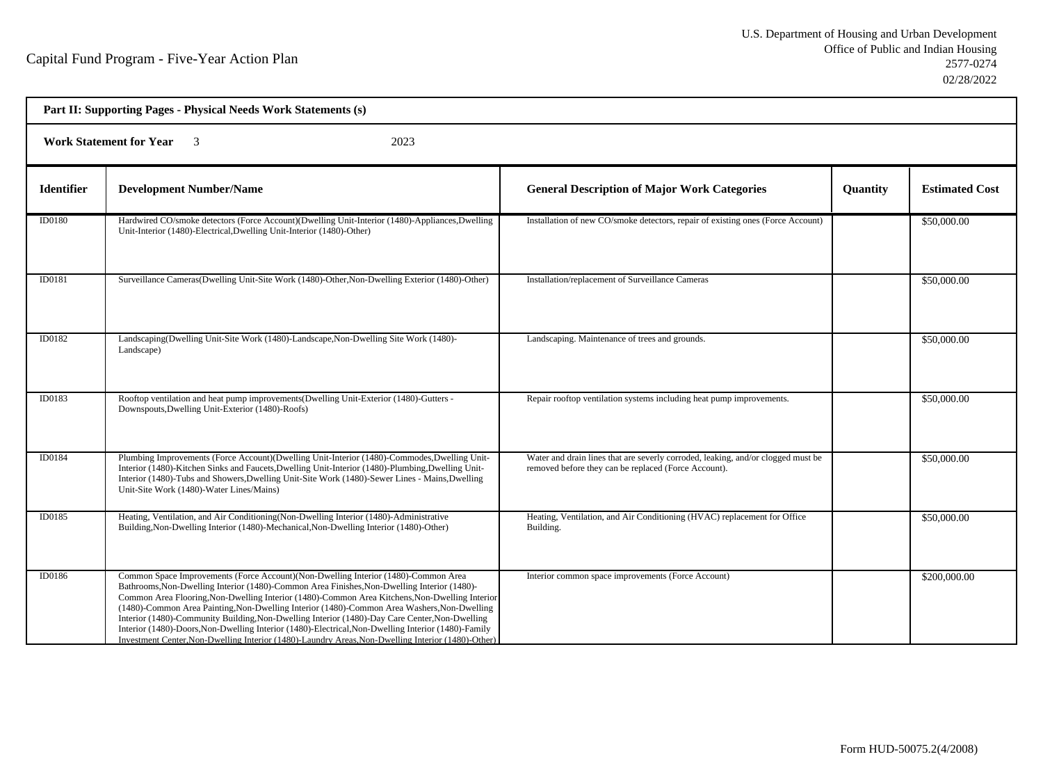| Part II: Supporting Pages - Physical Needs Work Statements (s) |                                                                                                                                                                                                                                                                                                                                                                                                                                                                                                                                                                                                                                                                                                   |                                                                                                                                          |          |                       |  |  |
|----------------------------------------------------------------|---------------------------------------------------------------------------------------------------------------------------------------------------------------------------------------------------------------------------------------------------------------------------------------------------------------------------------------------------------------------------------------------------------------------------------------------------------------------------------------------------------------------------------------------------------------------------------------------------------------------------------------------------------------------------------------------------|------------------------------------------------------------------------------------------------------------------------------------------|----------|-----------------------|--|--|
|                                                                | <b>Work Statement for Year</b><br>2023<br>$\overline{\mathbf{3}}$                                                                                                                                                                                                                                                                                                                                                                                                                                                                                                                                                                                                                                 |                                                                                                                                          |          |                       |  |  |
| <b>Identifier</b>                                              | <b>Development Number/Name</b>                                                                                                                                                                                                                                                                                                                                                                                                                                                                                                                                                                                                                                                                    | <b>General Description of Major Work Categories</b>                                                                                      | Quantity | <b>Estimated Cost</b> |  |  |
| <b>ID0180</b>                                                  | Hardwired CO/smoke detectors (Force Account)(Dwelling Unit-Interior (1480)-Appliances, Dwelling<br>Unit-Interior (1480)-Electrical, Dwelling Unit-Interior (1480)-Other)                                                                                                                                                                                                                                                                                                                                                                                                                                                                                                                          | Installation of new CO/smoke detectors, repair of existing ones (Force Account)                                                          |          | \$50,000.00           |  |  |
| ID0181                                                         | Surveillance Cameras(Dwelling Unit-Site Work (1480)-Other, Non-Dwelling Exterior (1480)-Other)                                                                                                                                                                                                                                                                                                                                                                                                                                                                                                                                                                                                    | Installation/replacement of Surveillance Cameras                                                                                         |          | \$50,000.00           |  |  |
| ID0182                                                         | Landscaping(Dwelling Unit-Site Work (1480)-Landscape, Non-Dwelling Site Work (1480)-<br>Landscape)                                                                                                                                                                                                                                                                                                                                                                                                                                                                                                                                                                                                | Landscaping. Maintenance of trees and grounds.                                                                                           |          | \$50,000.00           |  |  |
| ID0183                                                         | Rooftop ventilation and heat pump improvements (Dwelling Unit-Exterior (1480)-Gutters -<br>Downspouts, Dwelling Unit-Exterior (1480)-Roofs)                                                                                                                                                                                                                                                                                                                                                                                                                                                                                                                                                       | Repair rooftop ventilation systems including heat pump improvements.                                                                     |          | \$50,000.00           |  |  |
| ID0184                                                         | Plumbing Improvements (Force Account)(Dwelling Unit-Interior (1480)-Commodes, Dwelling Unit-<br>Interior (1480)-Kitchen Sinks and Faucets, Dwelling Unit-Interior (1480)-Plumbing, Dwelling Unit-<br>Interior (1480)-Tubs and Showers, Dwelling Unit-Site Work (1480)-Sewer Lines - Mains, Dwelling<br>Unit-Site Work (1480)-Water Lines/Mains)                                                                                                                                                                                                                                                                                                                                                   | Water and drain lines that are severly corroded, leaking, and/or clogged must be<br>removed before they can be replaced (Force Account). |          | \$50,000.00           |  |  |
| ID0185                                                         | Heating, Ventilation, and Air Conditioning (Non-Dwelling Interior (1480)-Administrative<br>Building, Non-Dwelling Interior (1480)-Mechanical, Non-Dwelling Interior (1480)-Other)                                                                                                                                                                                                                                                                                                                                                                                                                                                                                                                 | Heating, Ventilation, and Air Conditioning (HVAC) replacement for Office<br>Building.                                                    |          | \$50,000.00           |  |  |
| ID0186                                                         | Common Space Improvements (Force Account)(Non-Dwelling Interior (1480)-Common Area<br>Bathrooms, Non-Dwelling Interior (1480)-Common Area Finishes, Non-Dwelling Interior (1480)-<br>Common Area Flooring, Non-Dwelling Interior (1480)-Common Area Kitchens, Non-Dwelling Interior<br>(1480)-Common Area Painting, Non-Dwelling Interior (1480)-Common Area Washers, Non-Dwelling<br>Interior (1480)-Community Building, Non-Dwelling Interior (1480)-Day Care Center, Non-Dwelling<br>Interior (1480)-Doors, Non-Dwelling Interior (1480)-Electrical, Non-Dwelling Interior (1480)-Family<br>Investment Center, Non-Dwelling Interior (1480)-Laundry Areas, Non-Dwelling Interior (1480)-Other) | Interior common space improvements (Force Account)                                                                                       |          | \$200,000.00          |  |  |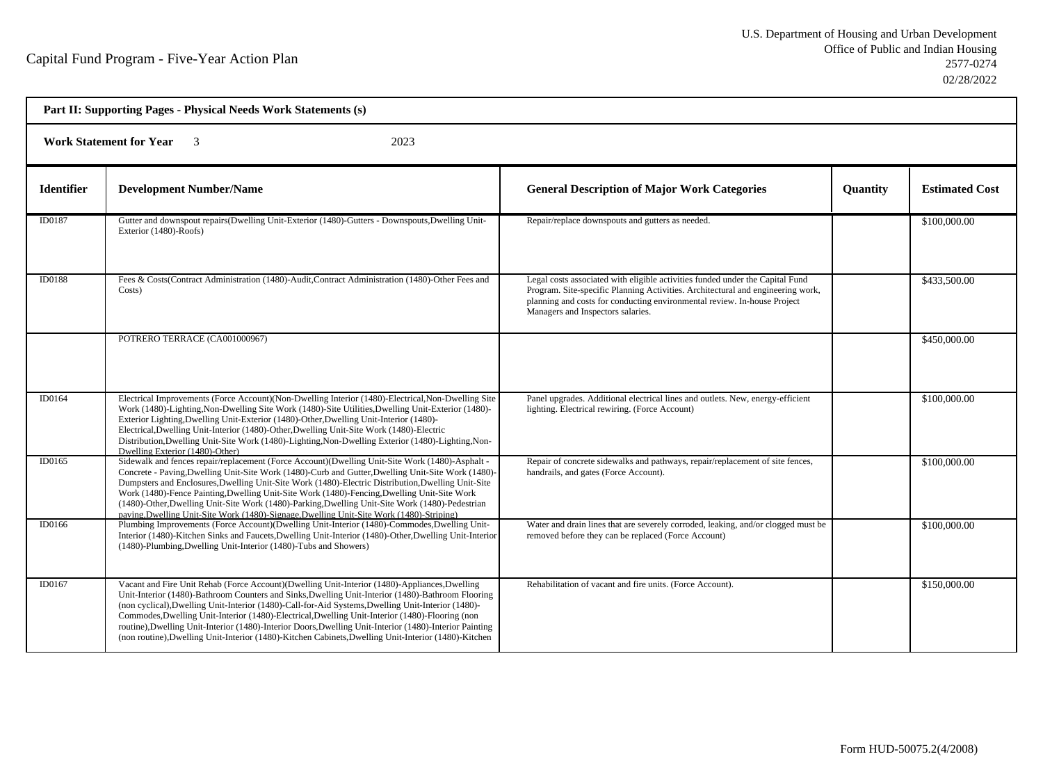| Part II: Supporting Pages - Physical Needs Work Statements (s) |                                                                                                                                                                                                                                                                                                                                                                                                                                                                                                                                                                                                                                |                                                                                                                                                                                                                                                                                   |          |                       |  |  |
|----------------------------------------------------------------|--------------------------------------------------------------------------------------------------------------------------------------------------------------------------------------------------------------------------------------------------------------------------------------------------------------------------------------------------------------------------------------------------------------------------------------------------------------------------------------------------------------------------------------------------------------------------------------------------------------------------------|-----------------------------------------------------------------------------------------------------------------------------------------------------------------------------------------------------------------------------------------------------------------------------------|----------|-----------------------|--|--|
|                                                                | <b>Work Statement for Year</b><br>2023<br>$\overline{\mathbf{3}}$                                                                                                                                                                                                                                                                                                                                                                                                                                                                                                                                                              |                                                                                                                                                                                                                                                                                   |          |                       |  |  |
| <b>Identifier</b>                                              | <b>Development Number/Name</b>                                                                                                                                                                                                                                                                                                                                                                                                                                                                                                                                                                                                 | <b>General Description of Major Work Categories</b>                                                                                                                                                                                                                               | Quantity | <b>Estimated Cost</b> |  |  |
| <b>ID0187</b>                                                  | Gutter and downspout repairs (Dwelling Unit-Exterior (1480)-Gutters - Downspouts, Dwelling Unit-<br>Exterior (1480)-Roofs)                                                                                                                                                                                                                                                                                                                                                                                                                                                                                                     | Repair/replace downspouts and gutters as needed.                                                                                                                                                                                                                                  |          | \$100,000.00          |  |  |
| ID0188                                                         | Fees & Costs(Contract Administration (1480)-Audit, Contract Administration (1480)-Other Fees and<br>Costs)                                                                                                                                                                                                                                                                                                                                                                                                                                                                                                                     | Legal costs associated with eligible activities funded under the Capital Fund<br>Program. Site-specific Planning Activities. Architectural and engineering work,<br>planning and costs for conducting environmental review. In-house Project<br>Managers and Inspectors salaries. |          | \$433,500.00          |  |  |
|                                                                | POTRERO TERRACE (CA001000967)                                                                                                                                                                                                                                                                                                                                                                                                                                                                                                                                                                                                  |                                                                                                                                                                                                                                                                                   |          | \$450,000.00          |  |  |
| ID0164                                                         | Electrical Improvements (Force Account)(Non-Dwelling Interior (1480)-Electrical, Non-Dwelling Site<br>Work (1480)-Lighting, Non-Dwelling Site Work (1480)-Site Utilities, Dwelling Unit-Exterior (1480)-<br>Exterior Lighting, Dwelling Unit-Exterior (1480)-Other, Dwelling Unit-Interior (1480)-<br>Electrical, Dwelling Unit-Interior (1480)-Other, Dwelling Unit-Site Work (1480)-Electric<br>Distribution, Dwelling Unit-Site Work (1480)-Lighting, Non-Dwelling Exterior (1480)-Lighting, Non-<br>Dwelling Exterior (1480)-Other)                                                                                        | Panel upgrades. Additional electrical lines and outlets. New, energy-efficient<br>lighting. Electrical rewiring. (Force Account)                                                                                                                                                  |          | \$100,000.00          |  |  |
| ID0165                                                         | Sidewalk and fences repair/replacement (Force Account)(Dwelling Unit-Site Work (1480)-Asphalt -<br>Concrete - Paving, Dwelling Unit-Site Work (1480)-Curb and Gutter, Dwelling Unit-Site Work (1480)-<br>Dumpsters and Enclosures, Dwelling Unit-Site Work (1480)-Electric Distribution, Dwelling Unit-Site<br>Work (1480)-Fence Painting, Dwelling Unit-Site Work (1480)-Fencing, Dwelling Unit-Site Work<br>(1480)-Other, Dwelling Unit-Site Work (1480)-Parking, Dwelling Unit-Site Work (1480)-Pedestrian<br>paving, Dwelling Unit-Site Work (1480)-Signage, Dwelling Unit-Site Work (1480)-Striping)                      | Repair of concrete sidewalks and pathways, repair/replacement of site fences,<br>handrails, and gates (Force Account).                                                                                                                                                            |          | \$100,000.00          |  |  |
| ID0166                                                         | Plumbing Improvements (Force Account)(Dwelling Unit-Interior (1480)-Commodes, Dwelling Unit-<br>Interior (1480)-Kitchen Sinks and Faucets, Dwelling Unit-Interior (1480)-Other, Dwelling Unit-Interior<br>(1480)-Plumbing, Dwelling Unit-Interior (1480)-Tubs and Showers)                                                                                                                                                                                                                                                                                                                                                     | Water and drain lines that are severely corroded, leaking, and/or clogged must be<br>removed before they can be replaced (Force Account)                                                                                                                                          |          | \$100,000.00          |  |  |
| ID0167                                                         | Vacant and Fire Unit Rehab (Force Account)(Dwelling Unit-Interior (1480)-Appliances, Dwelling<br>Unit-Interior (1480)-Bathroom Counters and Sinks, Dwelling Unit-Interior (1480)-Bathroom Flooring<br>(non cyclical), Dwelling Unit-Interior (1480)-Call-for-Aid Systems, Dwelling Unit-Interior (1480)-<br>Commodes, Dwelling Unit-Interior (1480)-Electrical, Dwelling Unit-Interior (1480)-Flooring (non<br>routine), Dwelling Unit-Interior (1480)-Interior Doors, Dwelling Unit-Interior (1480)-Interior Painting<br>(non routine), Dwelling Unit-Interior (1480)-Kitchen Cabinets, Dwelling Unit-Interior (1480)-Kitchen | Rehabilitation of vacant and fire units. (Force Account).                                                                                                                                                                                                                         |          | \$150,000.00          |  |  |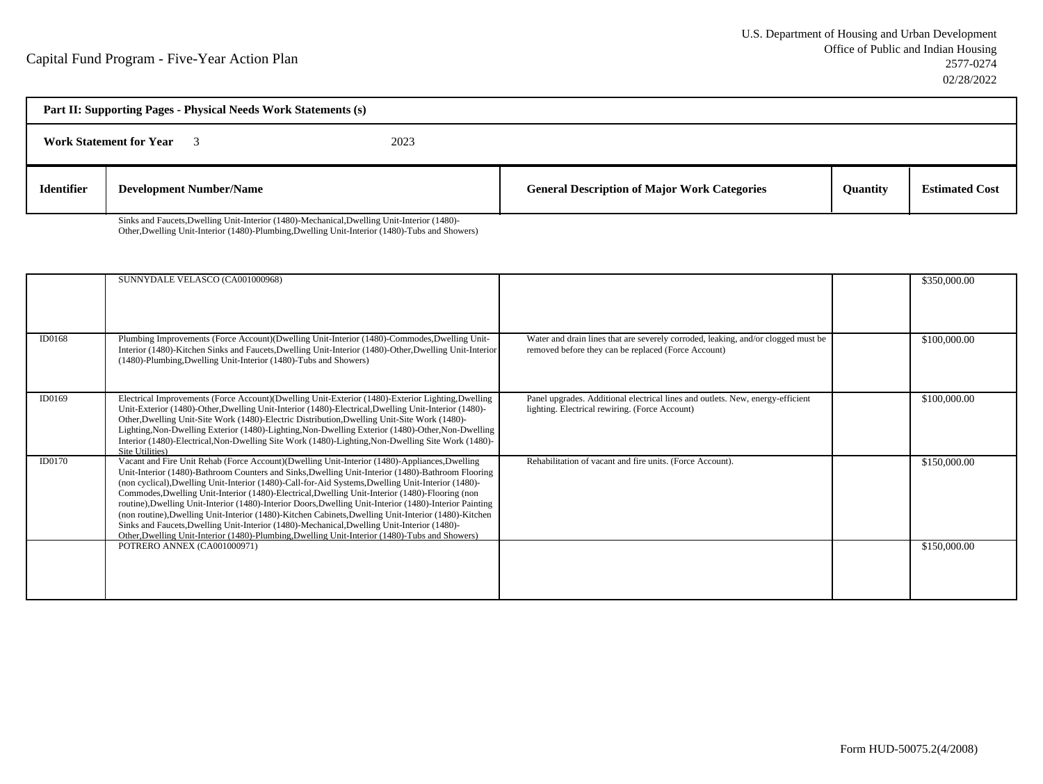| Part II: Supporting Pages - Physical Needs Work Statements (s) |                                |      |                                                     |                 |                       |  |
|----------------------------------------------------------------|--------------------------------|------|-----------------------------------------------------|-----------------|-----------------------|--|
|                                                                | <b>Work Statement for Year</b> | 2023 |                                                     |                 |                       |  |
| <b>Identifier</b>                                              | <b>Development Number/Name</b> |      | <b>General Description of Major Work Categories</b> | <b>Ouantity</b> | <b>Estimated Cost</b> |  |

Sinks and Faucets,Dwelling Unit-Interior (1480)-Mechanical,Dwelling Unit-Interior (1480)-Other,Dwelling Unit-Interior (1480)-Plumbing,Dwelling Unit-Interior (1480)-Tubs and Showers)

|        | SUNNYDALE VELASCO (CA001000968)                                                                                                                                                                                                                                                                                                                                                                                                                                                                                                                                                                                                                                                                                                                                                                                                 |                                                                                                                                          | \$350,000.00 |
|--------|---------------------------------------------------------------------------------------------------------------------------------------------------------------------------------------------------------------------------------------------------------------------------------------------------------------------------------------------------------------------------------------------------------------------------------------------------------------------------------------------------------------------------------------------------------------------------------------------------------------------------------------------------------------------------------------------------------------------------------------------------------------------------------------------------------------------------------|------------------------------------------------------------------------------------------------------------------------------------------|--------------|
| ID0168 | Plumbing Improvements (Force Account)(Dwelling Unit-Interior (1480)-Commodes, Dwelling Unit-<br>Interior (1480)-Kitchen Sinks and Faucets, Dwelling Unit-Interior (1480)-Other, Dwelling Unit-Interior<br>(1480)-Plumbing, Dwelling Unit-Interior (1480)-Tubs and Showers)                                                                                                                                                                                                                                                                                                                                                                                                                                                                                                                                                      | Water and drain lines that are severely corroded, leaking, and/or clogged must be<br>removed before they can be replaced (Force Account) | \$100,000.00 |
| ID0169 | Electrical Improvements (Force Account)(Dwelling Unit-Exterior (1480)-Exterior Lighting,Dwelling<br>Unit-Exterior (1480)-Other, Dwelling Unit-Interior (1480)-Electrical, Dwelling Unit-Interior (1480)-<br>Other, Dwelling Unit-Site Work (1480)-Electric Distribution, Dwelling Unit-Site Work (1480)-<br>Lighting, Non-Dwelling Exterior (1480)-Lighting, Non-Dwelling Exterior (1480)-Other, Non-Dwelling<br>Interior (1480)-Electrical, Non-Dwelling Site Work (1480)-Lighting, Non-Dwelling Site Work (1480)-<br>Site Utilities)                                                                                                                                                                                                                                                                                          | Panel upgrades. Additional electrical lines and outlets. New, energy-efficient<br>lighting. Electrical rewiring. (Force Account)         | \$100,000.00 |
| ID0170 | Vacant and Fire Unit Rehab (Force Account)(Dwelling Unit-Interior (1480)-Appliances, Dwelling<br>Unit-Interior (1480)-Bathroom Counters and Sinks, Dwelling Unit-Interior (1480)-Bathroom Flooring<br>(non cyclical), Dwelling Unit-Interior (1480)-Call-for-Aid Systems, Dwelling Unit-Interior (1480)-<br>Commodes, Dwelling Unit-Interior (1480)-Electrical, Dwelling Unit-Interior (1480)-Flooring (non<br>routine), Dwelling Unit-Interior (1480)-Interior Doors, Dwelling Unit-Interior (1480)-Interior Painting<br>(non routine), Dwelling Unit-Interior (1480)-Kitchen Cabinets, Dwelling Unit-Interior (1480)-Kitchen<br>Sinks and Faucets, Dwelling Unit-Interior (1480)-Mechanical, Dwelling Unit-Interior (1480)-<br>Other, Dwelling Unit-Interior (1480)-Plumbing, Dwelling Unit-Interior (1480)-Tubs and Showers) | Rehabilitation of vacant and fire units. (Force Account).                                                                                | \$150,000.00 |
|        | POTRERO ANNEX (CA001000971)                                                                                                                                                                                                                                                                                                                                                                                                                                                                                                                                                                                                                                                                                                                                                                                                     |                                                                                                                                          | \$150,000.00 |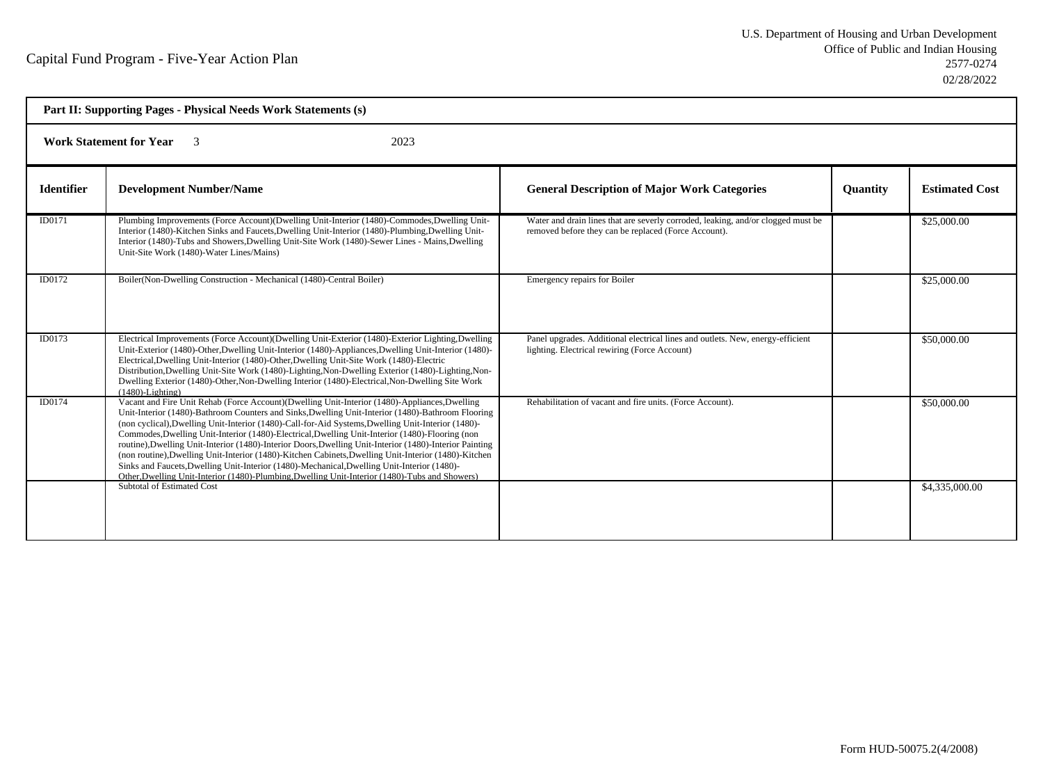| Part II: Supporting Pages - Physical Needs Work Statements (s) |                                                                                                                                                                                                                                                                                                                                                                                                                                                                                                                                                                                                                                                                                                                                                                                                                                 |                                                                                                                                          |          |                       |  |  |
|----------------------------------------------------------------|---------------------------------------------------------------------------------------------------------------------------------------------------------------------------------------------------------------------------------------------------------------------------------------------------------------------------------------------------------------------------------------------------------------------------------------------------------------------------------------------------------------------------------------------------------------------------------------------------------------------------------------------------------------------------------------------------------------------------------------------------------------------------------------------------------------------------------|------------------------------------------------------------------------------------------------------------------------------------------|----------|-----------------------|--|--|
|                                                                | <b>Work Statement for Year</b><br>$\overline{\mathbf{3}}$<br>2023                                                                                                                                                                                                                                                                                                                                                                                                                                                                                                                                                                                                                                                                                                                                                               |                                                                                                                                          |          |                       |  |  |
| <b>Identifier</b>                                              | <b>Development Number/Name</b>                                                                                                                                                                                                                                                                                                                                                                                                                                                                                                                                                                                                                                                                                                                                                                                                  | <b>General Description of Major Work Categories</b>                                                                                      | Quantity | <b>Estimated Cost</b> |  |  |
| ID0171                                                         | Plumbing Improvements (Force Account)(Dwelling Unit-Interior (1480)-Commodes, Dwelling Unit-<br>Interior (1480)-Kitchen Sinks and Faucets, Dwelling Unit-Interior (1480)-Plumbing, Dwelling Unit-<br>Interior (1480)-Tubs and Showers, Dwelling Unit-Site Work (1480)-Sewer Lines - Mains, Dwelling<br>Unit-Site Work (1480)-Water Lines/Mains)                                                                                                                                                                                                                                                                                                                                                                                                                                                                                 | Water and drain lines that are severly corroded, leaking, and/or clogged must be<br>removed before they can be replaced (Force Account). |          | \$25,000.00           |  |  |
| ID0172                                                         | Boiler(Non-Dwelling Construction - Mechanical (1480)-Central Boiler)                                                                                                                                                                                                                                                                                                                                                                                                                                                                                                                                                                                                                                                                                                                                                            | Emergency repairs for Boiler                                                                                                             |          | \$25,000.00           |  |  |
| ID0173                                                         | Electrical Improvements (Force Account) (Dwelling Unit-Exterior (1480)-Exterior Lighting, Dwelling<br>Unit-Exterior (1480)-Other, Dwelling Unit-Interior (1480)-Appliances, Dwelling Unit-Interior (1480)-<br>Electrical, Dwelling Unit-Interior (1480)-Other, Dwelling Unit-Site Work (1480)-Electric<br>Distribution, Dwelling Unit-Site Work (1480)-Lighting, Non-Dwelling Exterior (1480)-Lighting, Non-<br>Dwelling Exterior (1480)-Other, Non-Dwelling Interior (1480)-Electrical, Non-Dwelling Site Work<br>$(1480)$ -Lighting)                                                                                                                                                                                                                                                                                          | Panel upgrades. Additional electrical lines and outlets. New, energy-efficient<br>lighting. Electrical rewiring (Force Account)          |          | \$50,000.00           |  |  |
| ID0174                                                         | Vacant and Fire Unit Rehab (Force Account)(Dwelling Unit-Interior (1480)-Appliances, Dwelling<br>Unit-Interior (1480)-Bathroom Counters and Sinks, Dwelling Unit-Interior (1480)-Bathroom Flooring<br>(non cyclical), Dwelling Unit-Interior (1480)-Call-for-Aid Systems, Dwelling Unit-Interior (1480)-<br>Commodes, Dwelling Unit-Interior (1480)-Electrical, Dwelling Unit-Interior (1480)-Flooring (non<br>routine), Dwelling Unit-Interior (1480)-Interior Doors, Dwelling Unit-Interior (1480)-Interior Painting<br>(non routine), Dwelling Unit-Interior (1480)-Kitchen Cabinets, Dwelling Unit-Interior (1480)-Kitchen<br>Sinks and Faucets, Dwelling Unit-Interior (1480)-Mechanical, Dwelling Unit-Interior (1480)-<br>Other, Dwelling Unit-Interior (1480)-Plumbing, Dwelling Unit-Interior (1480)-Tubs and Showers) | Rehabilitation of vacant and fire units. (Force Account).                                                                                |          | \$50,000.00           |  |  |
|                                                                | Subtotal of Estimated Cost                                                                                                                                                                                                                                                                                                                                                                                                                                                                                                                                                                                                                                                                                                                                                                                                      |                                                                                                                                          |          | \$4,335,000.00        |  |  |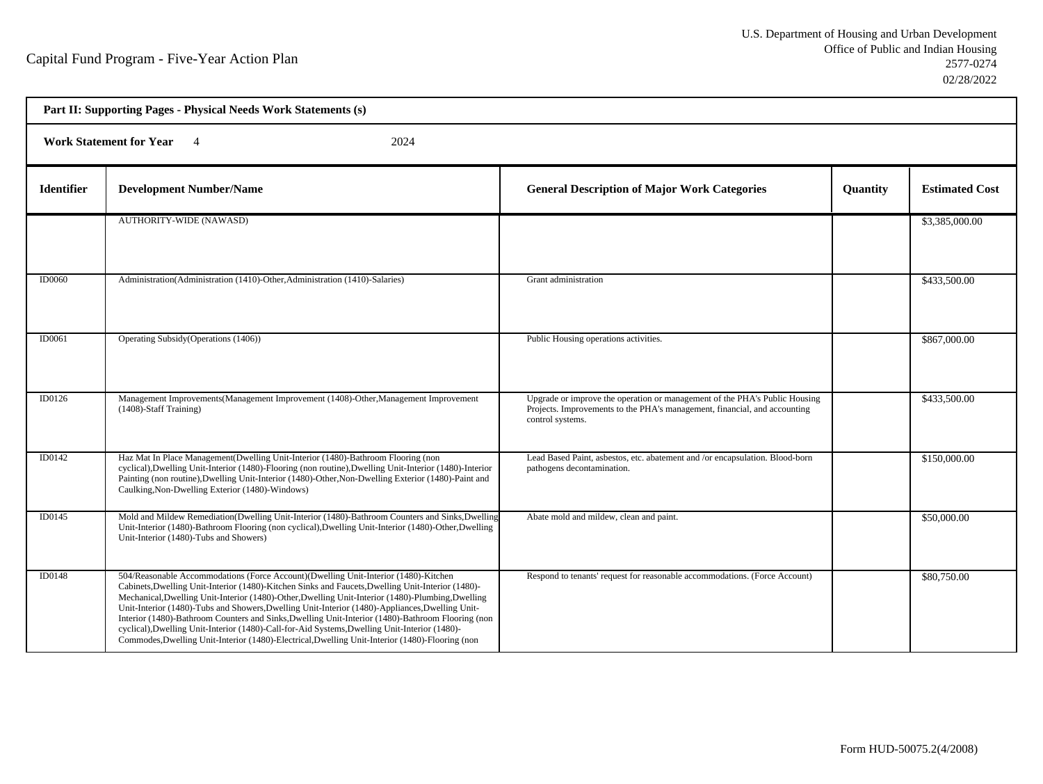h

| Part II: Supporting Pages - Physical Needs Work Statements (s) |                                                                                                                                                                                                                                                                                                                                                                                                                                                                                                                                                                                                                                                                                                           |                                                                                                                                                                             |          |                       |  |  |
|----------------------------------------------------------------|-----------------------------------------------------------------------------------------------------------------------------------------------------------------------------------------------------------------------------------------------------------------------------------------------------------------------------------------------------------------------------------------------------------------------------------------------------------------------------------------------------------------------------------------------------------------------------------------------------------------------------------------------------------------------------------------------------------|-----------------------------------------------------------------------------------------------------------------------------------------------------------------------------|----------|-----------------------|--|--|
|                                                                | <b>Work Statement for Year</b><br>2024<br>$\overline{4}$                                                                                                                                                                                                                                                                                                                                                                                                                                                                                                                                                                                                                                                  |                                                                                                                                                                             |          |                       |  |  |
| <b>Identifier</b>                                              | <b>Development Number/Name</b>                                                                                                                                                                                                                                                                                                                                                                                                                                                                                                                                                                                                                                                                            | <b>General Description of Major Work Categories</b>                                                                                                                         | Quantity | <b>Estimated Cost</b> |  |  |
|                                                                | <b>AUTHORITY-WIDE (NAWASD)</b>                                                                                                                                                                                                                                                                                                                                                                                                                                                                                                                                                                                                                                                                            |                                                                                                                                                                             |          | \$3,385,000.00        |  |  |
| <b>ID0060</b>                                                  | Administration (Administration (1410)-Other, Administration (1410)-Salaries)                                                                                                                                                                                                                                                                                                                                                                                                                                                                                                                                                                                                                              | Grant administration                                                                                                                                                        |          | \$433,500.00          |  |  |
| ID0061                                                         | Operating Subsidy (Operations (1406))                                                                                                                                                                                                                                                                                                                                                                                                                                                                                                                                                                                                                                                                     | Public Housing operations activities.                                                                                                                                       |          | \$867,000.00          |  |  |
| ID0126                                                         | Management Improvements(Management Improvement (1408)-Other, Management Improvement<br>(1408)-Staff Training)                                                                                                                                                                                                                                                                                                                                                                                                                                                                                                                                                                                             | Upgrade or improve the operation or management of the PHA's Public Housing<br>Projects. Improvements to the PHA's management, financial, and accounting<br>control systems. |          | \$433,500.00          |  |  |
| ID0142                                                         | Haz Mat In Place Management(Dwelling Unit-Interior (1480)-Bathroom Flooring (non<br>cyclical), Dwelling Unit-Interior (1480)-Flooring (non routine), Dwelling Unit-Interior (1480)-Interior<br>Painting (non routine), Dwelling Unit-Interior (1480)-Other, Non-Dwelling Exterior (1480)-Paint and<br>Caulking, Non-Dwelling Exterior (1480)-Windows)                                                                                                                                                                                                                                                                                                                                                     | Lead Based Paint, asbestos, etc. abatement and /or encapsulation. Blood-born<br>pathogens decontamination.                                                                  |          | \$150,000.00          |  |  |
| ID0145                                                         | Mold and Mildew Remediation(Dwelling Unit-Interior (1480)-Bathroom Counters and Sinks, Dwelling<br>Unit-Interior (1480)-Bathroom Flooring (non cyclical), Dwelling Unit-Interior (1480)-Other, Dwelling<br>Unit-Interior (1480)-Tubs and Showers)                                                                                                                                                                                                                                                                                                                                                                                                                                                         | Abate mold and mildew, clean and paint.                                                                                                                                     |          | \$50,000.00           |  |  |
| ID0148                                                         | 504/Reasonable Accommodations (Force Account)(Dwelling Unit-Interior (1480)-Kitchen<br>Cabinets, Dwelling Unit-Interior (1480)-Kitchen Sinks and Faucets, Dwelling Unit-Interior (1480)-<br>Mechanical, Dwelling Unit-Interior (1480)-Other, Dwelling Unit-Interior (1480)-Plumbing, Dwelling<br>Unit-Interior (1480)-Tubs and Showers, Dwelling Unit-Interior (1480)-Appliances, Dwelling Unit-<br>Interior (1480)-Bathroom Counters and Sinks, Dwelling Unit-Interior (1480)-Bathroom Flooring (non<br>cyclical), Dwelling Unit-Interior (1480)-Call-for-Aid Systems, Dwelling Unit-Interior (1480)-<br>Commodes, Dwelling Unit-Interior (1480)-Electrical, Dwelling Unit-Interior (1480)-Flooring (non | Respond to tenants' request for reasonable accommodations. (Force Account)                                                                                                  |          | \$80,750.00           |  |  |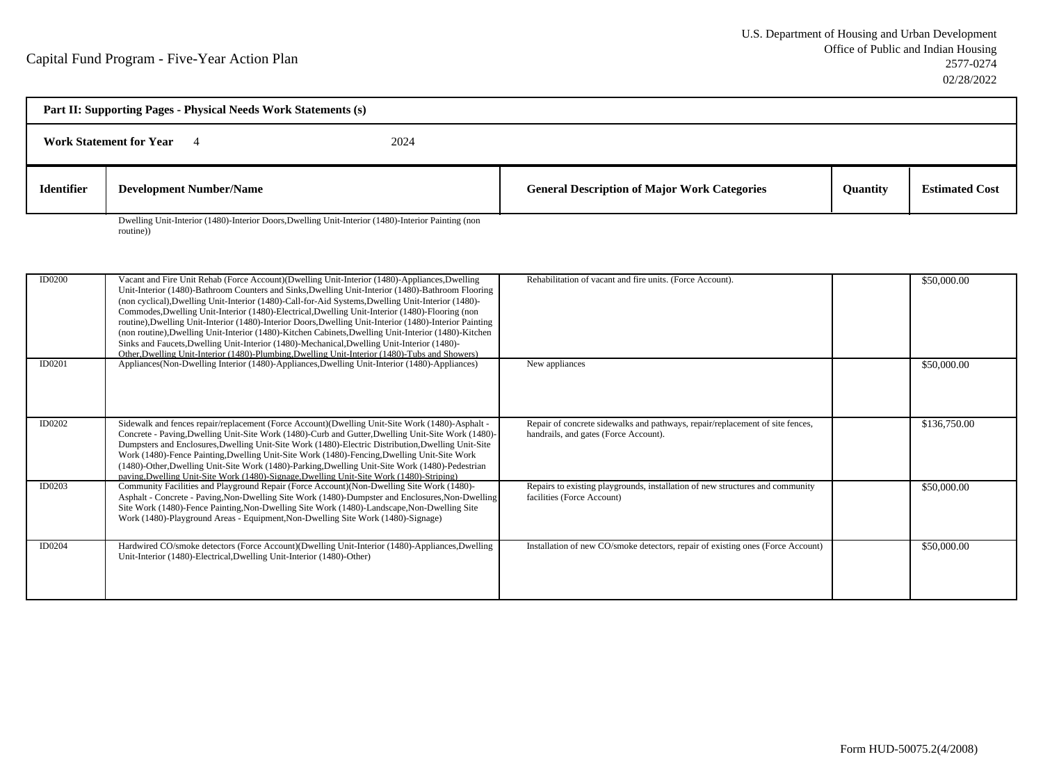| Part II: Supporting Pages - Physical Needs Work Statements (s) |                                                                                                    |  |                                                     |                 |                       |
|----------------------------------------------------------------|----------------------------------------------------------------------------------------------------|--|-----------------------------------------------------|-----------------|-----------------------|
| <b>Work Statement for Year</b><br>2024                         |                                                                                                    |  |                                                     |                 |                       |
| <b>Identifier</b>                                              | <b>Development Number/Name</b>                                                                     |  | <b>General Description of Major Work Categories</b> | <b>Ouantity</b> | <b>Estimated Cost</b> |
|                                                                | Dwelling Unit-Interior (1480)-Interior Doors, Dwelling Unit-Interior (1480)-Interior Painting (non |  |                                                     |                 |                       |

routine))

| <b>ID0200</b> | Vacant and Fire Unit Rehab (Force Account) (Dwelling Unit-Interior (1480)-Appliances, Dwelling<br>Unit-Interior (1480)-Bathroom Counters and Sinks, Dwelling Unit-Interior (1480)-Bathroom Flooring<br>(non cyclical), Dwelling Unit-Interior (1480)-Call-for-Aid Systems, Dwelling Unit-Interior (1480)-<br>Commodes, Dwelling Unit-Interior (1480)-Electrical, Dwelling Unit-Interior (1480)-Flooring (non<br>routine), Dwelling Unit-Interior (1480)-Interior Doors, Dwelling Unit-Interior (1480)-Interior Painting<br>(non routine), Dwelling Unit-Interior (1480)-Kitchen Cabinets, Dwelling Unit-Interior (1480)-Kitchen<br>Sinks and Faucets, Dwelling Unit-Interior (1480)-Mechanical, Dwelling Unit-Interior (1480)-<br>Other, Dwelling Unit-Interior (1480)-Plumbing, Dwelling Unit-Interior (1480)-Tubs and Showers) | Rehabilitation of vacant and fire units. (Force Account).                                                              | \$50,000.00  |
|---------------|----------------------------------------------------------------------------------------------------------------------------------------------------------------------------------------------------------------------------------------------------------------------------------------------------------------------------------------------------------------------------------------------------------------------------------------------------------------------------------------------------------------------------------------------------------------------------------------------------------------------------------------------------------------------------------------------------------------------------------------------------------------------------------------------------------------------------------|------------------------------------------------------------------------------------------------------------------------|--------------|
| ID0201        | Appliances (Non-Dwelling Interior (1480)-Appliances, Dwelling Unit-Interior (1480)-Appliances)                                                                                                                                                                                                                                                                                                                                                                                                                                                                                                                                                                                                                                                                                                                                   | New appliances                                                                                                         | \$50,000.00  |
| ID0202        | Sidewalk and fences repair/replacement (Force Account)(Dwelling Unit-Site Work (1480)-Asphalt -<br>Concrete - Paving, Dwelling Unit-Site Work (1480)-Curb and Gutter, Dwelling Unit-Site Work (1480)-<br>Dumpsters and Enclosures, Dwelling Unit-Site Work (1480)-Electric Distribution, Dwelling Unit-Site<br>Work (1480)-Fence Painting, Dwelling Unit-Site Work (1480)-Fencing, Dwelling Unit-Site Work<br>(1480)-Other, Dwelling Unit-Site Work (1480)-Parking, Dwelling Unit-Site Work (1480)-Pedestrian<br>paving, Dwelling Unit-Site Work (1480)-Signage, Dwelling Unit-Site Work (1480)-Striping)                                                                                                                                                                                                                        | Repair of concrete sidewalks and pathways, repair/replacement of site fences,<br>handrails, and gates (Force Account). | \$136,750.00 |
| ID0203        | Community Facilities and Playground Repair (Force Account) (Non-Dwelling Site Work (1480)-<br>Asphalt - Concrete - Paving, Non-Dwelling Site Work (1480)-Dumpster and Enclosures, Non-Dwelling<br>Site Work (1480)-Fence Painting, Non-Dwelling Site Work (1480)-Landscape, Non-Dwelling Site<br>Work (1480)-Playground Areas - Equipment, Non-Dwelling Site Work (1480)-Signage)                                                                                                                                                                                                                                                                                                                                                                                                                                                | Repairs to existing playgrounds, installation of new structures and community<br>facilities (Force Account)            | \$50,000.00  |
| ID0204        | Hardwired CO/smoke detectors (Force Account)(Dwelling Unit-Interior (1480)-Appliances,Dwelling<br>Unit-Interior (1480)-Electrical, Dwelling Unit-Interior (1480)-Other)                                                                                                                                                                                                                                                                                                                                                                                                                                                                                                                                                                                                                                                          | Installation of new CO/smoke detectors, repair of existing ones (Force Account)                                        | \$50,000.00  |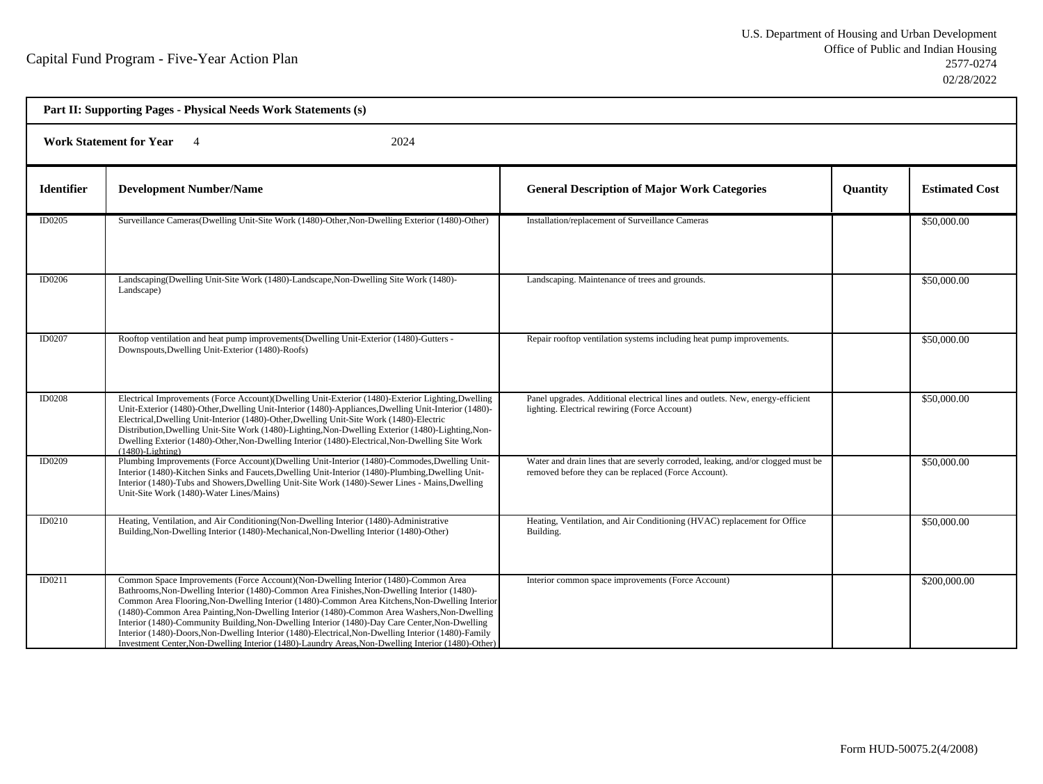| Part II: Supporting Pages - Physical Needs Work Statements (s) |                                                                                                                                                                                                                                                                                                                                                                                                                                                                                                                                                                                                                                                                                                    |                                                                                                                                          |                 |                       |  |  |
|----------------------------------------------------------------|----------------------------------------------------------------------------------------------------------------------------------------------------------------------------------------------------------------------------------------------------------------------------------------------------------------------------------------------------------------------------------------------------------------------------------------------------------------------------------------------------------------------------------------------------------------------------------------------------------------------------------------------------------------------------------------------------|------------------------------------------------------------------------------------------------------------------------------------------|-----------------|-----------------------|--|--|
|                                                                | <b>Work Statement for Year</b><br>2024<br>$\overline{4}$                                                                                                                                                                                                                                                                                                                                                                                                                                                                                                                                                                                                                                           |                                                                                                                                          |                 |                       |  |  |
| <b>Identifier</b>                                              | <b>Development Number/Name</b>                                                                                                                                                                                                                                                                                                                                                                                                                                                                                                                                                                                                                                                                     | <b>General Description of Major Work Categories</b>                                                                                      | <b>Quantity</b> | <b>Estimated Cost</b> |  |  |
| ID0205                                                         | Surveillance Cameras(Dwelling Unit-Site Work (1480)-Other, Non-Dwelling Exterior (1480)-Other)                                                                                                                                                                                                                                                                                                                                                                                                                                                                                                                                                                                                     | Installation/replacement of Surveillance Cameras                                                                                         |                 | \$50,000.00           |  |  |
| <b>ID0206</b>                                                  | Landscaping(Dwelling Unit-Site Work (1480)-Landscape, Non-Dwelling Site Work (1480)-<br>Landscape)                                                                                                                                                                                                                                                                                                                                                                                                                                                                                                                                                                                                 | Landscaping. Maintenance of trees and grounds.                                                                                           |                 | \$50,000.00           |  |  |
| ID0207                                                         | Rooftop ventilation and heat pump improvements (Dwelling Unit-Exterior (1480)-Gutters -<br>Downspouts, Dwelling Unit-Exterior (1480)-Roofs)                                                                                                                                                                                                                                                                                                                                                                                                                                                                                                                                                        | Repair rooftop ventilation systems including heat pump improvements.                                                                     |                 | \$50,000.00           |  |  |
| <b>ID0208</b>                                                  | Electrical Improvements (Force Account)(Dwelling Unit-Exterior (1480)-Exterior Lighting,Dwelling<br>Unit-Exterior (1480)-Other, Dwelling Unit-Interior (1480)-Appliances, Dwelling Unit-Interior (1480)-<br>Electrical, Dwelling Unit-Interior (1480)-Other, Dwelling Unit-Site Work (1480)-Electric<br>Distribution, Dwelling Unit-Site Work (1480)-Lighting, Non-Dwelling Exterior (1480)-Lighting, Non-<br>Dwelling Exterior (1480)-Other, Non-Dwelling Interior (1480)-Electrical, Non-Dwelling Site Work<br>$(1480)$ -Lighting)                                                                                                                                                               | Panel upgrades. Additional electrical lines and outlets. New, energy-efficient<br>lighting. Electrical rewiring (Force Account)          |                 | \$50,000.00           |  |  |
| <b>ID0209</b>                                                  | Plumbing Improvements (Force Account)(Dwelling Unit-Interior (1480)-Commodes, Dwelling Unit-<br>Interior (1480)-Kitchen Sinks and Faucets, Dwelling Unit-Interior (1480)-Plumbing, Dwelling Unit-<br>Interior (1480)-Tubs and Showers, Dwelling Unit-Site Work (1480)-Sewer Lines - Mains, Dwelling<br>Unit-Site Work (1480)-Water Lines/Mains)                                                                                                                                                                                                                                                                                                                                                    | Water and drain lines that are severly corroded, leaking, and/or clogged must be<br>removed before they can be replaced (Force Account). |                 | \$50,000.00           |  |  |
| ID0210                                                         | Heating, Ventilation, and Air Conditioning (Non-Dwelling Interior (1480)-Administrative<br>Building, Non-Dwelling Interior (1480)-Mechanical, Non-Dwelling Interior (1480)-Other)                                                                                                                                                                                                                                                                                                                                                                                                                                                                                                                  | Heating, Ventilation, and Air Conditioning (HVAC) replacement for Office<br>Building.                                                    |                 | \$50,000.00           |  |  |
| ID0211                                                         | Common Space Improvements (Force Account) (Non-Dwelling Interior (1480)-Common Area<br>Bathrooms, Non-Dwelling Interior (1480)-Common Area Finishes, Non-Dwelling Interior (1480)-<br>Common Area Flooring, Non-Dwelling Interior (1480)-Common Area Kitchens, Non-Dwelling Interior<br>(1480)-Common Area Painting, Non-Dwelling Interior (1480)-Common Area Washers, Non-Dwelling<br>Interior (1480)-Community Building, Non-Dwelling Interior (1480)-Day Care Center, Non-Dwelling<br>Interior (1480)-Doors, Non-Dwelling Interior (1480)-Electrical, Non-Dwelling Interior (1480)-Family<br>Investment Center, Non-Dwelling Interior (1480)-Laundry Areas, Non-Dwelling Interior (1480)-Other) | Interior common space improvements (Force Account)                                                                                       |                 | \$200,000.00          |  |  |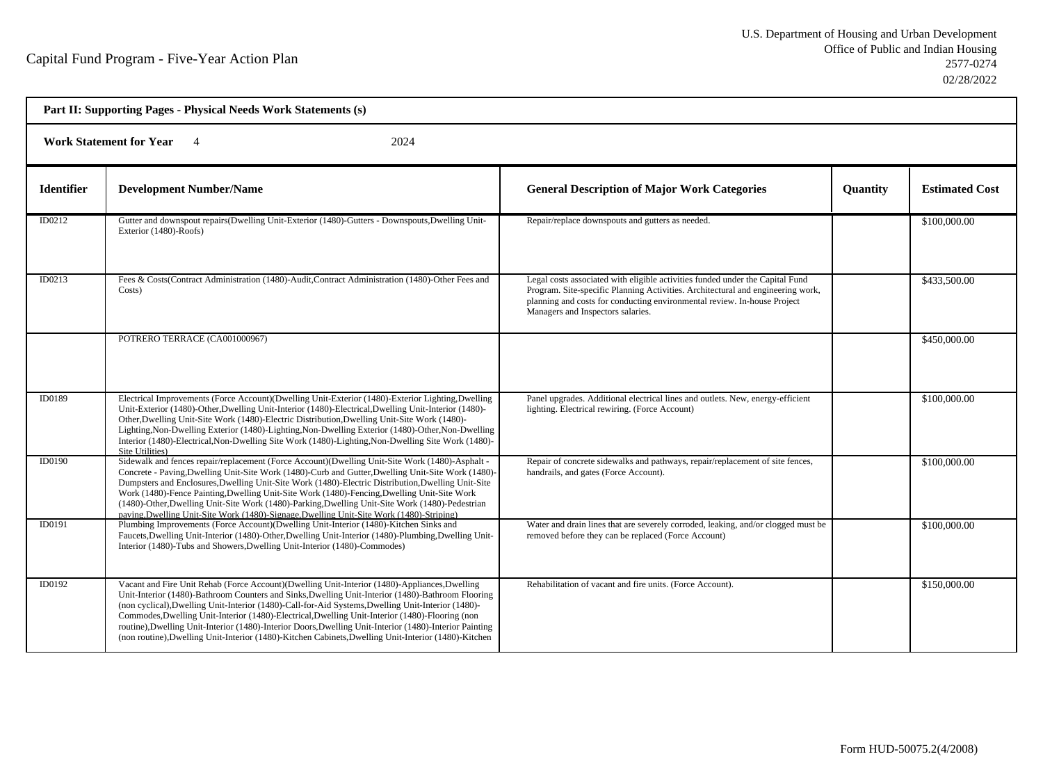|                   | Part II: Supporting Pages - Physical Needs Work Statements (s)                                                                                                                                                                                                                                                                                                                                                                                                                                                                                                                                                                 |                                                                                                                                                                                                                                                                                   |                 |                       |  |
|-------------------|--------------------------------------------------------------------------------------------------------------------------------------------------------------------------------------------------------------------------------------------------------------------------------------------------------------------------------------------------------------------------------------------------------------------------------------------------------------------------------------------------------------------------------------------------------------------------------------------------------------------------------|-----------------------------------------------------------------------------------------------------------------------------------------------------------------------------------------------------------------------------------------------------------------------------------|-----------------|-----------------------|--|
|                   | <b>Work Statement for Year</b><br>2024                                                                                                                                                                                                                                                                                                                                                                                                                                                                                                                                                                                         |                                                                                                                                                                                                                                                                                   |                 |                       |  |
| <b>Identifier</b> | <b>Development Number/Name</b>                                                                                                                                                                                                                                                                                                                                                                                                                                                                                                                                                                                                 | <b>General Description of Major Work Categories</b>                                                                                                                                                                                                                               | <b>Quantity</b> | <b>Estimated Cost</b> |  |
| ID0212            | Gutter and downspout repairs (Dwelling Unit-Exterior (1480)-Gutters - Downspouts, Dwelling Unit-<br>Exterior (1480)-Roofs)                                                                                                                                                                                                                                                                                                                                                                                                                                                                                                     | Repair/replace downspouts and gutters as needed.                                                                                                                                                                                                                                  |                 | \$100,000.00          |  |
| ID0213            | Fees & Costs(Contract Administration (1480)-Audit, Contract Administration (1480)-Other Fees and<br>Costs)                                                                                                                                                                                                                                                                                                                                                                                                                                                                                                                     | Legal costs associated with eligible activities funded under the Capital Fund<br>Program. Site-specific Planning Activities. Architectural and engineering work,<br>planning and costs for conducting environmental review. In-house Project<br>Managers and Inspectors salaries. |                 | \$433,500.00          |  |
|                   | POTRERO TERRACE (CA001000967)                                                                                                                                                                                                                                                                                                                                                                                                                                                                                                                                                                                                  |                                                                                                                                                                                                                                                                                   |                 | \$450,000.00          |  |
| ID0189            | Electrical Improvements (Force Account)(Dwelling Unit-Exterior (1480)-Exterior Lighting,Dwelling<br>Unit-Exterior (1480)-Other, Dwelling Unit-Interior (1480)-Electrical, Dwelling Unit-Interior (1480)-<br>Other, Dwelling Unit-Site Work (1480)-Electric Distribution, Dwelling Unit-Site Work (1480)-<br>Lighting, Non-Dwelling Exterior (1480)-Lighting, Non-Dwelling Exterior (1480)-Other, Non-Dwelling<br>Interior (1480)-Electrical, Non-Dwelling Site Work (1480)-Lighting, Non-Dwelling Site Work (1480)-<br>Site Utilities)                                                                                         | Panel upgrades. Additional electrical lines and outlets. New, energy-efficient<br>lighting. Electrical rewiring. (Force Account)                                                                                                                                                  |                 | \$100,000.00          |  |
| ID0190            | Sidewalk and fences repair/replacement (Force Account)(Dwelling Unit-Site Work (1480)-Asphalt -<br>Concrete - Paving, Dwelling Unit-Site Work (1480)-Curb and Gutter, Dwelling Unit-Site Work (1480)-<br>Dumpsters and Enclosures, Dwelling Unit-Site Work (1480)-Electric Distribution, Dwelling Unit-Site<br>Work (1480)-Fence Painting, Dwelling Unit-Site Work (1480)-Fencing, Dwelling Unit-Site Work<br>(1480)-Other, Dwelling Unit-Site Work (1480)-Parking, Dwelling Unit-Site Work (1480)-Pedestrian<br>paving, Dwelling Unit-Site Work (1480)-Signage, Dwelling Unit-Site Work (1480)-Striping)                      | Repair of concrete sidewalks and pathways, repair/replacement of site fences,<br>handrails, and gates (Force Account).                                                                                                                                                            |                 | \$100,000.00          |  |
| ID0191            | Plumbing Improvements (Force Account)(Dwelling Unit-Interior (1480)-Kitchen Sinks and<br>Faucets, Dwelling Unit-Interior (1480)-Other, Dwelling Unit-Interior (1480)-Plumbing, Dwelling Unit-<br>Interior (1480)-Tubs and Showers, Dwelling Unit-Interior (1480)-Commodes)                                                                                                                                                                                                                                                                                                                                                     | Water and drain lines that are severely corroded, leaking, and/or clogged must be<br>removed before they can be replaced (Force Account)                                                                                                                                          |                 | \$100,000.00          |  |
| ID0192            | Vacant and Fire Unit Rehab (Force Account)(Dwelling Unit-Interior (1480)-Appliances, Dwelling<br>Unit-Interior (1480)-Bathroom Counters and Sinks, Dwelling Unit-Interior (1480)-Bathroom Flooring<br>(non cyclical), Dwelling Unit-Interior (1480)-Call-for-Aid Systems, Dwelling Unit-Interior (1480)-<br>Commodes, Dwelling Unit-Interior (1480)-Electrical, Dwelling Unit-Interior (1480)-Flooring (non<br>routine), Dwelling Unit-Interior (1480)-Interior Doors, Dwelling Unit-Interior (1480)-Interior Painting<br>(non routine), Dwelling Unit-Interior (1480)-Kitchen Cabinets, Dwelling Unit-Interior (1480)-Kitchen | Rehabilitation of vacant and fire units. (Force Account).                                                                                                                                                                                                                         |                 | \$150,000.00          |  |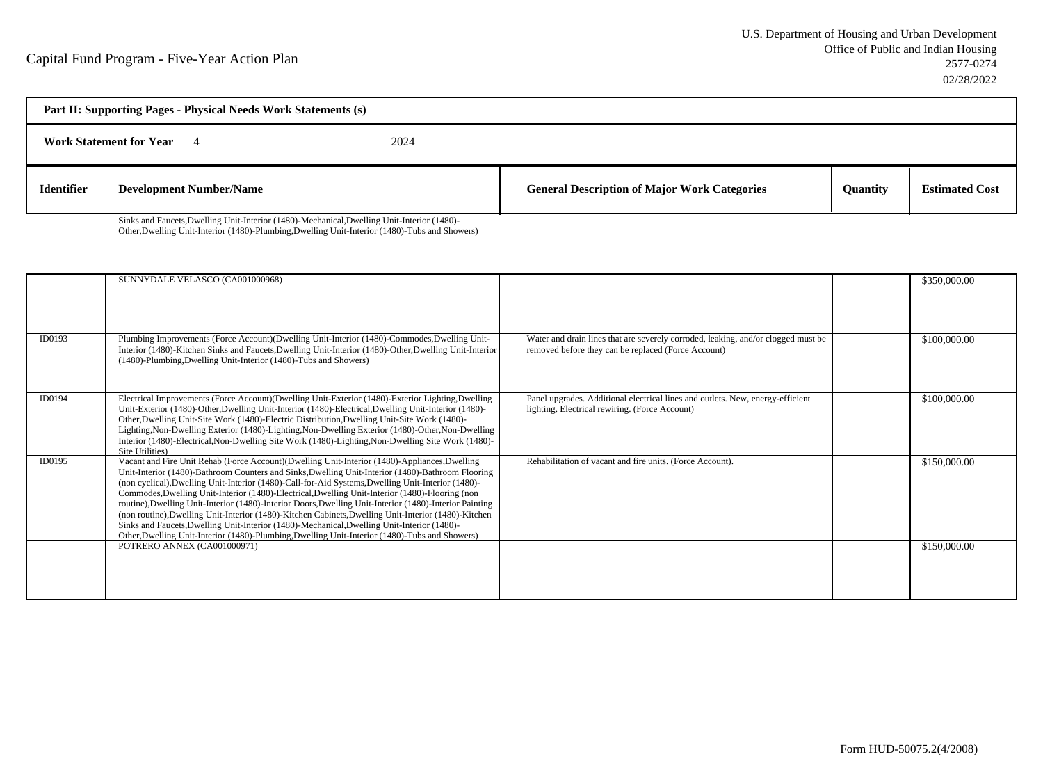| Part II: Supporting Pages - Physical Needs Work Statements (s) |                                |      |                                                     |          |                       |
|----------------------------------------------------------------|--------------------------------|------|-----------------------------------------------------|----------|-----------------------|
|                                                                | <b>Work Statement for Year</b> | 2024 |                                                     |          |                       |
| <b>Identifier</b>                                              | <b>Development Number/Name</b> |      | <b>General Description of Major Work Categories</b> | Quantity | <b>Estimated Cost</b> |

Sinks and Faucets,Dwelling Unit-Interior (1480)-Mechanical,Dwelling Unit-Interior (1480)-Other,Dwelling Unit-Interior (1480)-Plumbing,Dwelling Unit-Interior (1480)-Tubs and Showers)

|        | SUNNYDALE VELASCO (CA001000968)                                                                                                                                                                                                                                                                                                                                                                                                                                                                                                                                                                                                                                                                                                                                                                                                 |                                                                                                                                          | \$350,000.00 |
|--------|---------------------------------------------------------------------------------------------------------------------------------------------------------------------------------------------------------------------------------------------------------------------------------------------------------------------------------------------------------------------------------------------------------------------------------------------------------------------------------------------------------------------------------------------------------------------------------------------------------------------------------------------------------------------------------------------------------------------------------------------------------------------------------------------------------------------------------|------------------------------------------------------------------------------------------------------------------------------------------|--------------|
| ID0193 | Plumbing Improvements (Force Account)(Dwelling Unit-Interior (1480)-Commodes, Dwelling Unit-<br>Interior (1480)-Kitchen Sinks and Faucets, Dwelling Unit-Interior (1480)-Other, Dwelling Unit-Interior<br>(1480)-Plumbing, Dwelling Unit-Interior (1480)-Tubs and Showers)                                                                                                                                                                                                                                                                                                                                                                                                                                                                                                                                                      | Water and drain lines that are severely corroded, leaking, and/or clogged must be<br>removed before they can be replaced (Force Account) | \$100,000.00 |
| ID0194 | Electrical Improvements (Force Account)(Dwelling Unit-Exterior (1480)-Exterior Lighting,Dwelling<br>Unit-Exterior (1480)-Other, Dwelling Unit-Interior (1480)-Electrical, Dwelling Unit-Interior (1480)-<br>Other, Dwelling Unit-Site Work (1480)-Electric Distribution, Dwelling Unit-Site Work (1480)-<br>Lighting, Non-Dwelling Exterior (1480)-Lighting, Non-Dwelling Exterior (1480)-Other, Non-Dwelling<br>Interior (1480)-Electrical, Non-Dwelling Site Work (1480)-Lighting, Non-Dwelling Site Work (1480)-<br>Site Utilities)                                                                                                                                                                                                                                                                                          | Panel upgrades. Additional electrical lines and outlets. New, energy-efficient<br>lighting. Electrical rewiring. (Force Account)         | \$100,000.00 |
| ID0195 | Vacant and Fire Unit Rehab (Force Account)(Dwelling Unit-Interior (1480)-Appliances, Dwelling<br>Unit-Interior (1480)-Bathroom Counters and Sinks, Dwelling Unit-Interior (1480)-Bathroom Flooring<br>(non cyclical), Dwelling Unit-Interior (1480)-Call-for-Aid Systems, Dwelling Unit-Interior (1480)-<br>Commodes, Dwelling Unit-Interior (1480)-Electrical, Dwelling Unit-Interior (1480)-Flooring (non<br>routine), Dwelling Unit-Interior (1480)-Interior Doors, Dwelling Unit-Interior (1480)-Interior Painting<br>(non routine), Dwelling Unit-Interior (1480)-Kitchen Cabinets, Dwelling Unit-Interior (1480)-Kitchen<br>Sinks and Faucets, Dwelling Unit-Interior (1480)-Mechanical, Dwelling Unit-Interior (1480)-<br>Other, Dwelling Unit-Interior (1480)-Plumbing, Dwelling Unit-Interior (1480)-Tubs and Showers) | Rehabilitation of vacant and fire units. (Force Account).                                                                                | \$150,000.00 |
|        | POTRERO ANNEX (CA001000971)                                                                                                                                                                                                                                                                                                                                                                                                                                                                                                                                                                                                                                                                                                                                                                                                     |                                                                                                                                          | \$150,000.00 |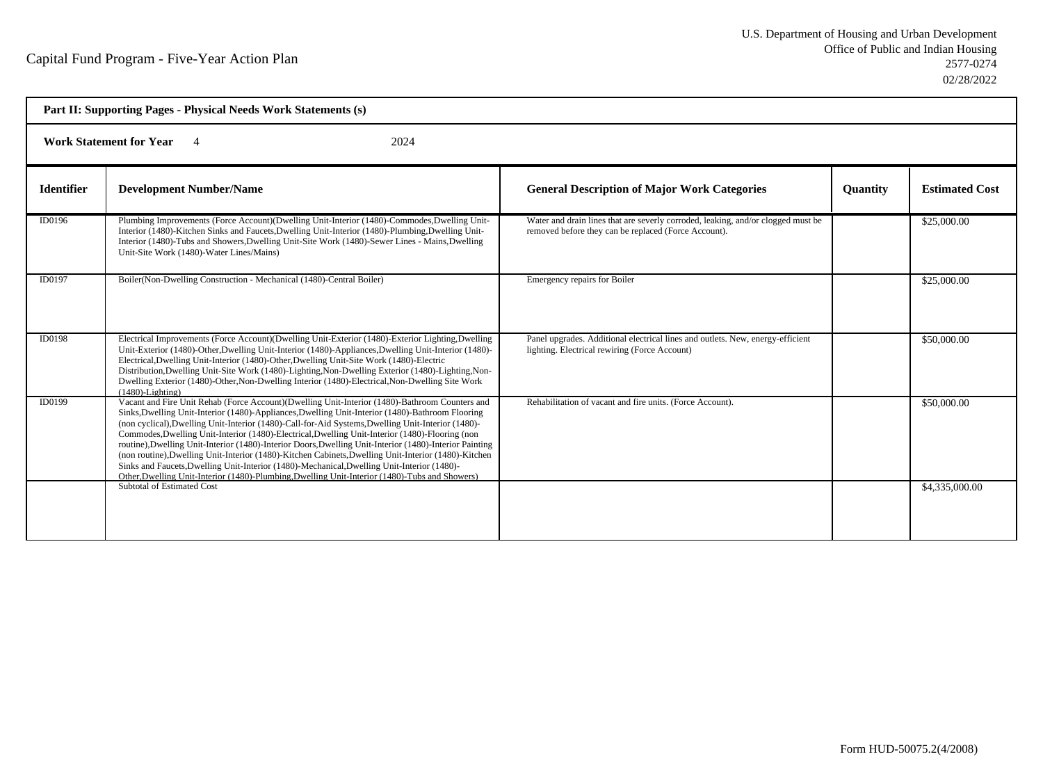|                   | Part II: Supporting Pages - Physical Needs Work Statements (s)                                                                                                                                                                                                                                                                                                                                                                                                                                                                                                                                                                                                                                                                                                                                                                  |                                                                                                                                          |                 |                       |
|-------------------|---------------------------------------------------------------------------------------------------------------------------------------------------------------------------------------------------------------------------------------------------------------------------------------------------------------------------------------------------------------------------------------------------------------------------------------------------------------------------------------------------------------------------------------------------------------------------------------------------------------------------------------------------------------------------------------------------------------------------------------------------------------------------------------------------------------------------------|------------------------------------------------------------------------------------------------------------------------------------------|-----------------|-----------------------|
|                   | <b>Work Statement for Year</b><br>2024                                                                                                                                                                                                                                                                                                                                                                                                                                                                                                                                                                                                                                                                                                                                                                                          |                                                                                                                                          |                 |                       |
| <b>Identifier</b> | <b>Development Number/Name</b>                                                                                                                                                                                                                                                                                                                                                                                                                                                                                                                                                                                                                                                                                                                                                                                                  | <b>General Description of Major Work Categories</b>                                                                                      | <b>Ouantity</b> | <b>Estimated Cost</b> |
| ID0196            | Plumbing Improvements (Force Account)(Dwelling Unit-Interior (1480)-Commodes, Dwelling Unit-<br>Interior (1480)-Kitchen Sinks and Faucets, Dwelling Unit-Interior (1480)-Plumbing, Dwelling Unit-<br>Interior (1480)-Tubs and Showers, Dwelling Unit-Site Work (1480)-Sewer Lines - Mains, Dwelling<br>Unit-Site Work (1480)-Water Lines/Mains)                                                                                                                                                                                                                                                                                                                                                                                                                                                                                 | Water and drain lines that are severly corroded, leaking, and/or clogged must be<br>removed before they can be replaced (Force Account). |                 | \$25,000.00           |
| ID0197            | Boiler(Non-Dwelling Construction - Mechanical (1480)-Central Boiler)                                                                                                                                                                                                                                                                                                                                                                                                                                                                                                                                                                                                                                                                                                                                                            | Emergency repairs for Boiler                                                                                                             |                 | \$25,000.00           |
| ID0198            | Electrical Improvements (Force Account) (Dwelling Unit-Exterior (1480)-Exterior Lighting, Dwelling<br>Unit-Exterior (1480)-Other, Dwelling Unit-Interior (1480)-Appliances, Dwelling Unit-Interior (1480)-<br>Electrical, Dwelling Unit-Interior (1480)-Other, Dwelling Unit-Site Work (1480)-Electric<br>Distribution, Dwelling Unit-Site Work (1480)-Lighting, Non-Dwelling Exterior (1480)-Lighting, Non-<br>Dwelling Exterior (1480)-Other, Non-Dwelling Interior (1480)-Electrical, Non-Dwelling Site Work<br>$(1480)$ -Lighting)                                                                                                                                                                                                                                                                                          | Panel upgrades. Additional electrical lines and outlets. New, energy-efficient<br>lighting. Electrical rewiring (Force Account)          |                 | \$50,000.00           |
| ID0199            | Vacant and Fire Unit Rehab (Force Account)(Dwelling Unit-Interior (1480)-Bathroom Counters and<br>Sinks, Dwelling Unit-Interior (1480)-Appliances, Dwelling Unit-Interior (1480)-Bathroom Flooring<br>(non cyclical), Dwelling Unit-Interior (1480)-Call-for-Aid Systems, Dwelling Unit-Interior (1480)-<br>Commodes, Dwelling Unit-Interior (1480)-Electrical, Dwelling Unit-Interior (1480)-Flooring (non<br>routine), Dwelling Unit-Interior (1480)-Interior Doors, Dwelling Unit-Interior (1480)-Interior Painting<br>(non routine), Dwelling Unit-Interior (1480)-Kitchen Cabinets, Dwelling Unit-Interior (1480)-Kitchen<br>Sinks and Faucets, Dwelling Unit-Interior (1480)-Mechanical, Dwelling Unit-Interior (1480)-<br>Other, Dwelling Unit-Interior (1480)-Plumbing, Dwelling Unit-Interior (1480)-Tubs and Showers) | Rehabilitation of vacant and fire units. (Force Account).                                                                                |                 | \$50,000.00           |
|                   | Subtotal of Estimated Cost                                                                                                                                                                                                                                                                                                                                                                                                                                                                                                                                                                                                                                                                                                                                                                                                      |                                                                                                                                          |                 | \$4,335,000.00        |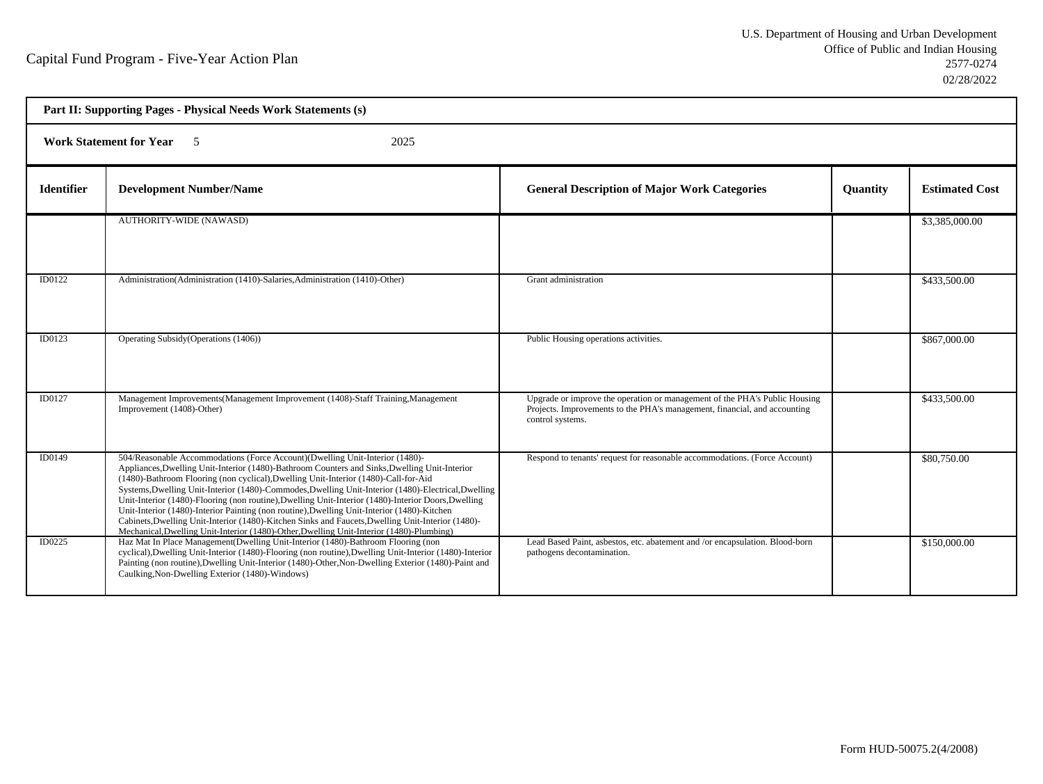| Part II: Supporting Pages - Physical Needs Work Statements (s) |                                                                                                                                                                                                                                                                                                                                                                                                                                                                                                                                                                                                                                                                                                                                                                                    |                                                                                                                                                                             |                 |                       |  |
|----------------------------------------------------------------|------------------------------------------------------------------------------------------------------------------------------------------------------------------------------------------------------------------------------------------------------------------------------------------------------------------------------------------------------------------------------------------------------------------------------------------------------------------------------------------------------------------------------------------------------------------------------------------------------------------------------------------------------------------------------------------------------------------------------------------------------------------------------------|-----------------------------------------------------------------------------------------------------------------------------------------------------------------------------|-----------------|-----------------------|--|
|                                                                | <b>Work Statement for Year</b> 5<br>2025                                                                                                                                                                                                                                                                                                                                                                                                                                                                                                                                                                                                                                                                                                                                           |                                                                                                                                                                             |                 |                       |  |
| <b>Identifier</b>                                              | <b>Development Number/Name</b>                                                                                                                                                                                                                                                                                                                                                                                                                                                                                                                                                                                                                                                                                                                                                     | <b>General Description of Major Work Categories</b>                                                                                                                         | <b>Ouantity</b> | <b>Estimated Cost</b> |  |
|                                                                | <b>AUTHORITY-WIDE (NAWASD)</b>                                                                                                                                                                                                                                                                                                                                                                                                                                                                                                                                                                                                                                                                                                                                                     |                                                                                                                                                                             |                 | \$3,385,000.00        |  |
| <b>ID0122</b>                                                  | Administration (Administration (1410)-Salaries, Administration (1410)-Other)                                                                                                                                                                                                                                                                                                                                                                                                                                                                                                                                                                                                                                                                                                       | Grant administration                                                                                                                                                        |                 | \$433,500.00          |  |
| ID0123                                                         | Operating Subsidy (Operations (1406))                                                                                                                                                                                                                                                                                                                                                                                                                                                                                                                                                                                                                                                                                                                                              | Public Housing operations activities.                                                                                                                                       |                 | \$867,000.00          |  |
| ID0127                                                         | Management Improvements (Management Improvement (1408)-Staff Training, Management<br>Improvement (1408)-Other)                                                                                                                                                                                                                                                                                                                                                                                                                                                                                                                                                                                                                                                                     | Upgrade or improve the operation or management of the PHA's Public Housing<br>Projects. Improvements to the PHA's management, financial, and accounting<br>control systems. |                 | \$433,500.00          |  |
| <b>ID0149</b>                                                  | 504/Reasonable Accommodations (Force Account)(Dwelling Unit-Interior (1480)-<br>Appliances, Dwelling Unit-Interior (1480)-Bathroom Counters and Sinks, Dwelling Unit-Interior<br>(1480)-Bathroom Flooring (non cyclical), Dwelling Unit-Interior (1480)-Call-for-Aid<br>Systems, Dwelling Unit-Interior (1480)-Commodes, Dwelling Unit-Interior (1480)-Electrical, Dwelling<br>Unit-Interior (1480)-Flooring (non routine), Dwelling Unit-Interior (1480)-Interior Doors, Dwelling<br>Unit-Interior (1480)-Interior Painting (non routine), Dwelling Unit-Interior (1480)-Kitchen<br>Cabinets, Dwelling Unit-Interior (1480)-Kitchen Sinks and Faucets, Dwelling Unit-Interior (1480)-<br>Mechanical, Dwelling Unit-Interior (1480)-Other, Dwelling Unit-Interior (1480)-Plumbing) | Respond to tenants' request for reasonable accommodations. (Force Account)                                                                                                  |                 | \$80,750.00           |  |
| <b>ID0225</b>                                                  | Haz Mat In Place Management (Dwelling Unit-Interior (1480)-Bathroom Flooring (non<br>cyclical), Dwelling Unit-Interior (1480)-Flooring (non routine), Dwelling Unit-Interior (1480)-Interior<br>Painting (non routine), Dwelling Unit-Interior (1480)-Other, Non-Dwelling Exterior (1480)-Paint and<br>Caulking, Non-Dwelling Exterior (1480)-Windows)                                                                                                                                                                                                                                                                                                                                                                                                                             | Lead Based Paint, asbestos, etc. abatement and /or encapsulation. Blood-born<br>pathogens decontamination.                                                                  |                 | \$150,000.00          |  |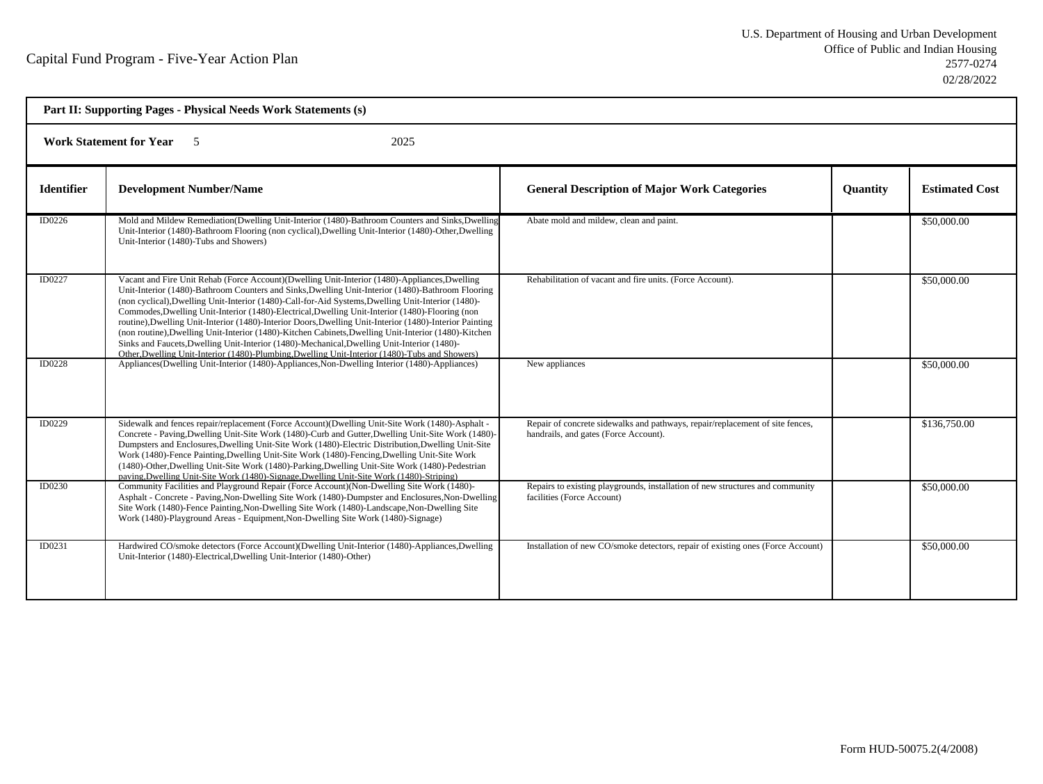| Part II: Supporting Pages - Physical Needs Work Statements (s) |                                                                                                                                                                                                                                                                                                                                                                                                                                                                                                                                                                                                                                                                                                                                                                                                                                 |                                                                                                                        |                 |                       |  |
|----------------------------------------------------------------|---------------------------------------------------------------------------------------------------------------------------------------------------------------------------------------------------------------------------------------------------------------------------------------------------------------------------------------------------------------------------------------------------------------------------------------------------------------------------------------------------------------------------------------------------------------------------------------------------------------------------------------------------------------------------------------------------------------------------------------------------------------------------------------------------------------------------------|------------------------------------------------------------------------------------------------------------------------|-----------------|-----------------------|--|
|                                                                | 2025<br><b>Work Statement for Year</b> 5                                                                                                                                                                                                                                                                                                                                                                                                                                                                                                                                                                                                                                                                                                                                                                                        |                                                                                                                        |                 |                       |  |
| <b>Identifier</b>                                              | <b>Development Number/Name</b>                                                                                                                                                                                                                                                                                                                                                                                                                                                                                                                                                                                                                                                                                                                                                                                                  | <b>General Description of Major Work Categories</b>                                                                    | <b>Ouantity</b> | <b>Estimated Cost</b> |  |
| ID0226                                                         | Mold and Mildew Remediation(Dwelling Unit-Interior (1480)-Bathroom Counters and Sinks, Dwelling<br>Unit-Interior (1480)-Bathroom Flooring (non cyclical), Dwelling Unit-Interior (1480)-Other, Dwelling<br>Unit-Interior (1480)-Tubs and Showers)                                                                                                                                                                                                                                                                                                                                                                                                                                                                                                                                                                               | Abate mold and mildew, clean and paint.                                                                                |                 | \$50,000.00           |  |
| ID0227                                                         | Vacant and Fire Unit Rehab (Force Account)(Dwelling Unit-Interior (1480)-Appliances, Dwelling<br>Unit-Interior (1480)-Bathroom Counters and Sinks, Dwelling Unit-Interior (1480)-Bathroom Flooring<br>(non cyclical), Dwelling Unit-Interior (1480)-Call-for-Aid Systems, Dwelling Unit-Interior (1480)-<br>Commodes, Dwelling Unit-Interior (1480)-Electrical, Dwelling Unit-Interior (1480)-Flooring (non<br>routine), Dwelling Unit-Interior (1480)-Interior Doors, Dwelling Unit-Interior (1480)-Interior Painting<br>(non routine), Dwelling Unit-Interior (1480)-Kitchen Cabinets, Dwelling Unit-Interior (1480)-Kitchen<br>Sinks and Faucets, Dwelling Unit-Interior (1480)-Mechanical, Dwelling Unit-Interior (1480)-<br>Other, Dwelling Unit-Interior (1480)-Plumbing, Dwelling Unit-Interior (1480)-Tubs and Showers) | Rehabilitation of vacant and fire units. (Force Account).                                                              |                 | \$50,000.00           |  |
| ID0228                                                         | Appliances(Dwelling Unit-Interior (1480)-Appliances, Non-Dwelling Interior (1480)-Appliances)                                                                                                                                                                                                                                                                                                                                                                                                                                                                                                                                                                                                                                                                                                                                   | New appliances                                                                                                         |                 | \$50,000.00           |  |
| <b>ID0229</b>                                                  | Sidewalk and fences repair/replacement (Force Account)(Dwelling Unit-Site Work (1480)-Asphalt -<br>Concrete - Paving, Dwelling Unit-Site Work (1480)-Curb and Gutter, Dwelling Unit-Site Work (1480)-<br>Dumpsters and Enclosures, Dwelling Unit-Site Work (1480)-Electric Distribution, Dwelling Unit-Site<br>Work (1480)-Fence Painting, Dwelling Unit-Site Work (1480)-Fencing, Dwelling Unit-Site Work<br>(1480)-Other, Dwelling Unit-Site Work (1480)-Parking, Dwelling Unit-Site Work (1480)-Pedestrian<br>paving, Dwelling Unit-Site Work (1480)-Signage, Dwelling Unit-Site Work (1480)-Striping)                                                                                                                                                                                                                       | Repair of concrete sidewalks and pathways, repair/replacement of site fences,<br>handrails, and gates (Force Account). |                 | \$136,750.00          |  |
| ID0230                                                         | Community Facilities and Playground Repair (Force Account) (Non-Dwelling Site Work (1480)-<br>Asphalt - Concrete - Paving, Non-Dwelling Site Work (1480)-Dumpster and Enclosures, Non-Dwelling<br>Site Work (1480)-Fence Painting, Non-Dwelling Site Work (1480)-Landscape, Non-Dwelling Site<br>Work (1480)-Playground Areas - Equipment, Non-Dwelling Site Work (1480)-Signage)                                                                                                                                                                                                                                                                                                                                                                                                                                               | Repairs to existing playgrounds, installation of new structures and community<br>facilities (Force Account)            |                 | \$50,000.00           |  |
| ID0231                                                         | Hardwired CO/smoke detectors (Force Account)(Dwelling Unit-Interior (1480)-Appliances,Dwelling<br>Unit-Interior (1480)-Electrical, Dwelling Unit-Interior (1480)-Other)                                                                                                                                                                                                                                                                                                                                                                                                                                                                                                                                                                                                                                                         | Installation of new CO/smoke detectors, repair of existing ones (Force Account)                                        |                 | \$50,000.00           |  |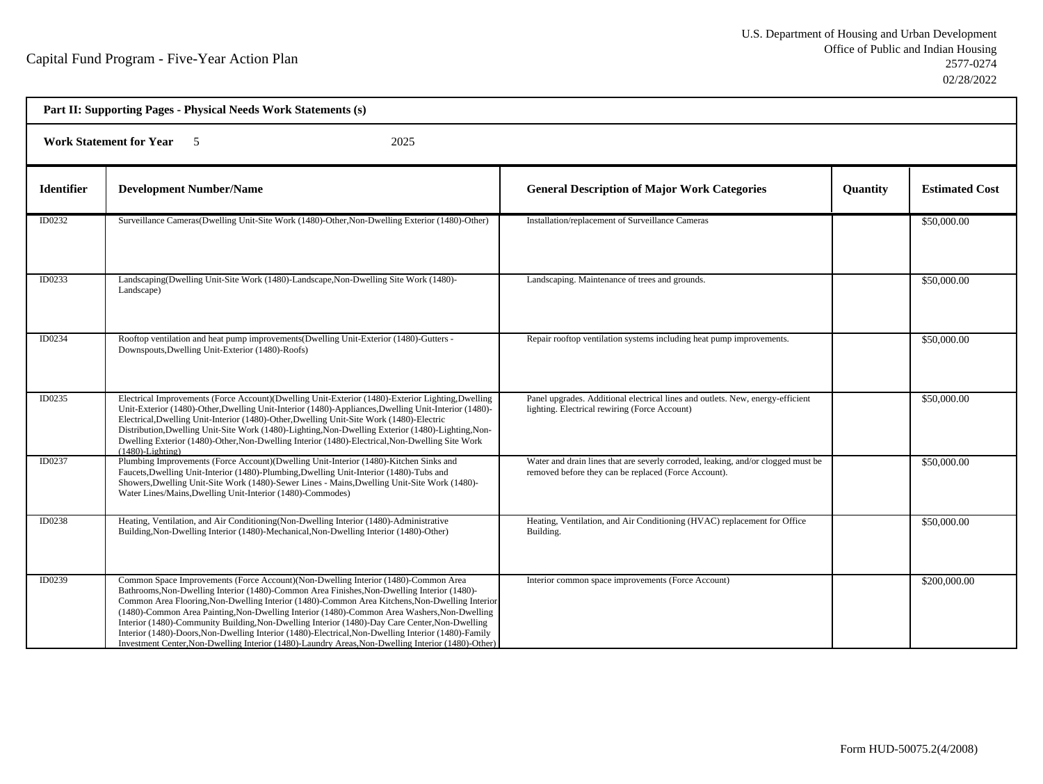| Part II: Supporting Pages - Physical Needs Work Statements (s) |                                                                                                                                                                                                                                                                                                                                                                                                                                                                                                                                                                                                                                                                                                    |                                                                                                                                          |                 |                       |  |
|----------------------------------------------------------------|----------------------------------------------------------------------------------------------------------------------------------------------------------------------------------------------------------------------------------------------------------------------------------------------------------------------------------------------------------------------------------------------------------------------------------------------------------------------------------------------------------------------------------------------------------------------------------------------------------------------------------------------------------------------------------------------------|------------------------------------------------------------------------------------------------------------------------------------------|-----------------|-----------------------|--|
|                                                                | <b>Work Statement for Year</b><br>2025<br>- 5                                                                                                                                                                                                                                                                                                                                                                                                                                                                                                                                                                                                                                                      |                                                                                                                                          |                 |                       |  |
| <b>Identifier</b>                                              | <b>Development Number/Name</b>                                                                                                                                                                                                                                                                                                                                                                                                                                                                                                                                                                                                                                                                     | <b>General Description of Major Work Categories</b>                                                                                      | <b>Quantity</b> | <b>Estimated Cost</b> |  |
| ID0232                                                         | Surveillance Cameras (Dwelling Unit-Site Work (1480)-Other, Non-Dwelling Exterior (1480)-Other)                                                                                                                                                                                                                                                                                                                                                                                                                                                                                                                                                                                                    | Installation/replacement of Surveillance Cameras                                                                                         |                 | \$50,000.00           |  |
| ID0233                                                         | Landscaping (Dwelling Unit-Site Work (1480)-Landscape, Non-Dwelling Site Work (1480)-<br>Landscape)                                                                                                                                                                                                                                                                                                                                                                                                                                                                                                                                                                                                | Landscaping. Maintenance of trees and grounds.                                                                                           |                 | \$50,000.00           |  |
| ID0234                                                         | Rooftop ventilation and heat pump improvements (Dwelling Unit-Exterior (1480)-Gutters -<br>Downspouts, Dwelling Unit-Exterior (1480)-Roofs)                                                                                                                                                                                                                                                                                                                                                                                                                                                                                                                                                        | Repair rooftop ventilation systems including heat pump improvements.                                                                     |                 | \$50,000.00           |  |
| ID0235                                                         | Electrical Improvements (Force Account)(Dwelling Unit-Exterior (1480)-Exterior Lighting, Dwelling<br>Unit-Exterior (1480)-Other, Dwelling Unit-Interior (1480)-Appliances, Dwelling Unit-Interior (1480)-<br>Electrical, Dwelling Unit-Interior (1480)-Other, Dwelling Unit-Site Work (1480)-Electric<br>Distribution, Dwelling Unit-Site Work (1480)-Lighting, Non-Dwelling Exterior (1480)-Lighting, Non-<br>Dwelling Exterior (1480)-Other, Non-Dwelling Interior (1480)-Electrical, Non-Dwelling Site Work<br>$(1480)$ -Lighting)                                                                                                                                                              | Panel upgrades. Additional electrical lines and outlets. New, energy-efficient<br>lighting. Electrical rewiring (Force Account)          |                 | \$50,000.00           |  |
| ID0237                                                         | Plumbing Improvements (Force Account)(Dwelling Unit-Interior (1480)-Kitchen Sinks and<br>Faucets, Dwelling Unit-Interior (1480)-Plumbing, Dwelling Unit-Interior (1480)-Tubs and<br>Showers, Dwelling Unit-Site Work (1480)-Sewer Lines - Mains, Dwelling Unit-Site Work (1480)-<br>Water Lines/Mains, Dwelling Unit-Interior (1480)-Commodes)                                                                                                                                                                                                                                                                                                                                                     | Water and drain lines that are severly corroded, leaking, and/or clogged must be<br>removed before they can be replaced (Force Account). |                 | \$50,000.00           |  |
| ID0238                                                         | Heating, Ventilation, and Air Conditioning (Non-Dwelling Interior (1480)-Administrative<br>Building, Non-Dwelling Interior (1480)-Mechanical, Non-Dwelling Interior (1480)-Other)                                                                                                                                                                                                                                                                                                                                                                                                                                                                                                                  | Heating, Ventilation, and Air Conditioning (HVAC) replacement for Office<br>Building.                                                    |                 | \$50,000.00           |  |
| ID0239                                                         | Common Space Improvements (Force Account) (Non-Dwelling Interior (1480)-Common Area<br>Bathrooms, Non-Dwelling Interior (1480)-Common Area Finishes, Non-Dwelling Interior (1480)-<br>Common Area Flooring, Non-Dwelling Interior (1480)-Common Area Kitchens, Non-Dwelling Interior<br>(1480)-Common Area Painting, Non-Dwelling Interior (1480)-Common Area Washers, Non-Dwelling<br>Interior (1480)-Community Building, Non-Dwelling Interior (1480)-Day Care Center, Non-Dwelling<br>Interior (1480)-Doors, Non-Dwelling Interior (1480)-Electrical, Non-Dwelling Interior (1480)-Family<br>Investment Center, Non-Dwelling Interior (1480)-Laundry Areas, Non-Dwelling Interior (1480)-Other) | Interior common space improvements (Force Account)                                                                                       |                 | \$200,000.00          |  |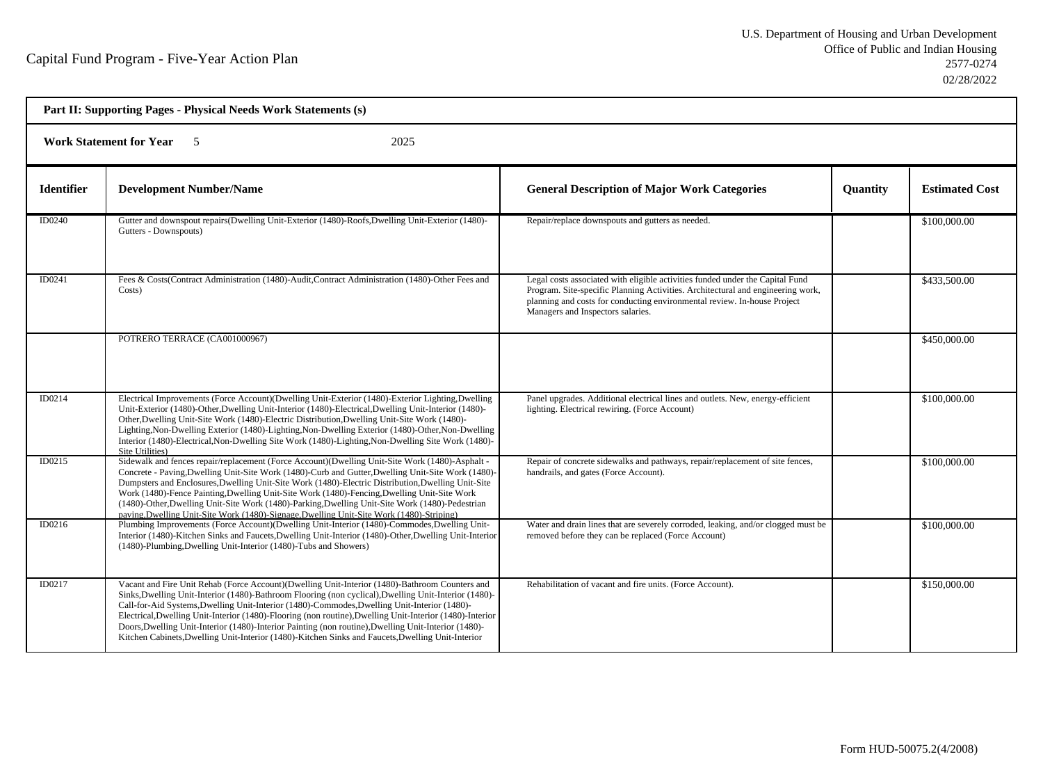| Part II: Supporting Pages - Physical Needs Work Statements (s) |                                                                                                                                                                                                                                                                                                                                                                                                                                                                                                                                                                                                                                  |                                                                                                                                                                                                                                                                                   |                 |                       |  |
|----------------------------------------------------------------|----------------------------------------------------------------------------------------------------------------------------------------------------------------------------------------------------------------------------------------------------------------------------------------------------------------------------------------------------------------------------------------------------------------------------------------------------------------------------------------------------------------------------------------------------------------------------------------------------------------------------------|-----------------------------------------------------------------------------------------------------------------------------------------------------------------------------------------------------------------------------------------------------------------------------------|-----------------|-----------------------|--|
|                                                                | Work Statement for Year 5<br>2025                                                                                                                                                                                                                                                                                                                                                                                                                                                                                                                                                                                                |                                                                                                                                                                                                                                                                                   |                 |                       |  |
| <b>Identifier</b>                                              | <b>Development Number/Name</b>                                                                                                                                                                                                                                                                                                                                                                                                                                                                                                                                                                                                   | <b>General Description of Major Work Categories</b>                                                                                                                                                                                                                               | <b>Quantity</b> | <b>Estimated Cost</b> |  |
| ID0240                                                         | Gutter and downspout repairs(Dwelling Unit-Exterior (1480)-Roofs, Dwelling Unit-Exterior (1480)-<br>Gutters - Downspouts)                                                                                                                                                                                                                                                                                                                                                                                                                                                                                                        | Repair/replace downspouts and gutters as needed.                                                                                                                                                                                                                                  |                 | \$100,000.00          |  |
| ID0241                                                         | Fees & Costs(Contract Administration (1480)-Audit, Contract Administration (1480)-Other Fees and<br>Costs)                                                                                                                                                                                                                                                                                                                                                                                                                                                                                                                       | Legal costs associated with eligible activities funded under the Capital Fund<br>Program. Site-specific Planning Activities. Architectural and engineering work,<br>planning and costs for conducting environmental review. In-house Project<br>Managers and Inspectors salaries. |                 | \$433,500.00          |  |
|                                                                | POTRERO TERRACE (CA001000967)                                                                                                                                                                                                                                                                                                                                                                                                                                                                                                                                                                                                    |                                                                                                                                                                                                                                                                                   |                 | \$450,000.00          |  |
| ID0214                                                         | Electrical Improvements (Force Account)(Dwelling Unit-Exterior (1480)-Exterior Lighting,Dwelling<br>Unit-Exterior (1480)-Other, Dwelling Unit-Interior (1480)-Electrical, Dwelling Unit-Interior (1480)-<br>Other, Dwelling Unit-Site Work (1480)-Electric Distribution, Dwelling Unit-Site Work (1480)-<br>Lighting, Non-Dwelling Exterior (1480)-Lighting, Non-Dwelling Exterior (1480)-Other, Non-Dwelling<br>Interior (1480)-Electrical, Non-Dwelling Site Work (1480)-Lighting, Non-Dwelling Site Work (1480)-<br>Site Utilities)                                                                                           | Panel upgrades. Additional electrical lines and outlets. New, energy-efficient<br>lighting. Electrical rewiring. (Force Account)                                                                                                                                                  |                 | \$100,000.00          |  |
| ID0215                                                         | Sidewalk and fences repair/replacement (Force Account)(Dwelling Unit-Site Work (1480)-Asphalt -<br>Concrete - Paving, Dwelling Unit-Site Work (1480)-Curb and Gutter, Dwelling Unit-Site Work (1480)-<br>Dumpsters and Enclosures, Dwelling Unit-Site Work (1480)-Electric Distribution, Dwelling Unit-Site<br>Work (1480)-Fence Painting, Dwelling Unit-Site Work (1480)-Fencing, Dwelling Unit-Site Work<br>(1480)-Other, Dwelling Unit-Site Work (1480)-Parking, Dwelling Unit-Site Work (1480)-Pedestrian<br>paving, Dwelling Unit-Site Work (1480)-Signage, Dwelling Unit-Site Work (1480)-Striping)                        | Repair of concrete sidewalks and pathways, repair/replacement of site fences,<br>handrails, and gates (Force Account).                                                                                                                                                            |                 | \$100,000.00          |  |
| ID0216                                                         | Plumbing Improvements (Force Account)(Dwelling Unit-Interior (1480)-Commodes, Dwelling Unit-<br>Interior (1480)-Kitchen Sinks and Faucets, Dwelling Unit-Interior (1480)-Other, Dwelling Unit-Interior<br>(1480)-Plumbing, Dwelling Unit-Interior (1480)-Tubs and Showers)                                                                                                                                                                                                                                                                                                                                                       | Water and drain lines that are severely corroded, leaking, and/or clogged must be<br>removed before they can be replaced (Force Account)                                                                                                                                          |                 | \$100,000.00          |  |
| ID0217                                                         | Vacant and Fire Unit Rehab (Force Account)(Dwelling Unit-Interior (1480)-Bathroom Counters and<br>Sinks, Dwelling Unit-Interior (1480)-Bathroom Flooring (non cyclical), Dwelling Unit-Interior (1480)-<br>Call-for-Aid Systems, Dwelling Unit-Interior (1480)-Commodes, Dwelling Unit-Interior (1480)-<br>Electrical, Dwelling Unit-Interior (1480)-Flooring (non routine), Dwelling Unit-Interior (1480)-Interior<br>Doors, Dwelling Unit-Interior (1480)-Interior Painting (non routine), Dwelling Unit-Interior (1480)-<br>Kitchen Cabinets, Dwelling Unit-Interior (1480)-Kitchen Sinks and Faucets, Dwelling Unit-Interior | Rehabilitation of vacant and fire units. (Force Account).                                                                                                                                                                                                                         |                 | \$150,000.00          |  |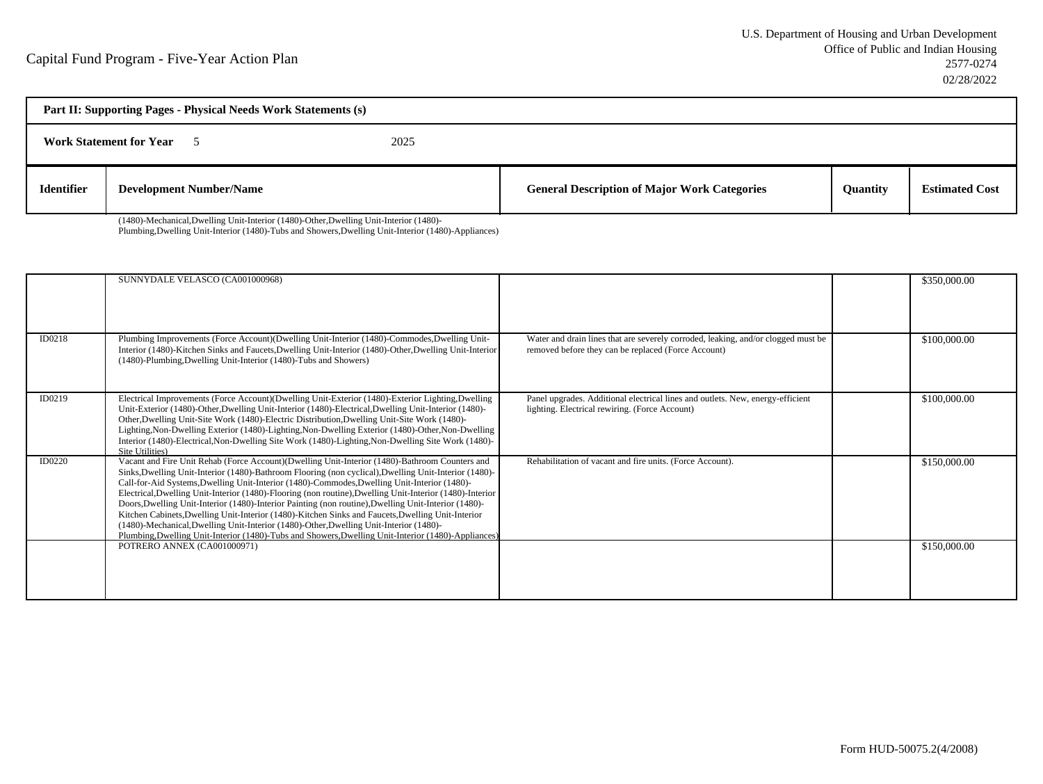| Part II: Supporting Pages - Physical Needs Work Statements (s) |                                |      |                                                     |                 |                       |
|----------------------------------------------------------------|--------------------------------|------|-----------------------------------------------------|-----------------|-----------------------|
|                                                                | <b>Work Statement for Year</b> | 2025 |                                                     |                 |                       |
| <b>Identifier</b>                                              | <b>Development Number/Name</b> |      | <b>General Description of Major Work Categories</b> | <b>Quantity</b> | <b>Estimated Cost</b> |

(1480)-Mechanical,Dwelling Unit-Interior (1480)-Other,Dwelling Unit-Interior (1480)-

Plumbing,Dwelling Unit-Interior (1480)-Tubs and Showers,Dwelling Unit-Interior (1480)-Appliances)

|        | SUNNYDALE VELASCO (CA001000968)                                                                                                                                                                                                                                                                                                                                                                                                                                                                                                                                                                                                                                                                                                                                                                                                  |                                                                                                                                          | \$350,000.00 |
|--------|----------------------------------------------------------------------------------------------------------------------------------------------------------------------------------------------------------------------------------------------------------------------------------------------------------------------------------------------------------------------------------------------------------------------------------------------------------------------------------------------------------------------------------------------------------------------------------------------------------------------------------------------------------------------------------------------------------------------------------------------------------------------------------------------------------------------------------|------------------------------------------------------------------------------------------------------------------------------------------|--------------|
| ID0218 | Plumbing Improvements (Force Account)(Dwelling Unit-Interior (1480)-Commodes, Dwelling Unit-<br>Interior (1480)-Kitchen Sinks and Faucets, Dwelling Unit-Interior (1480)-Other, Dwelling Unit-Interior<br>(1480)-Plumbing, Dwelling Unit-Interior (1480)-Tubs and Showers)                                                                                                                                                                                                                                                                                                                                                                                                                                                                                                                                                       | Water and drain lines that are severely corroded, leaking, and/or clogged must be<br>removed before they can be replaced (Force Account) | \$100,000.00 |
| ID0219 | Electrical Improvements (Force Account)(Dwelling Unit-Exterior (1480)-Exterior Lighting, Dwelling<br>Unit-Exterior (1480)-Other, Dwelling Unit-Interior (1480)-Electrical, Dwelling Unit-Interior (1480)-<br>Other, Dwelling Unit-Site Work (1480)-Electric Distribution, Dwelling Unit-Site Work (1480)-<br>Lighting, Non-Dwelling Exterior (1480)-Lighting, Non-Dwelling Exterior (1480)-Other, Non-Dwelling<br>Interior (1480)-Electrical, Non-Dwelling Site Work (1480)-Lighting, Non-Dwelling Site Work (1480)-<br>Site Utilities)                                                                                                                                                                                                                                                                                          | Panel upgrades. Additional electrical lines and outlets. New, energy-efficient<br>lighting. Electrical rewiring. (Force Account)         | \$100,000.00 |
| ID0220 | Vacant and Fire Unit Rehab (Force Account)(Dwelling Unit-Interior (1480)-Bathroom Counters and<br>Sinks, Dwelling Unit-Interior (1480)-Bathroom Flooring (non cyclical), Dwelling Unit-Interior (1480)-<br>Call-for-Aid Systems, Dwelling Unit-Interior (1480)-Commodes, Dwelling Unit-Interior (1480)-<br>Electrical, Dwelling Unit-Interior (1480)-Flooring (non routine), Dwelling Unit-Interior (1480)-Interior<br>Doors, Dwelling Unit-Interior (1480)-Interior Painting (non routine), Dwelling Unit-Interior (1480)-<br>Kitchen Cabinets, Dwelling Unit-Interior (1480)-Kitchen Sinks and Faucets, Dwelling Unit-Interior<br>(1480)-Mechanical, Dwelling Unit-Interior (1480)-Other, Dwelling Unit-Interior (1480)-<br>Plumbing, Dwelling Unit-Interior (1480)-Tubs and Showers, Dwelling Unit-Interior (1480)-Appliances | Rehabilitation of vacant and fire units. (Force Account).                                                                                | \$150,000.00 |
|        | POTRERO ANNEX (CA001000971)                                                                                                                                                                                                                                                                                                                                                                                                                                                                                                                                                                                                                                                                                                                                                                                                      |                                                                                                                                          | \$150,000.00 |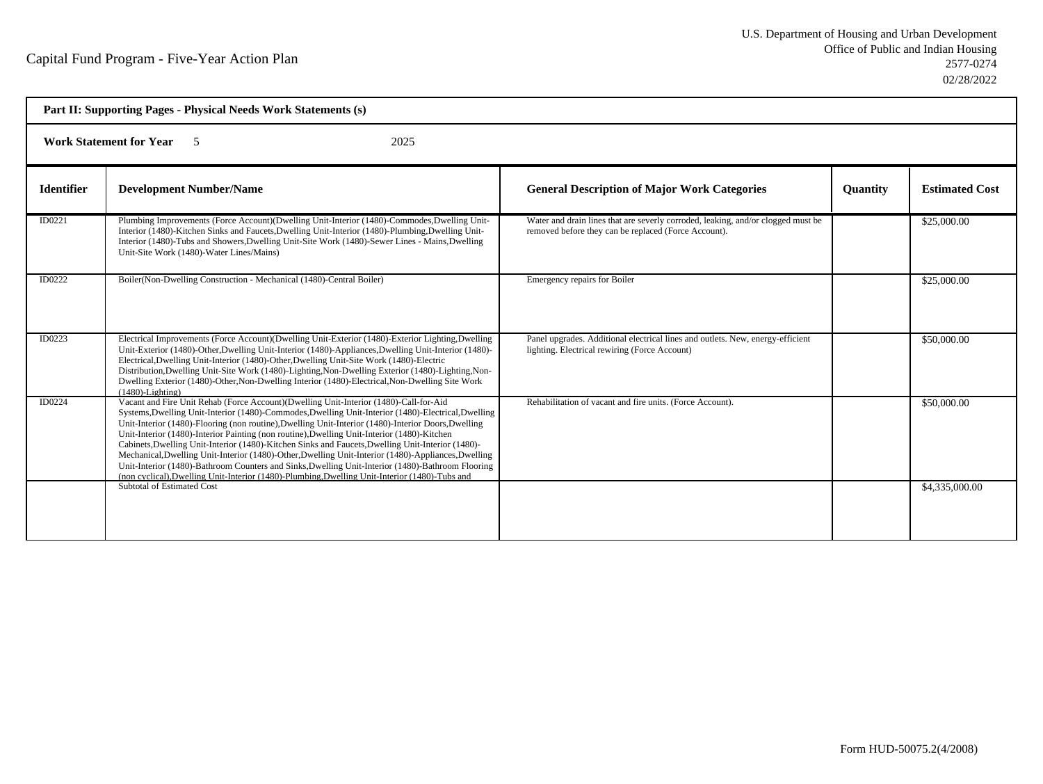| Part II: Supporting Pages - Physical Needs Work Statements (s) |                                                                                                                                                                                                                                                                                                                                                                                                                                                                                                                                                                                                                                                                                                                                                                                                                       |                                                                                                                                          |                 |                       |
|----------------------------------------------------------------|-----------------------------------------------------------------------------------------------------------------------------------------------------------------------------------------------------------------------------------------------------------------------------------------------------------------------------------------------------------------------------------------------------------------------------------------------------------------------------------------------------------------------------------------------------------------------------------------------------------------------------------------------------------------------------------------------------------------------------------------------------------------------------------------------------------------------|------------------------------------------------------------------------------------------------------------------------------------------|-----------------|-----------------------|
|                                                                | <b>Work Statement for Year</b><br>2025<br>$\sim$                                                                                                                                                                                                                                                                                                                                                                                                                                                                                                                                                                                                                                                                                                                                                                      |                                                                                                                                          |                 |                       |
| <b>Identifier</b>                                              | <b>Development Number/Name</b>                                                                                                                                                                                                                                                                                                                                                                                                                                                                                                                                                                                                                                                                                                                                                                                        | <b>General Description of Major Work Categories</b>                                                                                      | <b>Ouantity</b> | <b>Estimated Cost</b> |
| ID0221                                                         | Plumbing Improvements (Force Account)(Dwelling Unit-Interior (1480)-Commodes, Dwelling Unit-<br>Interior (1480)-Kitchen Sinks and Faucets, Dwelling Unit-Interior (1480)-Plumbing, Dwelling Unit-<br>Interior (1480)-Tubs and Showers, Dwelling Unit-Site Work (1480)-Sewer Lines - Mains, Dwelling<br>Unit-Site Work (1480)-Water Lines/Mains)                                                                                                                                                                                                                                                                                                                                                                                                                                                                       | Water and drain lines that are severly corroded, leaking, and/or clogged must be<br>removed before they can be replaced (Force Account). |                 | \$25,000.00           |
| ID0222                                                         | Boiler(Non-Dwelling Construction - Mechanical (1480)-Central Boiler)                                                                                                                                                                                                                                                                                                                                                                                                                                                                                                                                                                                                                                                                                                                                                  | Emergency repairs for Boiler                                                                                                             |                 | \$25,000.00           |
| ID0223                                                         | Electrical Improvements (Force Account) (Dwelling Unit-Exterior (1480)-Exterior Lighting, Dwelling<br>Unit-Exterior (1480)-Other, Dwelling Unit-Interior (1480)-Appliances, Dwelling Unit-Interior (1480)-<br>Electrical, Dwelling Unit-Interior (1480)-Other, Dwelling Unit-Site Work (1480)-Electric<br>Distribution, Dwelling Unit-Site Work (1480)-Lighting, Non-Dwelling Exterior (1480)-Lighting, Non-<br>Dwelling Exterior (1480)-Other, Non-Dwelling Interior (1480)-Electrical, Non-Dwelling Site Work<br>$(1480)$ -Lighting)                                                                                                                                                                                                                                                                                | Panel upgrades. Additional electrical lines and outlets. New, energy-efficient<br>lighting. Electrical rewiring (Force Account)          |                 | \$50,000.00           |
| ID0224                                                         | Vacant and Fire Unit Rehab (Force Account)(Dwelling Unit-Interior (1480)-Call-for-Aid<br>Systems, Dwelling Unit-Interior (1480)-Commodes, Dwelling Unit-Interior (1480)-Electrical, Dwelling<br>Unit-Interior (1480)-Flooring (non routine), Dwelling Unit-Interior (1480)-Interior Doors, Dwelling<br>Unit-Interior (1480)-Interior Painting (non routine), Dwelling Unit-Interior (1480)-Kitchen<br>Cabinets, Dwelling Unit-Interior (1480)-Kitchen Sinks and Faucets, Dwelling Unit-Interior (1480)-<br>Mechanical, Dwelling Unit-Interior (1480)-Other, Dwelling Unit-Interior (1480)-Appliances, Dwelling<br>Unit-Interior (1480)-Bathroom Counters and Sinks, Dwelling Unit-Interior (1480)-Bathroom Flooring<br>(non cyclical), Dwelling Unit-Interior (1480)-Plumbing, Dwelling Unit-Interior (1480)-Tubs and | Rehabilitation of vacant and fire units. (Force Account).                                                                                |                 | \$50,000.00           |
|                                                                | Subtotal of Estimated Cost                                                                                                                                                                                                                                                                                                                                                                                                                                                                                                                                                                                                                                                                                                                                                                                            |                                                                                                                                          |                 | \$4,335,000.00        |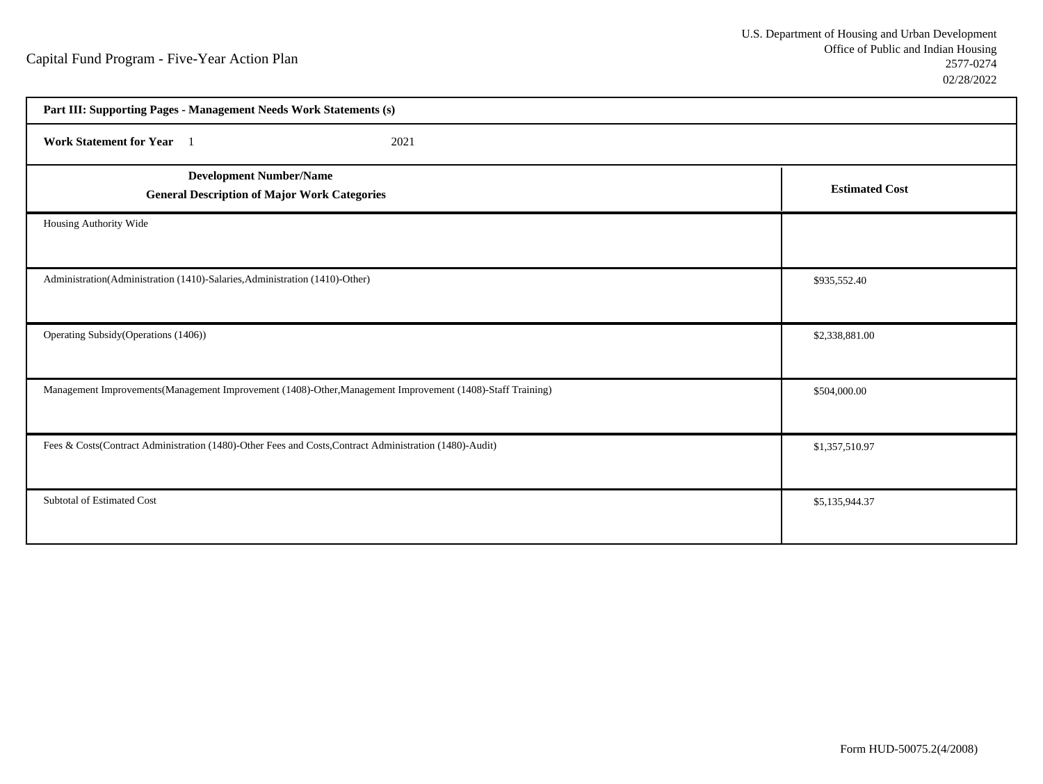| Part III: Supporting Pages - Management Needs Work Statements (s)                                          |                       |
|------------------------------------------------------------------------------------------------------------|-----------------------|
| Work Statement for Year 1<br>2021                                                                          |                       |
| <b>Development Number/Name</b><br><b>General Description of Major Work Categories</b>                      | <b>Estimated Cost</b> |
| Housing Authority Wide                                                                                     |                       |
| Administration(Administration (1410)-Salaries,Administration (1410)-Other)                                 | \$935,552.40          |
| Operating Subsidy (Operations (1406))                                                                      | \$2,338,881.00        |
| Management Improvements(Management Improvement (1408)-Other, Management Improvement (1408)-Staff Training) | \$504,000.00          |
| Fees & Costs(Contract Administration (1480)-Other Fees and Costs, Contract Administration (1480)-Audit)    | \$1,357,510.97        |
| Subtotal of Estimated Cost                                                                                 | \$5,135,944.37        |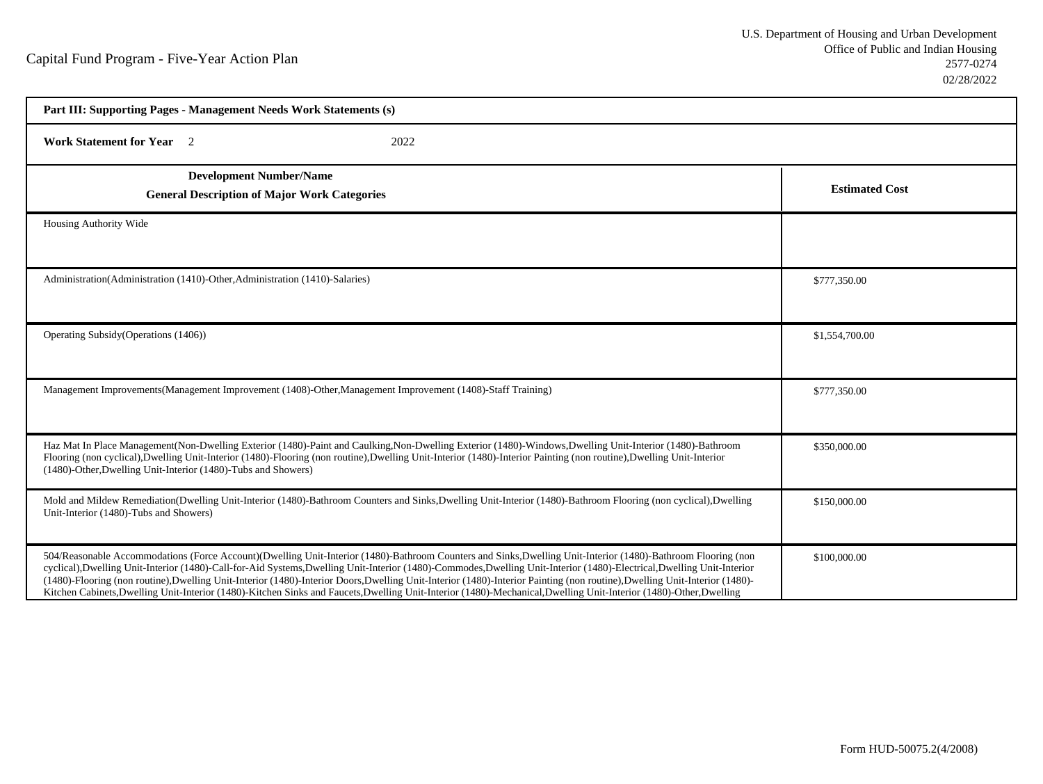| Part III: Supporting Pages - Management Needs Work Statements (s)                                                                                                                                                                                                                                                                                                                                                                                                                                                                                                                                                                                                                            |                       |  |
|----------------------------------------------------------------------------------------------------------------------------------------------------------------------------------------------------------------------------------------------------------------------------------------------------------------------------------------------------------------------------------------------------------------------------------------------------------------------------------------------------------------------------------------------------------------------------------------------------------------------------------------------------------------------------------------------|-----------------------|--|
| <b>Work Statement for Year</b> 2<br>2022                                                                                                                                                                                                                                                                                                                                                                                                                                                                                                                                                                                                                                                     |                       |  |
| <b>Development Number/Name</b><br><b>General Description of Major Work Categories</b>                                                                                                                                                                                                                                                                                                                                                                                                                                                                                                                                                                                                        | <b>Estimated Cost</b> |  |
| Housing Authority Wide                                                                                                                                                                                                                                                                                                                                                                                                                                                                                                                                                                                                                                                                       |                       |  |
| Administration(Administration (1410)-Other, Administration (1410)-Salaries)                                                                                                                                                                                                                                                                                                                                                                                                                                                                                                                                                                                                                  | \$777,350.00          |  |
| Operating Subsidy (Operations (1406))                                                                                                                                                                                                                                                                                                                                                                                                                                                                                                                                                                                                                                                        | \$1,554,700.00        |  |
| Management Improvements(Management Improvement (1408)-Other, Management Improvement (1408)-Staff Training)                                                                                                                                                                                                                                                                                                                                                                                                                                                                                                                                                                                   | \$777,350.00          |  |
| Haz Mat In Place Management(Non-Dwelling Exterior (1480)-Paint and Caulking, Non-Dwelling Exterior (1480)-Windows, Dwelling Unit-Interior (1480)-Bathroom<br>Flooring (non cyclical),Dwelling Unit-Interior (1480)-Flooring (non routine),Dwelling Unit-Interior (1480)-Interior Painting (non routine),Dwelling Unit-Interior<br>(1480)-Other, Dwelling Unit-Interior (1480)-Tubs and Showers)                                                                                                                                                                                                                                                                                              | \$350,000.00          |  |
| Mold and Mildew Remediation(Dwelling Unit-Interior (1480)-Bathroom Counters and Sinks, Dwelling Unit-Interior (1480)-Bathroom Flooring (non cyclical), Dwelling<br>Unit-Interior (1480)-Tubs and Showers)                                                                                                                                                                                                                                                                                                                                                                                                                                                                                    | \$150,000.00          |  |
| 504/Reasonable Accommodations (Force Account)(Dwelling Unit-Interior (1480)-Bathroom Counters and Sinks, Dwelling Unit-Interior (1480)-Bathroom Flooring (non<br>cyclical), Dwelling Unit-Interior (1480)-Call-for-Aid Systems, Dwelling Unit-Interior (1480)-Commodes, Dwelling Unit-Interior (1480)-Electrical, Dwelling Unit-Interior<br>(1480)-Flooring (non routine), Dwelling Unit-Interior (1480)-Interior Doors, Dwelling Unit-Interior (1480)-Interior Painting (non routine), Dwelling Unit-Interior (1480)-<br>Kitchen Cabinets, Dwelling Unit-Interior (1480)-Kitchen Sinks and Faucets, Dwelling Unit-Interior (1480)-Mechanical, Dwelling Unit-Interior (1480)-Other, Dwelling | \$100,000.00          |  |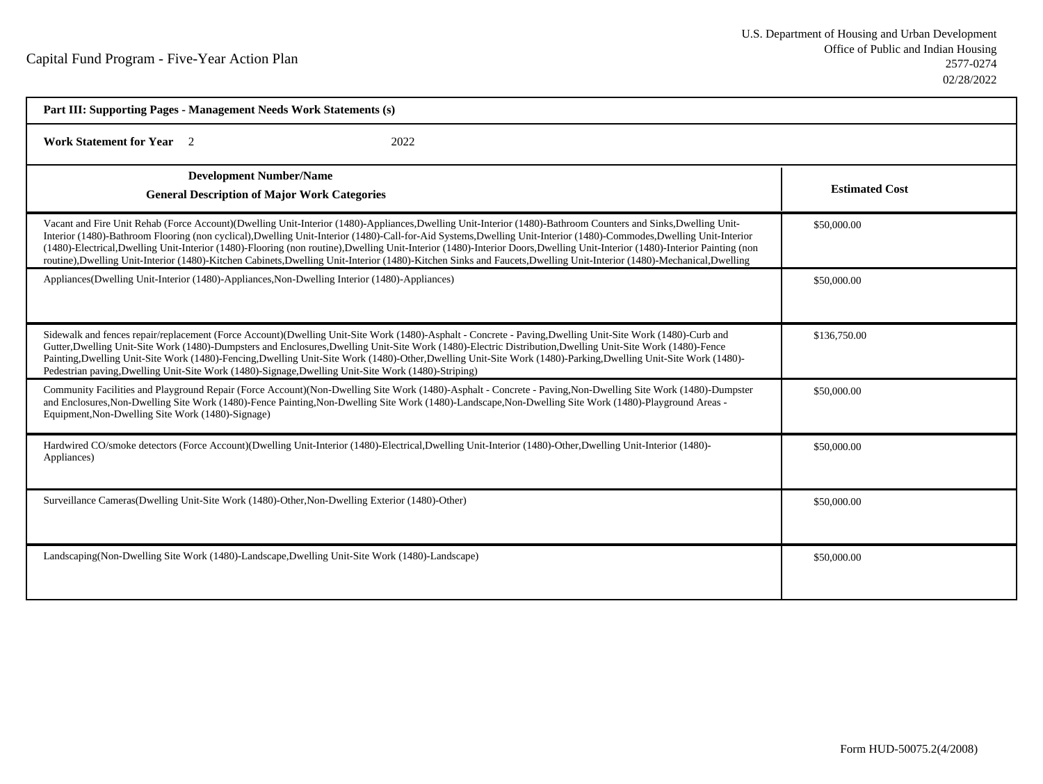| Part III: Supporting Pages - Management Needs Work Statements (s)                                                                                                                                                                                                                                                                                                                                                                                                                                                                                                                                                                                                                      |                       |  |
|----------------------------------------------------------------------------------------------------------------------------------------------------------------------------------------------------------------------------------------------------------------------------------------------------------------------------------------------------------------------------------------------------------------------------------------------------------------------------------------------------------------------------------------------------------------------------------------------------------------------------------------------------------------------------------------|-----------------------|--|
| <b>Work Statement for Year</b> 2<br>2022                                                                                                                                                                                                                                                                                                                                                                                                                                                                                                                                                                                                                                               |                       |  |
| <b>Development Number/Name</b><br><b>General Description of Major Work Categories</b>                                                                                                                                                                                                                                                                                                                                                                                                                                                                                                                                                                                                  | <b>Estimated Cost</b> |  |
| Vacant and Fire Unit Rehab (Force Account)(Dwelling Unit-Interior (1480)-Appliances,Dwelling Unit-Interior (1480)-Bathroom Counters and Sinks,Dwelling Unit-<br>Interior (1480)-Bathroom Flooring (non cyclical),Dwelling Unit-Interior (1480)-Call-for-Aid Systems,Dwelling Unit-Interior (1480)-Commodes,Dwelling Unit-Interior<br>(1480)-Electrical,Dwelling Unit-Interior (1480)-Flooring (non routine),Dwelling Unit-Interior (1480)-Interior Doors,Dwelling Unit-Interior (1480)-Interior Painting (non<br>routine), Dwelling Unit-Interior (1480)-Kitchen Cabinets, Dwelling Unit-Interior (1480)-Kitchen Sinks and Faucets, Dwelling Unit-Interior (1480)-Mechanical, Dwelling | \$50,000.00           |  |
| Appliances(Dwelling Unit-Interior (1480)-Appliances, Non-Dwelling Interior (1480)-Appliances)                                                                                                                                                                                                                                                                                                                                                                                                                                                                                                                                                                                          | \$50,000.00           |  |
| Sidewalk and fences repair/replacement (Force Account)(Dwelling Unit-Site Work (1480)-Asphalt - Concrete - Paving,Dwelling Unit-Site Work (1480)-Curb and<br>Gutter, Dwelling Unit-Site Work (1480)-Dumpsters and Enclosures, Dwelling Unit-Site Work (1480)-Electric Distribution, Dwelling Unit-Site Work (1480)-Fence<br>Painting, Dwelling Unit-Site Work (1480)-Fencing, Dwelling Unit-Site Work (1480)-Other, Dwelling Unit-Site Work (1480)-Parking, Dwelling Unit-Site Work (1480)-<br>Pedestrian paving, Dwelling Unit-Site Work (1480)-Signage, Dwelling Unit-Site Work (1480)-Striping)                                                                                     | \$136,750.00          |  |
| Community Facilities and Playground Repair (Force Account)(Non-Dwelling Site Work (1480)-Asphalt - Concrete - Paving, Non-Dwelling Site Work (1480)-Dumpster<br>and Enclosures, Non-Dwelling Site Work (1480)-Fence Painting, Non-Dwelling Site Work (1480)-Landscape, Non-Dwelling Site Work (1480)-Playground Areas -<br>Equipment, Non-Dwelling Site Work (1480)-Signage)                                                                                                                                                                                                                                                                                                           | \$50,000.00           |  |
| Hardwired CO/smoke detectors (Force Account)(Dwelling Unit-Interior (1480)-Electrical,Dwelling Unit-Interior (1480)-Other,Dwelling Unit-Interior (1480)-<br>Appliances)                                                                                                                                                                                                                                                                                                                                                                                                                                                                                                                | \$50,000.00           |  |
| Surveillance Cameras (Dwelling Unit-Site Work (1480)-Other, Non-Dwelling Exterior (1480)-Other)                                                                                                                                                                                                                                                                                                                                                                                                                                                                                                                                                                                        | \$50,000.00           |  |
| Landscaping (Non-Dwelling Site Work (1480)-Landscape, Dwelling Unit-Site Work (1480)-Landscape)                                                                                                                                                                                                                                                                                                                                                                                                                                                                                                                                                                                        | \$50,000.00           |  |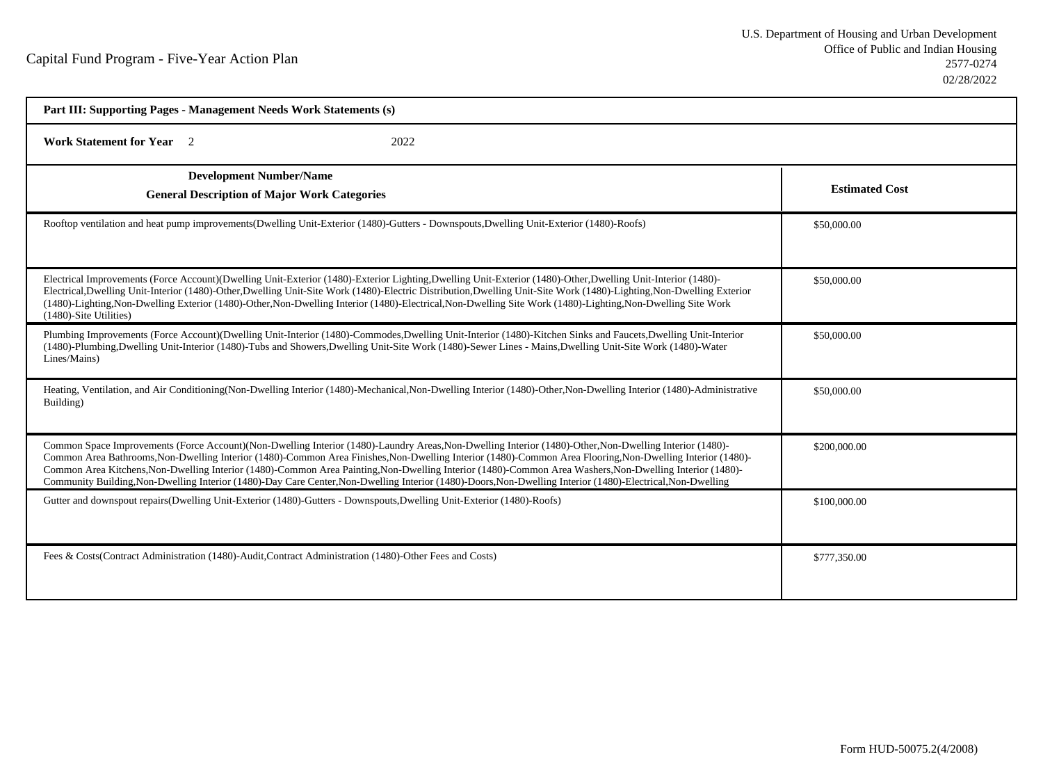| Part III: Supporting Pages - Management Needs Work Statements (s)                                                                                                                                                                                                                                                                                                                                                                                                                                                                                                                                                                                |                       |  |
|--------------------------------------------------------------------------------------------------------------------------------------------------------------------------------------------------------------------------------------------------------------------------------------------------------------------------------------------------------------------------------------------------------------------------------------------------------------------------------------------------------------------------------------------------------------------------------------------------------------------------------------------------|-----------------------|--|
| <b>Work Statement for Year</b> 2<br>2022                                                                                                                                                                                                                                                                                                                                                                                                                                                                                                                                                                                                         |                       |  |
| <b>Development Number/Name</b><br><b>General Description of Major Work Categories</b>                                                                                                                                                                                                                                                                                                                                                                                                                                                                                                                                                            | <b>Estimated Cost</b> |  |
| Rooftop ventilation and heat pump improvements (Dwelling Unit-Exterior (1480)-Gutters - Downspouts, Dwelling Unit-Exterior (1480)-Roofs)                                                                                                                                                                                                                                                                                                                                                                                                                                                                                                         | \$50,000.00           |  |
| Electrical Improvements (Force Account)(Dwelling Unit-Exterior (1480)-Exterior Lighting,Dwelling Unit-Exterior (1480)-Other,Dwelling Unit-Interior (1480)-<br>Electrical,Dwelling Unit-Interior (1480)-Other,Dwelling Unit-Site Work (1480)-Electric Distribution,Dwelling Unit-Site Work (1480)-Lighting,Non-Dwelling Exterior<br>(1480)-Lighting, Non-Dwelling Exterior (1480)-Other, Non-Dwelling Interior (1480)-Electrical, Non-Dwelling Site Work (1480)-Lighting, Non-Dwelling Site Work<br>(1480)-Site Utilities)                                                                                                                        | \$50,000.00           |  |
| Plumbing Improvements (Force Account)(Dwelling Unit-Interior (1480)-Commodes,Dwelling Unit-Interior (1480)-Kitchen Sinks and Faucets,Dwelling Unit-Interior<br>(1480)-Plumbing,Dwelling Unit-Interior (1480)-Tubs and Showers,Dwelling Unit-Site Work (1480)-Sewer Lines - Mains,Dwelling Unit-Site Work (1480)-Water<br>Lines/Mains)                                                                                                                                                                                                                                                                                                            | \$50,000.00           |  |
| Heating, Ventilation, and Air Conditioning(Non-Dwelling Interior (1480)-Mechanical, Non-Dwelling Interior (1480)-Other, Non-Dwelling Interior (1480)-Administrative<br>Building)                                                                                                                                                                                                                                                                                                                                                                                                                                                                 | \$50,000.00           |  |
| Common Space Improvements (Force Account)(Non-Dwelling Interior (1480)-Laundry Areas, Non-Dwelling Interior (1480)-Other, Non-Dwelling Interior (1480)-<br>Common Area Bathrooms, Non-Dwelling Interior (1480)-Common Area Finishes, Non-Dwelling Interior (1480)-Common Area Flooring, Non-Dwelling Interior (1480)-<br>Common Area Kitchens, Non-Dwelling Interior (1480)-Common Area Painting, Non-Dwelling Interior (1480)-Common Area Washers, Non-Dwelling Interior (1480)-<br>Community Building, Non-Dwelling Interior (1480)-Day Care Center, Non-Dwelling Interior (1480)-Doors, Non-Dwelling Interior (1480)-Electrical, Non-Dwelling | \$200,000.00          |  |
| Gutter and downspout repairs(Dwelling Unit-Exterior (1480)-Gutters - Downspouts, Dwelling Unit-Exterior (1480)-Roofs)                                                                                                                                                                                                                                                                                                                                                                                                                                                                                                                            | \$100,000.00          |  |
| Fees & Costs (Contract Administration (1480)-Audit, Contract Administration (1480)-Other Fees and Costs)                                                                                                                                                                                                                                                                                                                                                                                                                                                                                                                                         | \$777,350.00          |  |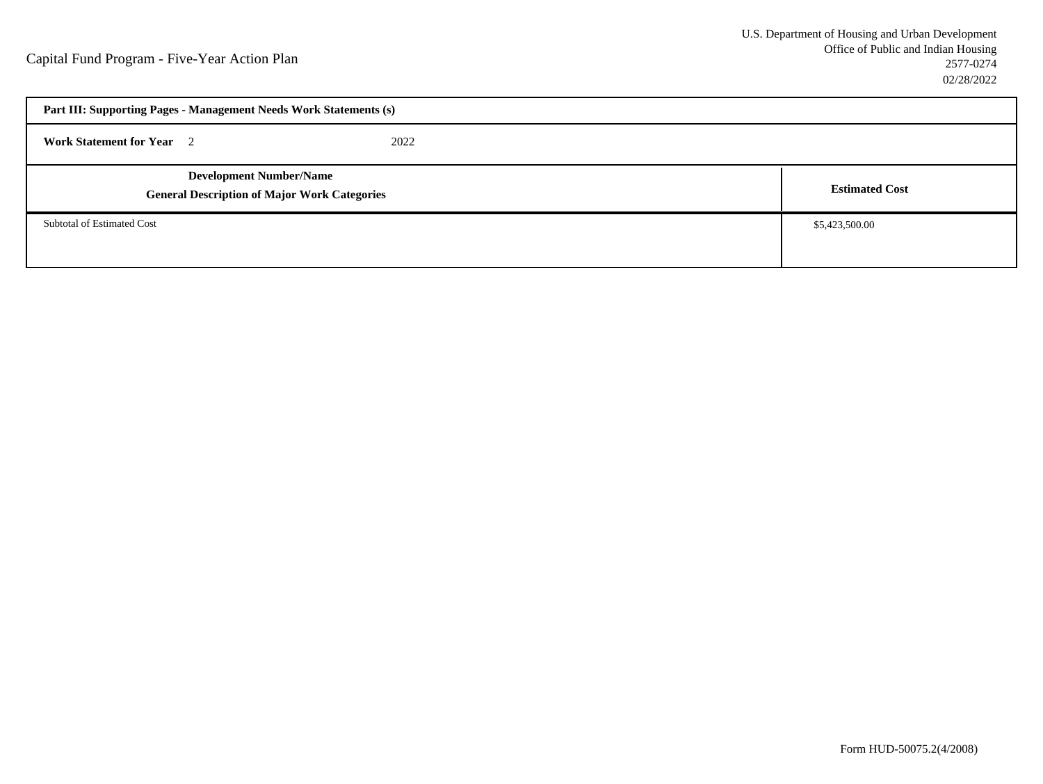| Part III: Supporting Pages - Management Needs Work Statements (s)                     |  |                       |
|---------------------------------------------------------------------------------------|--|-----------------------|
| <b>Work Statement for Year</b> 2<br>2022                                              |  |                       |
| <b>Development Number/Name</b><br><b>General Description of Major Work Categories</b> |  | <b>Estimated Cost</b> |
| Subtotal of Estimated Cost                                                            |  | \$5,423,500.00        |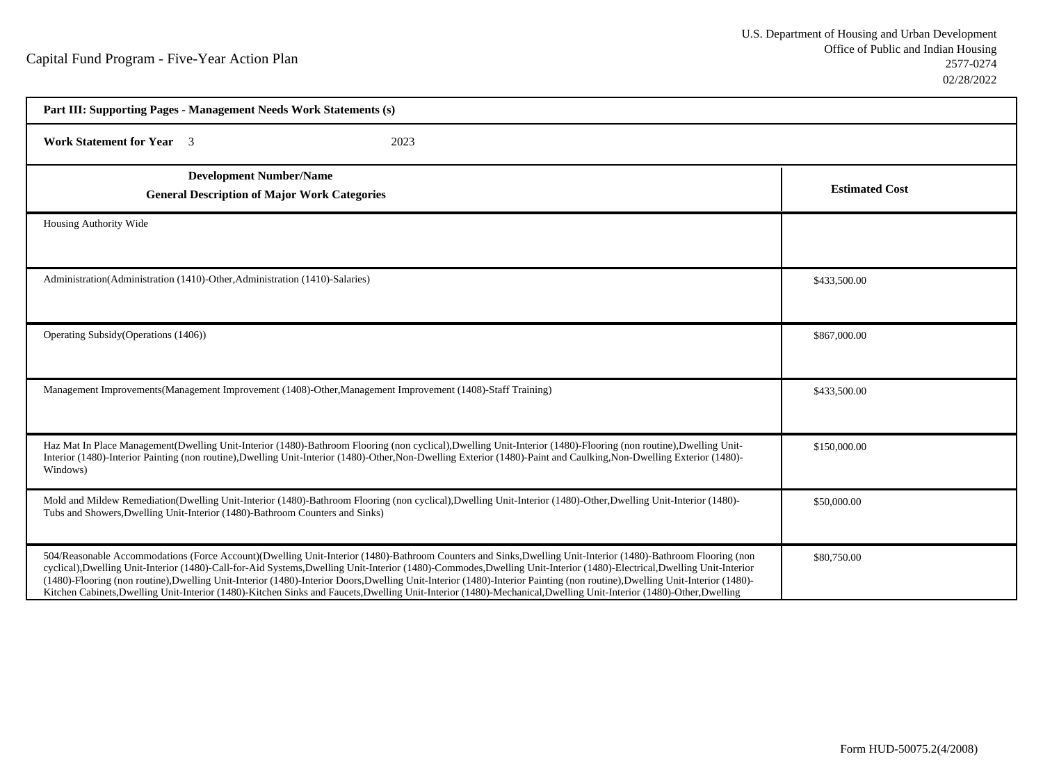| Part III: Supporting Pages - Management Needs Work Statements (s)                                                                                                                                                                                                                                                                                                                                                                                                                                                                                                                                                                                                                            |                       |  |
|----------------------------------------------------------------------------------------------------------------------------------------------------------------------------------------------------------------------------------------------------------------------------------------------------------------------------------------------------------------------------------------------------------------------------------------------------------------------------------------------------------------------------------------------------------------------------------------------------------------------------------------------------------------------------------------------|-----------------------|--|
| <b>Work Statement for Year</b> 3<br>2023                                                                                                                                                                                                                                                                                                                                                                                                                                                                                                                                                                                                                                                     |                       |  |
| <b>Development Number/Name</b><br><b>General Description of Major Work Categories</b>                                                                                                                                                                                                                                                                                                                                                                                                                                                                                                                                                                                                        | <b>Estimated Cost</b> |  |
| Housing Authority Wide                                                                                                                                                                                                                                                                                                                                                                                                                                                                                                                                                                                                                                                                       |                       |  |
| Administration(Administration (1410)-Other, Administration (1410)-Salaries)                                                                                                                                                                                                                                                                                                                                                                                                                                                                                                                                                                                                                  | \$433,500.00          |  |
| Operating Subsidy (Operations (1406))                                                                                                                                                                                                                                                                                                                                                                                                                                                                                                                                                                                                                                                        | \$867,000.00          |  |
| Management Improvements (Management Improvement (1408)-Other, Management Improvement (1408)-Staff Training)                                                                                                                                                                                                                                                                                                                                                                                                                                                                                                                                                                                  | \$433,500.00          |  |
| Haz Mat In Place Management(Dwelling Unit-Interior (1480)-Bathroom Flooring (non cyclical),Dwelling Unit-Interior (1480)-Flooring (non routine),Dwelling Unit-<br>Interior (1480)-Interior Painting (non routine),Dwelling Unit-Interior (1480)-Other,Non-Dwelling Exterior (1480)-Paint and Caulking,Non-Dwelling Exterior (1480)-<br>Windows)                                                                                                                                                                                                                                                                                                                                              | \$150,000.00          |  |
| Mold and Mildew Remediation(Dwelling Unit-Interior (1480)-Bathroom Flooring (non cyclical),Dwelling Unit-Interior (1480)-Other,Dwelling Unit-Interior (1480)-<br>Tubs and Showers, Dwelling Unit-Interior (1480)-Bathroom Counters and Sinks)                                                                                                                                                                                                                                                                                                                                                                                                                                                | \$50,000.00           |  |
| 504/Reasonable Accommodations (Force Account)(Dwelling Unit-Interior (1480)-Bathroom Counters and Sinks, Dwelling Unit-Interior (1480)-Bathroom Flooring (non<br>cyclical), Dwelling Unit-Interior (1480)-Call-for-Aid Systems, Dwelling Unit-Interior (1480)-Commodes, Dwelling Unit-Interior (1480)-Electrical, Dwelling Unit-Interior<br>(1480)-Flooring (non routine), Dwelling Unit-Interior (1480)-Interior Doors, Dwelling Unit-Interior (1480)-Interior Painting (non routine), Dwelling Unit-Interior (1480)-<br>Kitchen Cabinets, Dwelling Unit-Interior (1480)-Kitchen Sinks and Faucets, Dwelling Unit-Interior (1480)-Mechanical, Dwelling Unit-Interior (1480)-Other, Dwelling | \$80,750.00           |  |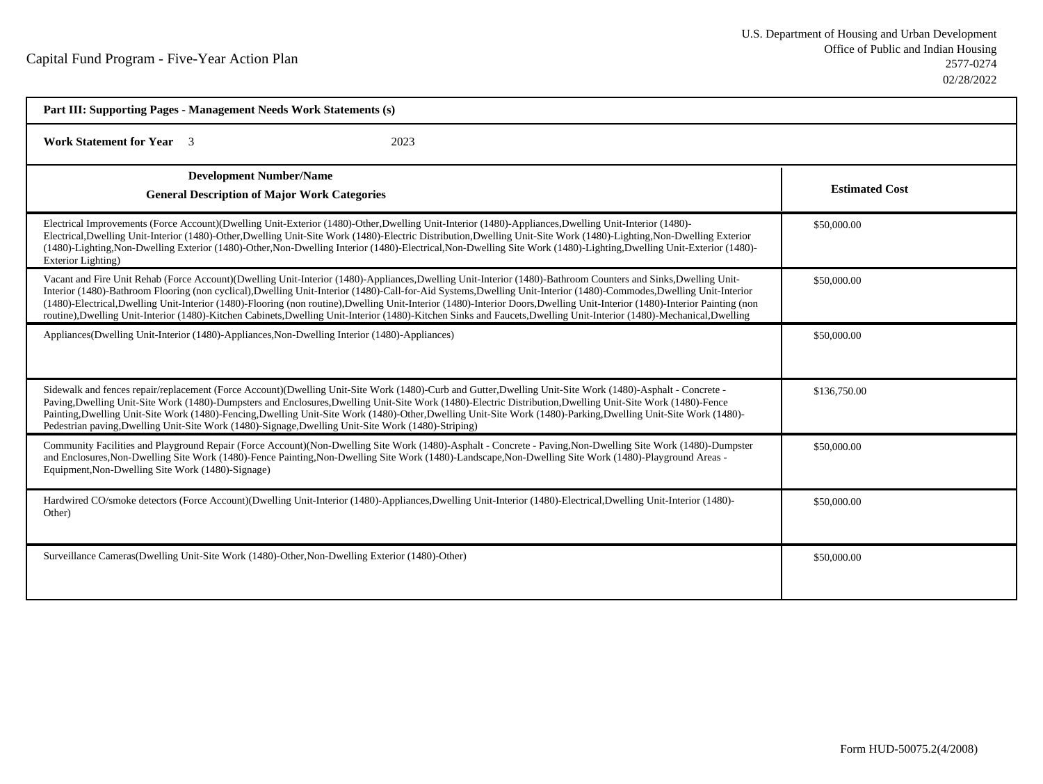| Part III: Supporting Pages - Management Needs Work Statements (s)                                                                                                                                                                                                                                                                                                                                                                                                                                                                                                                                                                                                                      |                       |  |
|----------------------------------------------------------------------------------------------------------------------------------------------------------------------------------------------------------------------------------------------------------------------------------------------------------------------------------------------------------------------------------------------------------------------------------------------------------------------------------------------------------------------------------------------------------------------------------------------------------------------------------------------------------------------------------------|-----------------------|--|
| <b>Work Statement for Year</b> 3<br>2023                                                                                                                                                                                                                                                                                                                                                                                                                                                                                                                                                                                                                                               |                       |  |
| <b>Development Number/Name</b><br><b>General Description of Major Work Categories</b>                                                                                                                                                                                                                                                                                                                                                                                                                                                                                                                                                                                                  | <b>Estimated Cost</b> |  |
| Electrical Improvements (Force Account)(Dwelling Unit-Exterior (1480)-Other,Dwelling Unit-Interior (1480)-Appliances,Dwelling Unit-Interior (1480)-<br>Electrical,Dwelling Unit-Interior (1480)-Other,Dwelling Unit-Site Work (1480)-Electric Distribution,Dwelling Unit-Site Work (1480)-Lighting,Non-Dwelling Exterior<br>(1480)-Lighting, Non-Dwelling Exterior (1480)-Other, Non-Dwelling Interior (1480)-Electrical, Non-Dwelling Site Work (1480)-Lighting, Dwelling Unit-Exterior (1480)-<br>Exterior Lighting)                                                                                                                                                                 | \$50,000.00           |  |
| Vacant and Fire Unit Rehab (Force Account)(Dwelling Unit-Interior (1480)-Appliances,Dwelling Unit-Interior (1480)-Bathroom Counters and Sinks,Dwelling Unit-<br>Interior (1480)-Bathroom Flooring (non cyclical),Dwelling Unit-Interior (1480)-Call-for-Aid Systems,Dwelling Unit-Interior (1480)-Commodes,Dwelling Unit-Interior<br>(1480)-Electrical,Dwelling Unit-Interior (1480)-Flooring (non routine),Dwelling Unit-Interior (1480)-Interior Doors,Dwelling Unit-Interior (1480)-Interior Painting (non<br>routine), Dwelling Unit-Interior (1480)-Kitchen Cabinets, Dwelling Unit-Interior (1480)-Kitchen Sinks and Faucets, Dwelling Unit-Interior (1480)-Mechanical, Dwelling | \$50,000.00           |  |
| Appliances(Dwelling Unit-Interior (1480)-Appliances, Non-Dwelling Interior (1480)-Appliances)                                                                                                                                                                                                                                                                                                                                                                                                                                                                                                                                                                                          | \$50,000.00           |  |
| Sidewalk and fences repair/replacement (Force Account)(Dwelling Unit-Site Work (1480)-Curb and Gutter, Dwelling Unit-Site Work (1480)-Asphalt - Concrete -<br>Paving, Dwelling Unit-Site Work (1480)-Dumpsters and Enclosures, Dwelling Unit-Site Work (1480)-Electric Distribution, Dwelling Unit-Site Work (1480)-Fence<br>Painting, Dwelling Unit-Site Work (1480)-Fencing, Dwelling Unit-Site Work (1480)-Other, Dwelling Unit-Site Work (1480)-Parking, Dwelling Unit-Site Work (1480)-<br>Pedestrian paving, Dwelling Unit-Site Work (1480)-Signage, Dwelling Unit-Site Work (1480)-Striping)                                                                                    | \$136,750.00          |  |
| Community Facilities and Playground Repair (Force Account)(Non-Dwelling Site Work (1480)-Asphalt - Concrete - Paving, Non-Dwelling Site Work (1480)-Dumpster<br>and Enclosures, Non-Dwelling Site Work (1480)-Fence Painting, Non-Dwelling Site Work (1480)-Landscape, Non-Dwelling Site Work (1480)-Playground Areas -<br>Equipment, Non-Dwelling Site Work (1480)-Signage)                                                                                                                                                                                                                                                                                                           | \$50,000.00           |  |
| Hardwired CO/smoke detectors (Force Account)(Dwelling Unit-Interior (1480)-Appliances,Dwelling Unit-Interior (1480)-Electrical,Dwelling Unit-Interior (1480)-<br>Other)                                                                                                                                                                                                                                                                                                                                                                                                                                                                                                                | \$50,000.00           |  |
| Surveillance Cameras(Dwelling Unit-Site Work (1480)-Other, Non-Dwelling Exterior (1480)-Other)                                                                                                                                                                                                                                                                                                                                                                                                                                                                                                                                                                                         | \$50,000.00           |  |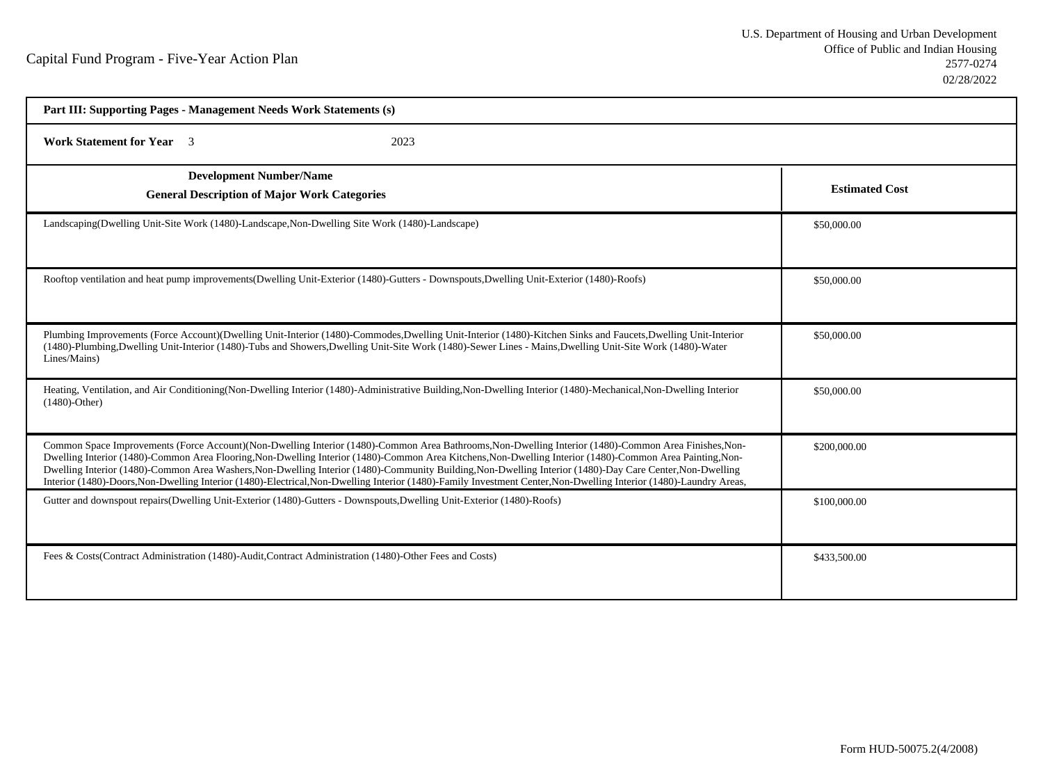| Part III: Supporting Pages - Management Needs Work Statements (s)                                                                                                                                                                                                                                                                                                                                                                                                                                                                                                                                                                                     |                       |  |
|-------------------------------------------------------------------------------------------------------------------------------------------------------------------------------------------------------------------------------------------------------------------------------------------------------------------------------------------------------------------------------------------------------------------------------------------------------------------------------------------------------------------------------------------------------------------------------------------------------------------------------------------------------|-----------------------|--|
| <b>Work Statement for Year</b> 3<br>2023                                                                                                                                                                                                                                                                                                                                                                                                                                                                                                                                                                                                              |                       |  |
| <b>Development Number/Name</b><br><b>General Description of Major Work Categories</b>                                                                                                                                                                                                                                                                                                                                                                                                                                                                                                                                                                 | <b>Estimated Cost</b> |  |
| Landscaping (Dwelling Unit-Site Work (1480)-Landscape, Non-Dwelling Site Work (1480)-Landscape)                                                                                                                                                                                                                                                                                                                                                                                                                                                                                                                                                       | \$50,000.00           |  |
| Rooftop ventilation and heat pump improvements(Dwelling Unit-Exterior (1480)-Gutters - Downspouts, Dwelling Unit-Exterior (1480)-Roofs)                                                                                                                                                                                                                                                                                                                                                                                                                                                                                                               | \$50,000.00           |  |
| Plumbing Improvements (Force Account)(Dwelling Unit-Interior (1480)-Commodes,Dwelling Unit-Interior (1480)-Kitchen Sinks and Faucets,Dwelling Unit-Interior<br>(1480)-Plumbing,Dwelling Unit-Interior (1480)-Tubs and Showers,Dwelling Unit-Site Work (1480)-Sewer Lines - Mains,Dwelling Unit-Site Work (1480)-Water<br>Lines/Mains)                                                                                                                                                                                                                                                                                                                 | \$50,000.00           |  |
| Heating, Ventilation, and Air Conditioning(Non-Dwelling Interior (1480)-Administrative Building, Non-Dwelling Interior (1480)-Mechanical, Non-Dwelling Interior<br>$(1480)$ -Other)                                                                                                                                                                                                                                                                                                                                                                                                                                                                   | \$50,000.00           |  |
| Common Space Improvements (Force Account)(Non-Dwelling Interior (1480)-Common Area Bathrooms, Non-Dwelling Interior (1480)-Common Area Finishes, Non-<br>Dwelling Interior (1480)-Common Area Flooring, Non-Dwelling Interior (1480)-Common Area Kitchens, Non-Dwelling Interior (1480)-Common Area Painting, Non-<br>Dwelling Interior (1480)-Common Area Washers, Non-Dwelling Interior (1480)-Community Building, Non-Dwelling Interior (1480)-Day Care Center, Non-Dwelling<br>Interior (1480)-Doors, Non-Dwelling Interior (1480)-Electrical, Non-Dwelling Interior (1480)-Family Investment Center, Non-Dwelling Interior (1480)-Laundry Areas, | \$200,000.00          |  |
| Gutter and downspout repairs(Dwelling Unit-Exterior (1480)-Gutters - Downspouts, Dwelling Unit-Exterior (1480)-Roofs)                                                                                                                                                                                                                                                                                                                                                                                                                                                                                                                                 | \$100,000.00          |  |
| Fees & Costs(Contract Administration (1480)-Audit, Contract Administration (1480)-Other Fees and Costs)                                                                                                                                                                                                                                                                                                                                                                                                                                                                                                                                               | \$433,500.00          |  |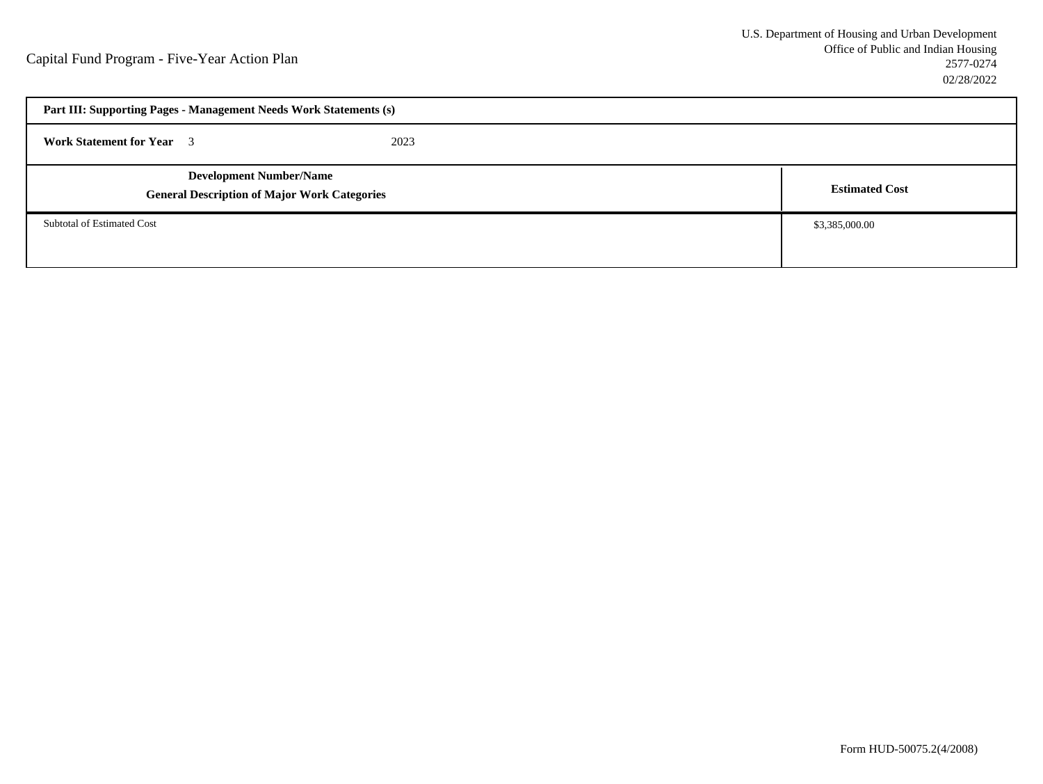| Part III: Supporting Pages - Management Needs Work Statements (s)                     |      |                       |
|---------------------------------------------------------------------------------------|------|-----------------------|
| <b>Work Statement for Year</b> 3                                                      | 2023 |                       |
| <b>Development Number/Name</b><br><b>General Description of Major Work Categories</b> |      | <b>Estimated Cost</b> |
| Subtotal of Estimated Cost                                                            |      | \$3,385,000.00        |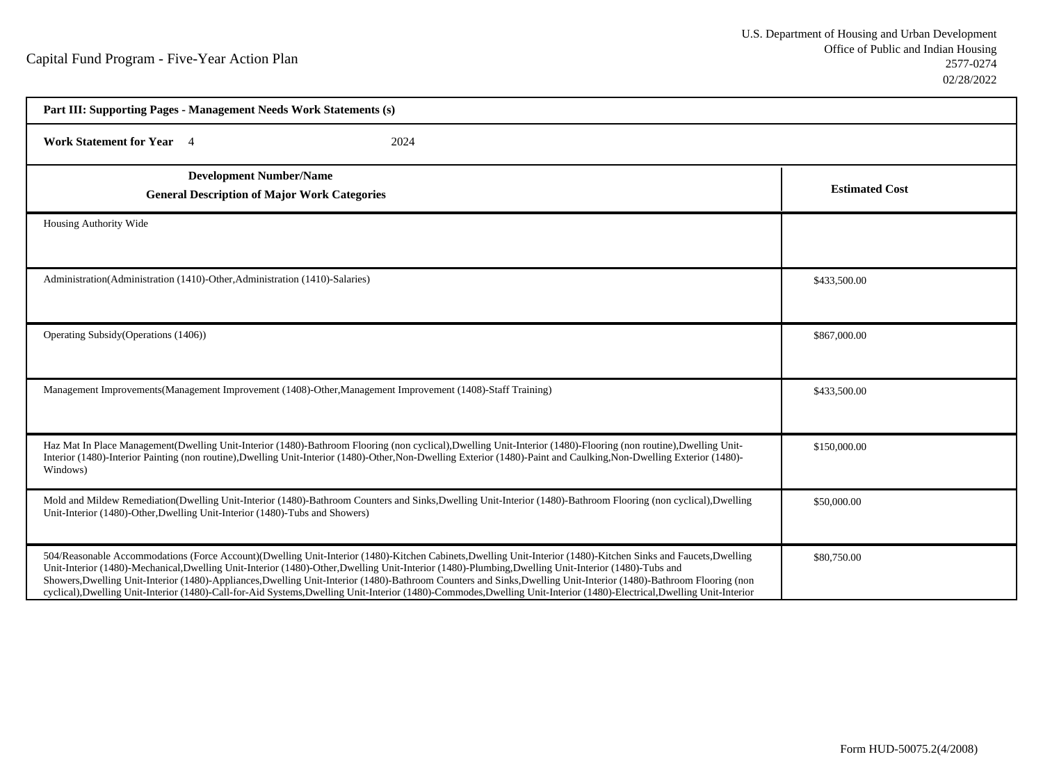| Part III: Supporting Pages - Management Needs Work Statements (s)                                                                                                                                                                                                                                                                                                                                                                                                                                                                                                                                                                                                   |                       |  |
|---------------------------------------------------------------------------------------------------------------------------------------------------------------------------------------------------------------------------------------------------------------------------------------------------------------------------------------------------------------------------------------------------------------------------------------------------------------------------------------------------------------------------------------------------------------------------------------------------------------------------------------------------------------------|-----------------------|--|
| <b>Work Statement for Year</b> 4<br>2024                                                                                                                                                                                                                                                                                                                                                                                                                                                                                                                                                                                                                            |                       |  |
| <b>Development Number/Name</b><br><b>General Description of Major Work Categories</b>                                                                                                                                                                                                                                                                                                                                                                                                                                                                                                                                                                               | <b>Estimated Cost</b> |  |
| Housing Authority Wide                                                                                                                                                                                                                                                                                                                                                                                                                                                                                                                                                                                                                                              |                       |  |
| Administration (Administration (1410)-Other, Administration (1410)-Salaries)                                                                                                                                                                                                                                                                                                                                                                                                                                                                                                                                                                                        | \$433,500.00          |  |
| Operating Subsidy (Operations (1406))                                                                                                                                                                                                                                                                                                                                                                                                                                                                                                                                                                                                                               | \$867,000.00          |  |
| Management Improvements(Management Improvement (1408)-Other, Management Improvement (1408)-Staff Training)                                                                                                                                                                                                                                                                                                                                                                                                                                                                                                                                                          | \$433,500.00          |  |
| Haz Mat In Place Management(Dwelling Unit-Interior (1480)-Bathroom Flooring (non cyclical),Dwelling Unit-Interior (1480)-Flooring (non routine),Dwelling Unit-<br>Interior (1480)-Interior Painting (non routine),Dwelling Unit-Interior (1480)-Other,Non-Dwelling Exterior (1480)-Paint and Caulking,Non-Dwelling Exterior (1480)-<br>Windows)                                                                                                                                                                                                                                                                                                                     | \$150,000.00          |  |
| Mold and Mildew Remediation(Dwelling Unit-Interior (1480)-Bathroom Counters and Sinks, Dwelling Unit-Interior (1480)-Bathroom Flooring (non cyclical), Dwelling<br>Unit-Interior (1480)-Other, Dwelling Unit-Interior (1480)-Tubs and Showers)                                                                                                                                                                                                                                                                                                                                                                                                                      | \$50,000.00           |  |
| 504/Reasonable Accommodations (Force Account)(Dwelling Unit-Interior (1480)-Kitchen Cabinets,Dwelling Unit-Interior (1480)-Kitchen Sinks and Faucets,Dwelling<br>Unit-Interior (1480)-Mechanical,Dwelling Unit-Interior (1480)-Other,Dwelling Unit-Interior (1480)-Plumbing,Dwelling Unit-Interior (1480)-Tubs and<br>Showers, Dwelling Unit-Interior (1480)-Appliances, Dwelling Unit-Interior (1480)-Bathroom Counters and Sinks, Dwelling Unit-Interior (1480)-Bathroom Flooring (non<br>cyclical), Dwelling Unit-Interior (1480)-Call-for-Aid Systems, Dwelling Unit-Interior (1480)-Commodes, Dwelling Unit-Interior (1480)-Electrical, Dwelling Unit-Interior | \$80,750.00           |  |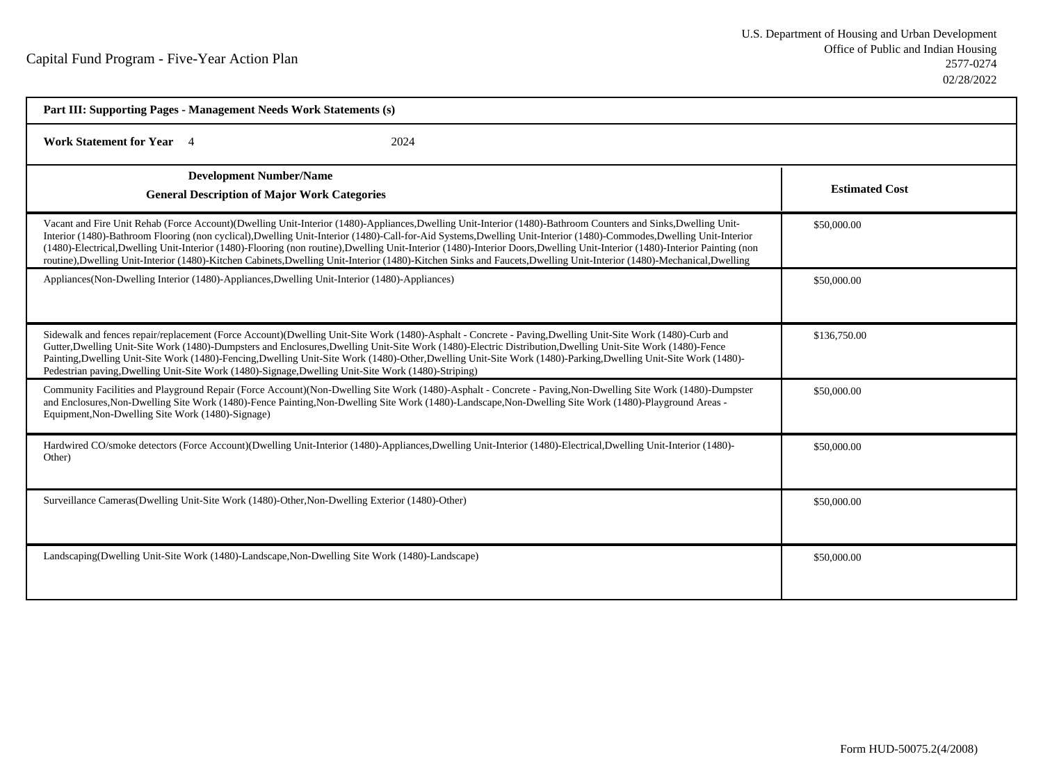| Part III: Supporting Pages - Management Needs Work Statements (s)                                                                                                                                                                                                                                                                                                                                                                                                                                                                                                                                                                                                                      |                       |  |
|----------------------------------------------------------------------------------------------------------------------------------------------------------------------------------------------------------------------------------------------------------------------------------------------------------------------------------------------------------------------------------------------------------------------------------------------------------------------------------------------------------------------------------------------------------------------------------------------------------------------------------------------------------------------------------------|-----------------------|--|
| <b>Work Statement for Year</b> 4<br>2024                                                                                                                                                                                                                                                                                                                                                                                                                                                                                                                                                                                                                                               |                       |  |
| <b>Development Number/Name</b><br><b>General Description of Major Work Categories</b>                                                                                                                                                                                                                                                                                                                                                                                                                                                                                                                                                                                                  | <b>Estimated Cost</b> |  |
| Vacant and Fire Unit Rehab (Force Account)(Dwelling Unit-Interior (1480)-Appliances,Dwelling Unit-Interior (1480)-Bathroom Counters and Sinks,Dwelling Unit-<br>Interior (1480)-Bathroom Flooring (non cyclical),Dwelling Unit-Interior (1480)-Call-for-Aid Systems,Dwelling Unit-Interior (1480)-Commodes,Dwelling Unit-Interior<br>(1480)-Electrical,Dwelling Unit-Interior (1480)-Flooring (non routine),Dwelling Unit-Interior (1480)-Interior Doors,Dwelling Unit-Interior (1480)-Interior Painting (non<br>routine), Dwelling Unit-Interior (1480)-Kitchen Cabinets, Dwelling Unit-Interior (1480)-Kitchen Sinks and Faucets, Dwelling Unit-Interior (1480)-Mechanical, Dwelling | \$50,000.00           |  |
| Appliances (Non-Dwelling Interior (1480)-Appliances, Dwelling Unit-Interior (1480)-Appliances)                                                                                                                                                                                                                                                                                                                                                                                                                                                                                                                                                                                         | \$50,000.00           |  |
| Sidewalk and fences repair/replacement (Force Account)(Dwelling Unit-Site Work (1480)-Asphalt - Concrete - Paving,Dwelling Unit-Site Work (1480)-Curb and<br>Gutter, Dwelling Unit-Site Work (1480)-Dumpsters and Enclosures, Dwelling Unit-Site Work (1480)-Electric Distribution, Dwelling Unit-Site Work (1480)-Fence<br>Painting, Dwelling Unit-Site Work (1480)-Fencing, Dwelling Unit-Site Work (1480)-Other, Dwelling Unit-Site Work (1480)-Parking, Dwelling Unit-Site Work (1480)-<br>Pedestrian paving, Dwelling Unit-Site Work (1480)-Signage, Dwelling Unit-Site Work (1480)-Striping)                                                                                     | \$136,750.00          |  |
| Community Facilities and Playground Repair (Force Account)(Non-Dwelling Site Work (1480)-Asphalt - Concrete - Paving, Non-Dwelling Site Work (1480)-Dumpster<br>and Enclosures, Non-Dwelling Site Work (1480)-Fence Painting, Non-Dwelling Site Work (1480)-Landscape, Non-Dwelling Site Work (1480)-Playground Areas -<br>Equipment, Non-Dwelling Site Work (1480)-Signage)                                                                                                                                                                                                                                                                                                           | \$50,000.00           |  |
| Hardwired CO/smoke detectors (Force Account)(Dwelling Unit-Interior (1480)-Appliances,Dwelling Unit-Interior (1480)-Electrical,Dwelling Unit-Interior (1480)-<br>Other)                                                                                                                                                                                                                                                                                                                                                                                                                                                                                                                | \$50,000.00           |  |
| Surveillance Cameras(Dwelling Unit-Site Work (1480)-Other, Non-Dwelling Exterior (1480)-Other)                                                                                                                                                                                                                                                                                                                                                                                                                                                                                                                                                                                         | \$50,000.00           |  |
| Landscaping (Dwelling Unit-Site Work (1480)-Landscape, Non-Dwelling Site Work (1480)-Landscape)                                                                                                                                                                                                                                                                                                                                                                                                                                                                                                                                                                                        | \$50,000.00           |  |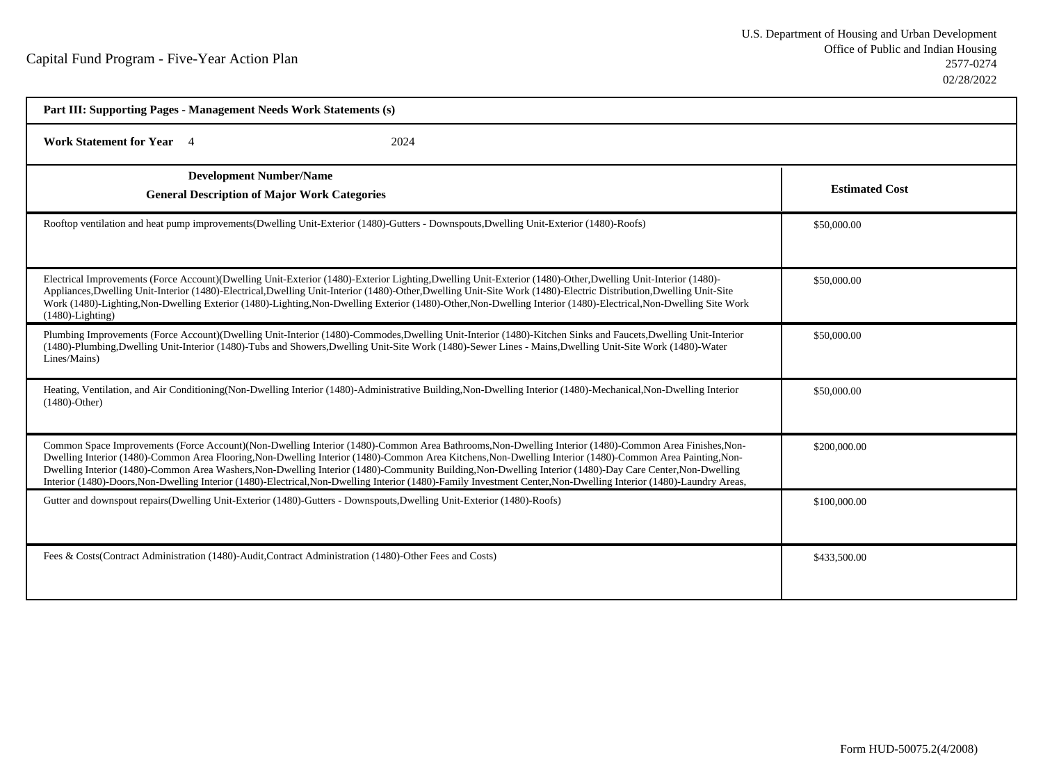| Part III: Supporting Pages - Management Needs Work Statements (s)                                                                                                                                                                                                                                                                                                                                                                                                                                                                                                                                                                                     |                       |  |
|-------------------------------------------------------------------------------------------------------------------------------------------------------------------------------------------------------------------------------------------------------------------------------------------------------------------------------------------------------------------------------------------------------------------------------------------------------------------------------------------------------------------------------------------------------------------------------------------------------------------------------------------------------|-----------------------|--|
| Work Statement for Year 4<br>2024                                                                                                                                                                                                                                                                                                                                                                                                                                                                                                                                                                                                                     |                       |  |
| <b>Development Number/Name</b><br><b>General Description of Major Work Categories</b>                                                                                                                                                                                                                                                                                                                                                                                                                                                                                                                                                                 | <b>Estimated Cost</b> |  |
| Rooftop ventilation and heat pump improvements (Dwelling Unit-Exterior (1480)-Gutters - Downspouts, Dwelling Unit-Exterior (1480)-Roofs)                                                                                                                                                                                                                                                                                                                                                                                                                                                                                                              | \$50,000.00           |  |
| Electrical Improvements (Force Account)(Dwelling Unit-Exterior (1480)-Exterior Lighting,Dwelling Unit-Exterior (1480)-Other,Dwelling Unit-Interior (1480)-<br>Appliances, Dwelling Unit-Interior (1480)-Electrical, Dwelling Unit-Interior (1480)-Other, Dwelling Unit-Site Work (1480)-Electric Distribution, Dwelling Unit-Site<br>Work (1480)-Lighting, Non-Dwelling Exterior (1480)-Lighting, Non-Dwelling Exterior (1480)-Other, Non-Dwelling Interior (1480)-Electrical, Non-Dwelling Site Work<br>$(1480)$ -Lighting)                                                                                                                          | \$50,000.00           |  |
| Plumbing Improvements (Force Account)(Dwelling Unit-Interior (1480)-Commodes,Dwelling Unit-Interior (1480)-Kitchen Sinks and Faucets,Dwelling Unit-Interior<br>(1480)-Plumbing,Dwelling Unit-Interior (1480)-Tubs and Showers,Dwelling Unit-Site Work (1480)-Sewer Lines - Mains,Dwelling Unit-Site Work (1480)-Water<br>Lines/Mains)                                                                                                                                                                                                                                                                                                                 | \$50,000.00           |  |
| Heating, Ventilation, and Air Conditioning(Non-Dwelling Interior (1480)-Administrative Building, Non-Dwelling Interior (1480)-Mechanical, Non-Dwelling Interior<br>$(1480)$ -Other)                                                                                                                                                                                                                                                                                                                                                                                                                                                                   | \$50,000.00           |  |
| Common Space Improvements (Force Account)(Non-Dwelling Interior (1480)-Common Area Bathrooms, Non-Dwelling Interior (1480)-Common Area Finishes, Non-<br>Dwelling Interior (1480)-Common Area Flooring, Non-Dwelling Interior (1480)-Common Area Kitchens, Non-Dwelling Interior (1480)-Common Area Painting, Non-<br>Dwelling Interior (1480)-Common Area Washers, Non-Dwelling Interior (1480)-Community Building, Non-Dwelling Interior (1480)-Day Care Center, Non-Dwelling<br>Interior (1480)-Doors, Non-Dwelling Interior (1480)-Electrical, Non-Dwelling Interior (1480)-Family Investment Center, Non-Dwelling Interior (1480)-Laundry Areas, | \$200,000.00          |  |
| Gutter and downspout repairs(Dwelling Unit-Exterior (1480)-Gutters - Downspouts, Dwelling Unit-Exterior (1480)-Roofs)                                                                                                                                                                                                                                                                                                                                                                                                                                                                                                                                 | \$100,000.00          |  |
| Fees & Costs (Contract Administration (1480)-Audit, Contract Administration (1480)-Other Fees and Costs)                                                                                                                                                                                                                                                                                                                                                                                                                                                                                                                                              | \$433,500.00          |  |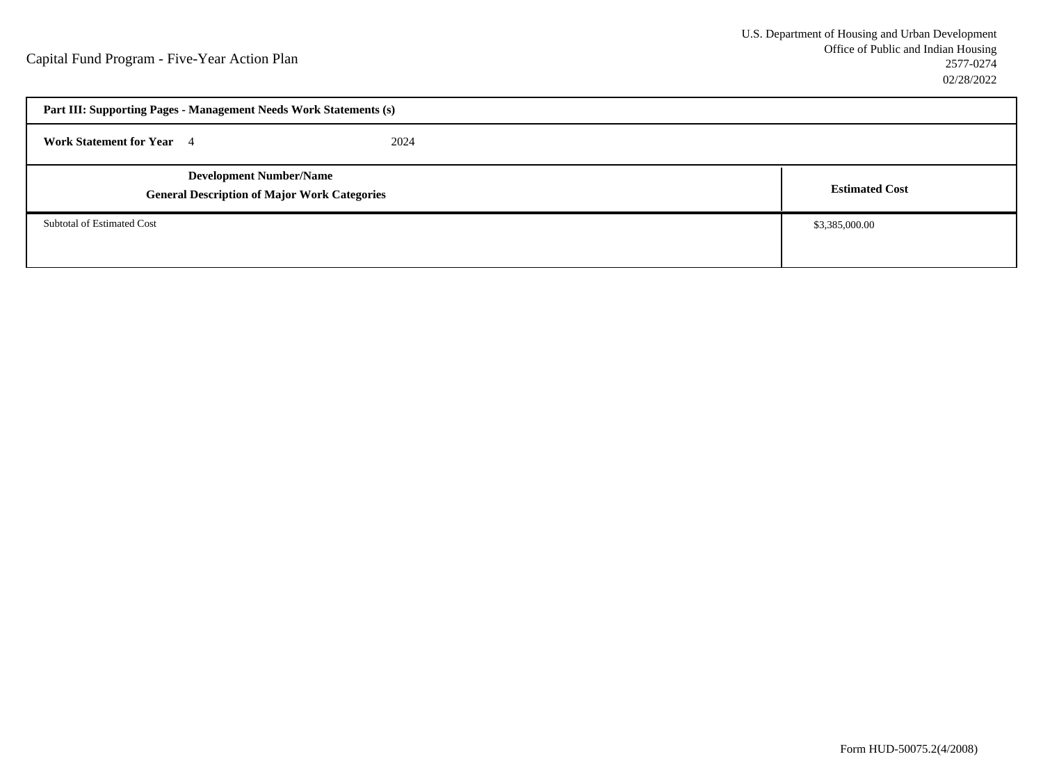| Part III: Supporting Pages - Management Needs Work Statements (s)                     |      |                       |
|---------------------------------------------------------------------------------------|------|-----------------------|
| <b>Work Statement for Year</b> 4                                                      | 2024 |                       |
| <b>Development Number/Name</b><br><b>General Description of Major Work Categories</b> |      | <b>Estimated Cost</b> |
| Subtotal of Estimated Cost                                                            |      | \$3,385,000.00        |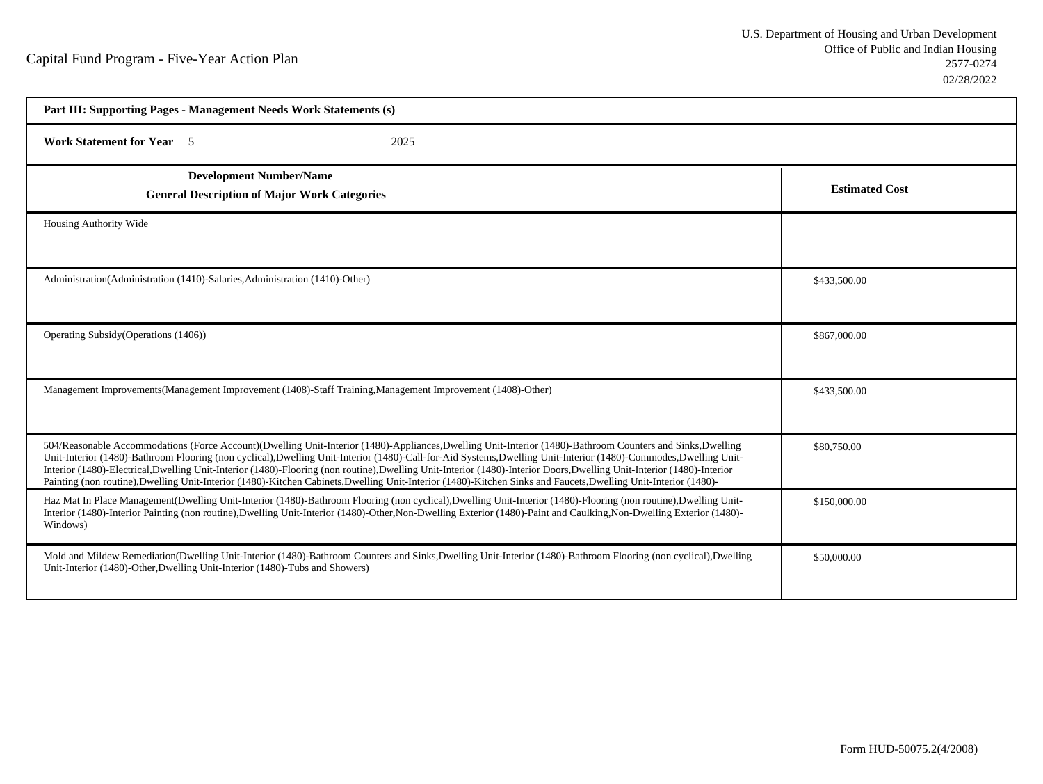| Part III: Supporting Pages - Management Needs Work Statements (s)                                                                                                                                                                                                                                                                                                                                                                                                                                                                                                                                                                                                             |                       |
|-------------------------------------------------------------------------------------------------------------------------------------------------------------------------------------------------------------------------------------------------------------------------------------------------------------------------------------------------------------------------------------------------------------------------------------------------------------------------------------------------------------------------------------------------------------------------------------------------------------------------------------------------------------------------------|-----------------------|
| <b>Work Statement for Year</b> 5<br>2025                                                                                                                                                                                                                                                                                                                                                                                                                                                                                                                                                                                                                                      |                       |
| <b>Development Number/Name</b><br><b>General Description of Major Work Categories</b>                                                                                                                                                                                                                                                                                                                                                                                                                                                                                                                                                                                         | <b>Estimated Cost</b> |
| Housing Authority Wide                                                                                                                                                                                                                                                                                                                                                                                                                                                                                                                                                                                                                                                        |                       |
| Administration(Administration (1410)-Salaries, Administration (1410)-Other)                                                                                                                                                                                                                                                                                                                                                                                                                                                                                                                                                                                                   | \$433,500.00          |
| Operating Subsidy (Operations (1406))                                                                                                                                                                                                                                                                                                                                                                                                                                                                                                                                                                                                                                         | \$867,000.00          |
| Management Improvements (Management Improvement (1408)-Staff Training, Management Improvement (1408)-Other)                                                                                                                                                                                                                                                                                                                                                                                                                                                                                                                                                                   | \$433,500.00          |
| 504/Reasonable Accommodations (Force Account)(Dwelling Unit-Interior (1480)-Appliances,Dwelling Unit-Interior (1480)-Bathroom Counters and Sinks,Dwelling<br>Unit-Interior (1480)-Bathroom Flooring (non cyclical),Dwelling Unit-Interior (1480)-Call-for-Aid Systems,Dwelling Unit-Interior (1480)-Commodes,Dwelling Unit-<br>Interior (1480)-Electrical,Dwelling Unit-Interior (1480)-Flooring (non routine),Dwelling Unit-Interior (1480)-Interior Doors,Dwelling Unit-Interior (1480)-Interior (1480)-<br>Painting (non routine), Dwelling Unit-Interior (1480)-Kitchen Cabinets, Dwelling Unit-Interior (1480)-Kitchen Sinks and Faucets, Dwelling Unit-Interior (1480)- | \$80,750.00           |
| Haz Mat In Place Management(Dwelling Unit-Interior (1480)-Bathroom Flooring (non cyclical),Dwelling Unit-Interior (1480)-Flooring (non routine),Dwelling Unit-<br>Interior (1480)-Interior Painting (non routine),Dwelling Unit-Interior (1480)-Other,Non-Dwelling Exterior (1480)-Paint and Caulking,Non-Dwelling Exterior (1480)-<br>Windows)                                                                                                                                                                                                                                                                                                                               | \$150,000.00          |
| Mold and Mildew Remediation(Dwelling Unit-Interior (1480)-Bathroom Counters and Sinks, Dwelling Unit-Interior (1480)-Bathroom Flooring (non cyclical), Dwelling<br>Unit-Interior (1480)-Other, Dwelling Unit-Interior (1480)-Tubs and Showers)                                                                                                                                                                                                                                                                                                                                                                                                                                | \$50,000.00           |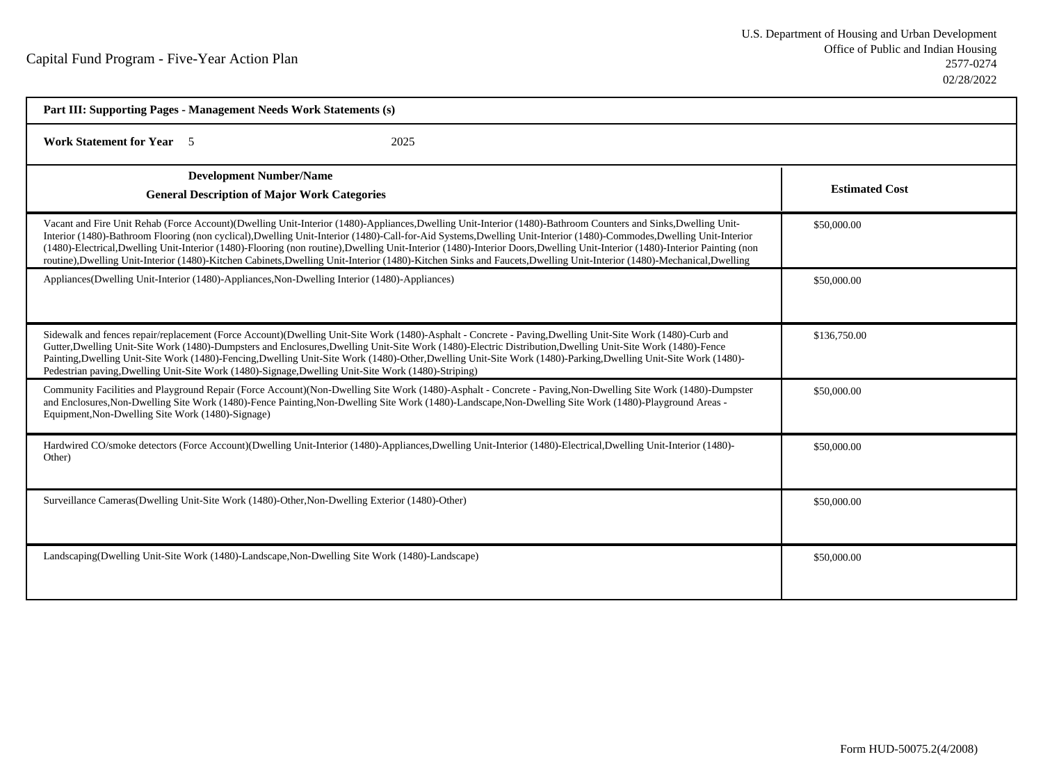| Part III: Supporting Pages - Management Needs Work Statements (s)                                                                                                                                                                                                                                                                                                                                                                                                                                                                                                                                                                                                                      |                       |
|----------------------------------------------------------------------------------------------------------------------------------------------------------------------------------------------------------------------------------------------------------------------------------------------------------------------------------------------------------------------------------------------------------------------------------------------------------------------------------------------------------------------------------------------------------------------------------------------------------------------------------------------------------------------------------------|-----------------------|
| <b>Work Statement for Year</b> 5<br>2025                                                                                                                                                                                                                                                                                                                                                                                                                                                                                                                                                                                                                                               |                       |
| <b>Development Number/Name</b><br><b>General Description of Major Work Categories</b>                                                                                                                                                                                                                                                                                                                                                                                                                                                                                                                                                                                                  | <b>Estimated Cost</b> |
| Vacant and Fire Unit Rehab (Force Account)(Dwelling Unit-Interior (1480)-Appliances,Dwelling Unit-Interior (1480)-Bathroom Counters and Sinks,Dwelling Unit-<br>Interior (1480)-Bathroom Flooring (non cyclical),Dwelling Unit-Interior (1480)-Call-for-Aid Systems,Dwelling Unit-Interior (1480)-Commodes,Dwelling Unit-Interior<br>(1480)-Electrical,Dwelling Unit-Interior (1480)-Flooring (non routine),Dwelling Unit-Interior (1480)-Interior Doors,Dwelling Unit-Interior (1480)-Interior Painting (non<br>routine), Dwelling Unit-Interior (1480)-Kitchen Cabinets, Dwelling Unit-Interior (1480)-Kitchen Sinks and Faucets, Dwelling Unit-Interior (1480)-Mechanical, Dwelling | \$50,000.00           |
| Appliances(Dwelling Unit-Interior (1480)-Appliances, Non-Dwelling Interior (1480)-Appliances)                                                                                                                                                                                                                                                                                                                                                                                                                                                                                                                                                                                          | \$50,000.00           |
| Sidewalk and fences repair/replacement (Force Account)(Dwelling Unit-Site Work (1480)-Asphalt - Concrete - Paving,Dwelling Unit-Site Work (1480)-Curb and<br>Gutter, Dwelling Unit-Site Work (1480)-Dumpsters and Enclosures, Dwelling Unit-Site Work (1480)-Electric Distribution, Dwelling Unit-Site Work (1480)-Fence<br>Painting, Dwelling Unit-Site Work (1480)-Fencing, Dwelling Unit-Site Work (1480)-Other, Dwelling Unit-Site Work (1480)-Parking, Dwelling Unit-Site Work (1480)-<br>Pedestrian paving, Dwelling Unit-Site Work (1480)-Signage, Dwelling Unit-Site Work (1480)-Striping)                                                                                     | \$136,750.00          |
| Community Facilities and Playground Repair (Force Account)(Non-Dwelling Site Work (1480)-Asphalt - Concrete - Paving, Non-Dwelling Site Work (1480)-Dumpster<br>and Enclosures, Non-Dwelling Site Work (1480)-Fence Painting, Non-Dwelling Site Work (1480)-Landscape, Non-Dwelling Site Work (1480)-Playground Areas -<br>Equipment, Non-Dwelling Site Work (1480)-Signage)                                                                                                                                                                                                                                                                                                           | \$50,000.00           |
| Hardwired CO/smoke detectors (Force Account)(Dwelling Unit-Interior (1480)-Appliances,Dwelling Unit-Interior (1480)-Electrical,Dwelling Unit-Interior (1480)-<br>Other)                                                                                                                                                                                                                                                                                                                                                                                                                                                                                                                | \$50,000.00           |
| Surveillance Cameras(Dwelling Unit-Site Work (1480)-Other, Non-Dwelling Exterior (1480)-Other)                                                                                                                                                                                                                                                                                                                                                                                                                                                                                                                                                                                         | \$50,000.00           |
| Landscaping (Dwelling Unit-Site Work (1480)-Landscape, Non-Dwelling Site Work (1480)-Landscape)                                                                                                                                                                                                                                                                                                                                                                                                                                                                                                                                                                                        | \$50,000.00           |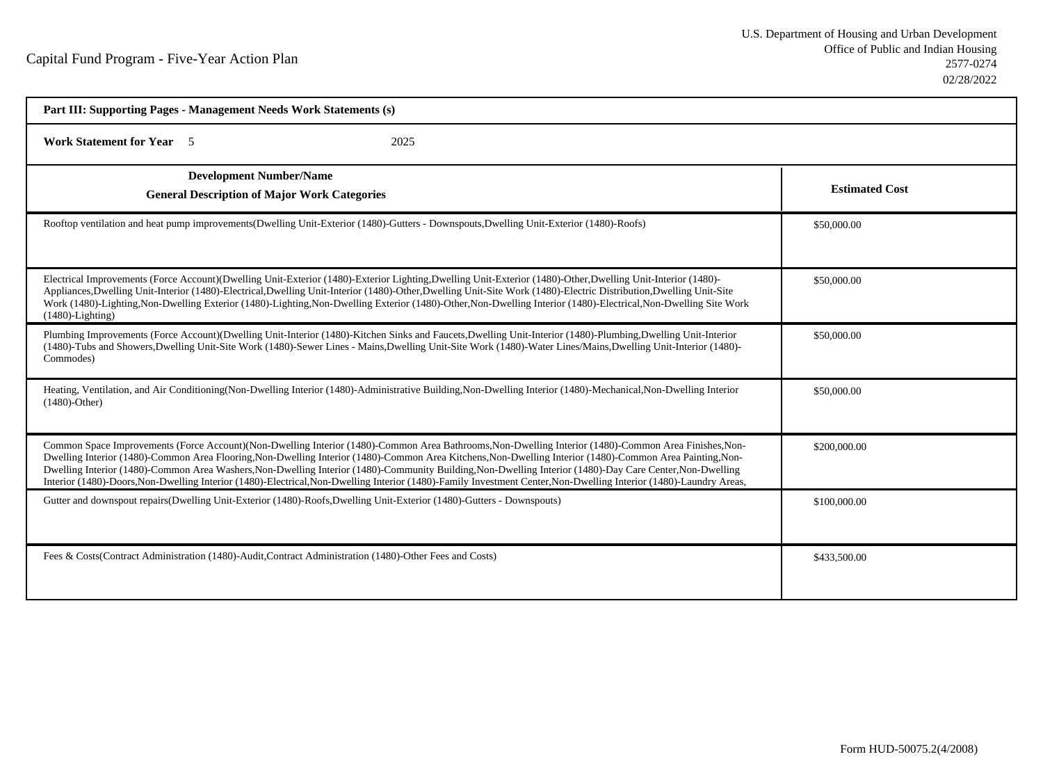| Part III: Supporting Pages - Management Needs Work Statements (s)                                                                                                                                                                                                                                                                                                                                                                                                                                                                                                                                                                                     |                       |
|-------------------------------------------------------------------------------------------------------------------------------------------------------------------------------------------------------------------------------------------------------------------------------------------------------------------------------------------------------------------------------------------------------------------------------------------------------------------------------------------------------------------------------------------------------------------------------------------------------------------------------------------------------|-----------------------|
| <b>Work Statement for Year</b> 5<br>2025                                                                                                                                                                                                                                                                                                                                                                                                                                                                                                                                                                                                              |                       |
| <b>Development Number/Name</b><br><b>General Description of Major Work Categories</b>                                                                                                                                                                                                                                                                                                                                                                                                                                                                                                                                                                 | <b>Estimated Cost</b> |
| Rooftop ventilation and heat pump improvements (Dwelling Unit-Exterior (1480)-Gutters - Downspouts, Dwelling Unit-Exterior (1480)-Roofs)                                                                                                                                                                                                                                                                                                                                                                                                                                                                                                              | \$50,000.00           |
| Electrical Improvements (Force Account)(Dwelling Unit-Exterior (1480)-Exterior Lighting,Dwelling Unit-Exterior (1480)-Other,Dwelling Unit-Interior (1480)-<br>Appliances, Dwelling Unit-Interior (1480)-Electrical, Dwelling Unit-Interior (1480)-Other, Dwelling Unit-Site Work (1480)-Electric Distribution, Dwelling Unit-Site<br>Work (1480)-Lighting, Non-Dwelling Exterior (1480)-Lighting, Non-Dwelling Exterior (1480)-Other, Non-Dwelling Interior (1480)-Electrical, Non-Dwelling Site Work<br>$(1480)$ -Lighting)                                                                                                                          | \$50,000.00           |
| Plumbing Improvements (Force Account)(Dwelling Unit-Interior (1480)-Kitchen Sinks and Faucets, Dwelling Unit-Interior (1480)-Plumbing, Dwelling Unit-Interior<br>(1480)-Tubs and Showers, Dwelling Unit-Site Work (1480)-Sewer Lines - Mains, Dwelling Unit-Site Work (1480)-Water Lines/Mains, Dwelling Unit-Interior (1480)-<br>Commodes)                                                                                                                                                                                                                                                                                                           | \$50,000.00           |
| Heating, Ventilation, and Air Conditioning(Non-Dwelling Interior (1480)-Administrative Building, Non-Dwelling Interior (1480)-Mechanical, Non-Dwelling Interior<br>$(1480)$ -Other)                                                                                                                                                                                                                                                                                                                                                                                                                                                                   | \$50,000.00           |
| Common Space Improvements (Force Account)(Non-Dwelling Interior (1480)-Common Area Bathrooms, Non-Dwelling Interior (1480)-Common Area Finishes, Non-<br>Dwelling Interior (1480)-Common Area Flooring, Non-Dwelling Interior (1480)-Common Area Kitchens, Non-Dwelling Interior (1480)-Common Area Painting, Non-<br>Dwelling Interior (1480)-Common Area Washers, Non-Dwelling Interior (1480)-Community Building, Non-Dwelling Interior (1480)-Day Care Center, Non-Dwelling<br>Interior (1480)-Doors, Non-Dwelling Interior (1480)-Electrical, Non-Dwelling Interior (1480)-Family Investment Center, Non-Dwelling Interior (1480)-Laundry Areas, | \$200,000.00          |
| Gutter and downspout repairs(Dwelling Unit-Exterior (1480)-Roofs, Dwelling Unit-Exterior (1480)-Gutters - Downspouts)                                                                                                                                                                                                                                                                                                                                                                                                                                                                                                                                 | \$100,000.00          |
| Fees & Costs (Contract Administration (1480)-Audit, Contract Administration (1480)-Other Fees and Costs)                                                                                                                                                                                                                                                                                                                                                                                                                                                                                                                                              | \$433,500.00          |